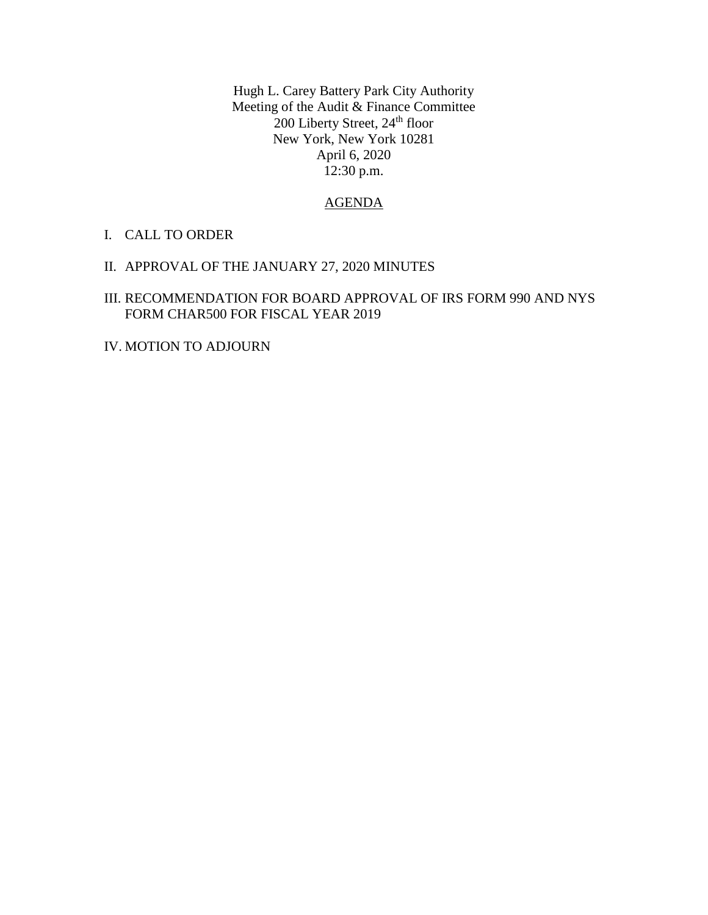Hugh L. Carey Battery Park City Authority Meeting of the Audit & Finance Committee  $200$  Liberty Street,  $24<sup>th</sup>$  floor New York, New York 10281 April 6, 2020 12:30 p.m.

### AGENDA

- I. CALL TO ORDER
- II. APPROVAL OF THE JANUARY 27, 2020 MINUTES
- III. RECOMMENDATION FOR BOARD APPROVAL OF IRS FORM 990 AND NYS FORM CHAR500 FOR FISCAL YEAR 2019
- IV. MOTION TO ADJOURN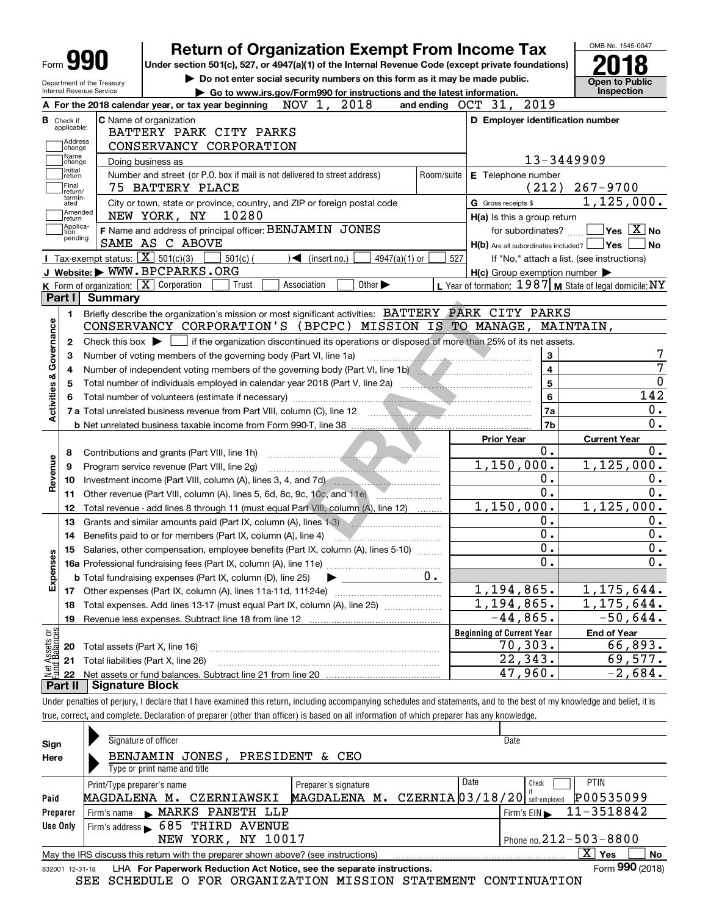|                                                      |                                                   | <b>Return of Organization Exempt From Income Tax</b>                                                                                                |                                                           | OMB No. 1545-0047                                                                                           |
|------------------------------------------------------|---------------------------------------------------|-----------------------------------------------------------------------------------------------------------------------------------------------------|-----------------------------------------------------------|-------------------------------------------------------------------------------------------------------------|
| Form YY                                              |                                                   | Under section 501(c), 527, or 4947(a)(1) of the Internal Revenue Code (except private foundations)                                                  |                                                           |                                                                                                             |
|                                                      | Department of the Treasury                        | Do not enter social security numbers on this form as it may be made public.                                                                         |                                                           | <b>Open to Public</b>                                                                                       |
|                                                      | Internal Revenue Service                          | Go to www.irs.gov/Form990 for instructions and the latest information.                                                                              |                                                           | Inspection                                                                                                  |
|                                                      |                                                   | 2018<br>NOV 1,<br>A For the 2018 calendar year, or tax year beginning<br>and ending                                                                 | OCT 31, 2019                                              |                                                                                                             |
| <b>B</b> Check if<br>applicable:                     |                                                   | C Name of organization                                                                                                                              | D Employer identification number                          |                                                                                                             |
| Address                                              |                                                   | BATTERY PARK CITY PARKS                                                                                                                             |                                                           |                                                                                                             |
| change                                               |                                                   | CONSERVANCY CORPORATION                                                                                                                             |                                                           |                                                                                                             |
| Name<br>change                                       |                                                   | Doing business as                                                                                                                                   | 13-3449909                                                |                                                                                                             |
| Initial<br>return<br> Final                          |                                                   | Number and street (or P.O. box if mail is not delivered to street address)<br>Room/suite                                                            | E Telephone number                                        |                                                                                                             |
| return/<br>termin-                                   |                                                   | 75 BATTERY PLACE                                                                                                                                    | (212)                                                     | $267 - 9700$                                                                                                |
| ated                                                 | Amended                                           | City or town, state or province, country, and ZIP or foreign postal code                                                                            | G Gross receipts \$                                       | 1,125,000.                                                                                                  |
| return<br> Applica-                                  |                                                   | 10280<br>NEW YORK, NY                                                                                                                               | H(a) Is this a group return                               |                                                                                                             |
| tion<br>pending                                      |                                                   | F Name and address of principal officer: BENJAMIN JONES                                                                                             | for subordinates?                                         | $\sqrt{}$ Yes $\sqrt{}$ X $\sqrt{}$ No                                                                      |
|                                                      |                                                   | SAME AS C ABOVE                                                                                                                                     | $H(b)$ Are all subordinates included? $\Box$ Yes          |                                                                                                             |
|                                                      | Tax-exempt status: $\boxed{\mathbf{X}}$ 501(c)(3) | 4947(a)(1) or<br>$501(c)$ (<br>$\sqrt{\bullet}$ (insert no.)                                                                                        | 527<br>If "No," attach a list. (see instructions)         |                                                                                                             |
|                                                      |                                                   | J Website: WWW.BPCPARKS.ORG                                                                                                                         | $H(c)$ Group exemption number $\blacktriangleright$       |                                                                                                             |
|                                                      | K Form of organization: X Corporation             | Other $\blacktriangleright$<br>Association<br>Trust                                                                                                 | L Year of formation: $1987$ M State of legal domicile: NY |                                                                                                             |
| Part I                                               | <b>Summary</b>                                    |                                                                                                                                                     |                                                           |                                                                                                             |
| 1.                                                   |                                                   | Briefly describe the organization's mission or most significant activities: BATTERY PARK CITY PARKS                                                 |                                                           |                                                                                                             |
| Governance                                           |                                                   | CONSERVANCY CORPORATION'S (BPCPC) MISSION IS TO MANAGE, MAINTAIN,                                                                                   |                                                           |                                                                                                             |
| 2                                                    |                                                   | Check this box $\blacktriangleright$ $\blacksquare$ if the organization discontinued its operations or disposed of more than 25% of its net assets. |                                                           |                                                                                                             |
| 3                                                    |                                                   | Number of voting members of the governing body (Part VI, line 1a)                                                                                   | 3                                                         |                                                                                                             |
| 4                                                    |                                                   | Number of independent voting members of the governing body (Part VI, line 1b)                                                                       | 4                                                         |                                                                                                             |
| 5                                                    |                                                   |                                                                                                                                                     | 5                                                         |                                                                                                             |
| 6                                                    |                                                   |                                                                                                                                                     | 6                                                         | 142                                                                                                         |
| <b>Activities &amp;</b>                              |                                                   |                                                                                                                                                     | 7a                                                        |                                                                                                             |
|                                                      |                                                   |                                                                                                                                                     | 7b                                                        |                                                                                                             |
|                                                      |                                                   |                                                                                                                                                     | Prior Year                                                |                                                                                                             |
| 8                                                    |                                                   |                                                                                                                                                     |                                                           | <b>Current Year</b>                                                                                         |
| 9                                                    |                                                   |                                                                                                                                                     | 0.                                                        |                                                                                                             |
|                                                      |                                                   | Contributions and grants (Part VIII, line 1h)                                                                                                       | 1,150,000.                                                |                                                                                                             |
|                                                      |                                                   | Program service revenue (Part VIII, line 2g)                                                                                                        | 0.                                                        |                                                                                                             |
| 10                                                   |                                                   |                                                                                                                                                     | 0.                                                        |                                                                                                             |
| 11                                                   |                                                   |                                                                                                                                                     |                                                           |                                                                                                             |
| 12                                                   |                                                   | Total revenue - add lines 8 through 11 (must equal Part VIII, column (A), line 12)                                                                  | 1,150,000.                                                |                                                                                                             |
| 13                                                   |                                                   | Grants and similar amounts paid (Part IX, column (A), lines 1-3)                                                                                    | $0$ .                                                     |                                                                                                             |
| 14                                                   |                                                   | Benefits paid to or for members (Part IX, column (A), line 4)                                                                                       | 0.                                                        |                                                                                                             |
| 15                                                   |                                                   | Salaries, other compensation, employee benefits (Part IX, column (A), lines 5-10)                                                                   | 0.                                                        |                                                                                                             |
|                                                      |                                                   |                                                                                                                                                     | 0.                                                        |                                                                                                             |
|                                                      |                                                   | $0$ .<br><b>b</b> Total fundraising expenses (Part IX, column (D), line 25)                                                                         |                                                           |                                                                                                             |
| 17                                                   |                                                   |                                                                                                                                                     | 1,194,865.                                                |                                                                                                             |
| 18                                                   |                                                   | Total expenses. Add lines 13-17 (must equal Part IX, column (A), line 25)                                                                           | 1,194,865.                                                |                                                                                                             |
| 19                                                   |                                                   |                                                                                                                                                     | $-44,865.$                                                |                                                                                                             |
|                                                      |                                                   |                                                                                                                                                     | <b>Beginning of Current Year</b>                          | <b>End of Year</b>                                                                                          |
| 20                                                   | Total assets (Part X, line 16)                    |                                                                                                                                                     | 70, 303.                                                  |                                                                                                             |
| Revenue<br>ŵ<br>Expense<br>Net Assets or<br>21<br>22 |                                                   | Total liabilities (Part X, line 26)                                                                                                                 | 22,343.<br>47,960.                                        | 1, 125, 000.<br>1, 125, 000.<br>1,175,644.<br>1, 175, 644.<br>$-50,644.$<br>66,893.<br>69,577.<br>$-2,684.$ |

true, correct, and complete. Declaration of preparer (other than officer) is based on all information of which preparer has any knowledge.

| Sign     | Signature of officer                                                                                         |                      |                                             | Date                       |  |  |  |  |
|----------|--------------------------------------------------------------------------------------------------------------|----------------------|---------------------------------------------|----------------------------|--|--|--|--|
| Here     | BENJAMIN JONES,                                                                                              | PRESIDENT & CEO      |                                             |                            |  |  |  |  |
|          | Type or print name and title                                                                                 |                      |                                             |                            |  |  |  |  |
|          | Print/Type preparer's name                                                                                   | Preparer's signature | Date                                        | <b>PTIN</b><br>Check       |  |  |  |  |
| Paid     | MAGDALENA M.<br>CZERNIAWSKI                                                                                  |                      | MAGDALENA M. CZERNIA 03/18/20 self-employed | P00535099                  |  |  |  |  |
| Preparer | MARKS PANETH LLP<br>Firm's name                                                                              |                      |                                             | 11-3518842<br>Firm's $EIN$ |  |  |  |  |
| Use Only | 685 THIRD AVENUE<br>Firm's address $\blacktriangleright$                                                     |                      |                                             |                            |  |  |  |  |
|          | Phone no. $212 - 503 - 8800$                                                                                 |                      |                                             |                            |  |  |  |  |
|          | May the IRS discuss this return with the preparer shown above? (see instructions)                            |                      |                                             | x<br><b>No</b><br>Yes      |  |  |  |  |
|          | Form 990 (2018)<br>LHA For Paperwork Reduction Act Notice, see the separate instructions.<br>832001 12-31-18 |                      |                                             |                            |  |  |  |  |

SEE SCHEDULE O FOR ORGANIZATION MISSION STATEMENT CONTINUATION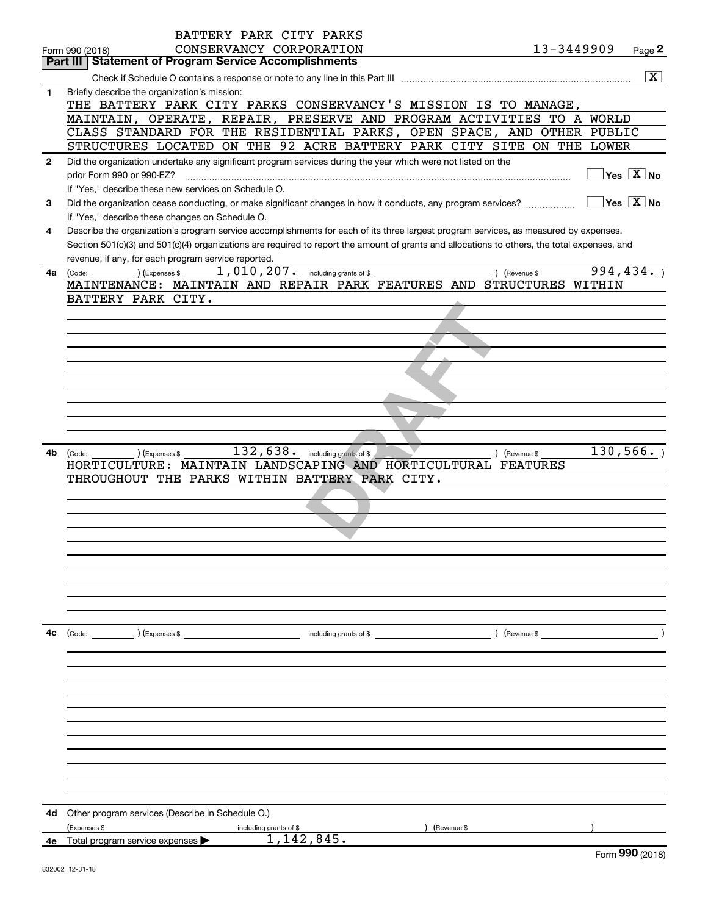|              | BATTERY PARK CITY PARKS                                                                                                                      |                                        |
|--------------|----------------------------------------------------------------------------------------------------------------------------------------------|----------------------------------------|
|              | CONSERVANCY CORPORATION<br>Form 990 (2018)                                                                                                   | 13-3449909<br>Page 2                   |
|              | <b>Statement of Program Service Accomplishments</b><br>Part III                                                                              |                                        |
|              |                                                                                                                                              | $\overline{\mathbf{X}}$                |
| 1            | Briefly describe the organization's mission:                                                                                                 |                                        |
|              | THE BATTERY PARK CITY PARKS CONSERVANCY'S MISSION IS TO MANAGE,                                                                              |                                        |
|              | MAINTAIN, OPERATE, REPAIR, PRESERVE AND PROGRAM ACTIVITIES TO A WORLD                                                                        |                                        |
|              | CLASS STANDARD FOR THE RESIDENTIAL PARKS, OPEN SPACE, AND OTHER PUBLIC                                                                       |                                        |
|              | STRUCTURES LOCATED ON THE 92 ACRE BATTERY PARK CITY SITE ON THE LOWER                                                                        |                                        |
| $\mathbf{2}$ | Did the organization undertake any significant program services during the year which were not listed on the                                 |                                        |
|              | prior Form 990 or 990-EZ?                                                                                                                    | $Yes \quad X$ No                       |
|              | If "Yes," describe these new services on Schedule O.                                                                                         |                                        |
| 3            | Did the organization cease conducting, or make significant changes in how it conducts, any program services?                                 | $\sqrt{}$ Yes $\sqrt{}$ X $\sqrt{}$ No |
|              | If "Yes," describe these changes on Schedule O.                                                                                              |                                        |
| 4            | Describe the organization's program service accomplishments for each of its three largest program services, as measured by expenses.         |                                        |
|              | Section 501(c)(3) and 501(c)(4) organizations are required to report the amount of grants and allocations to others, the total expenses, and |                                        |
|              | revenue, if any, for each program service reported.<br>$1,010,207$ and including grants of \$                                                | 994, 434.                              |
| 4а           | (Code: ) (Expenses \$<br>) (Revenue \$<br>MAINTENANCE: MAINTAIN AND REPAIR PARK FEATURES AND STRUCTURES WITHIN                               |                                        |
|              | BATTERY PARK CITY.                                                                                                                           |                                        |
|              |                                                                                                                                              |                                        |
|              |                                                                                                                                              |                                        |
|              |                                                                                                                                              |                                        |
|              |                                                                                                                                              |                                        |
|              |                                                                                                                                              |                                        |
|              |                                                                                                                                              |                                        |
|              |                                                                                                                                              |                                        |
|              |                                                                                                                                              |                                        |
|              |                                                                                                                                              |                                        |
|              |                                                                                                                                              |                                        |
| 4b           | $132,638$ $\cdot$ including grants of \$<br>(Expenses \$<br>) (Revenue \$<br>(Code:                                                          | 130, 566.                              |
|              | HORTICULTURE: MAINTAIN LANDSCAPING AND HORTICULTURAL FEATURES                                                                                |                                        |
|              | THROUGHOUT THE PARKS WITHIN BATTERY PARK CITY.                                                                                               |                                        |
|              |                                                                                                                                              |                                        |
|              |                                                                                                                                              |                                        |
|              |                                                                                                                                              |                                        |
|              |                                                                                                                                              |                                        |
|              |                                                                                                                                              |                                        |
|              |                                                                                                                                              |                                        |
|              |                                                                                                                                              |                                        |
|              |                                                                                                                                              |                                        |
|              |                                                                                                                                              |                                        |
|              |                                                                                                                                              |                                        |
| 4с           | (Revenue \$<br>(Code: ) (Expenses \$ ) and the set of \$ including grants of \$                                                              |                                        |
|              |                                                                                                                                              |                                        |
|              |                                                                                                                                              |                                        |
|              |                                                                                                                                              |                                        |
|              |                                                                                                                                              |                                        |
|              |                                                                                                                                              |                                        |
|              |                                                                                                                                              |                                        |
|              |                                                                                                                                              |                                        |
|              |                                                                                                                                              |                                        |
|              |                                                                                                                                              |                                        |
|              |                                                                                                                                              |                                        |
|              |                                                                                                                                              |                                        |
| 4d           | Other program services (Describe in Schedule O.)                                                                                             |                                        |
|              | (Expenses \$<br>including grants of \$<br>(Revenue \$                                                                                        |                                        |
|              | 1,142,845.<br>4e Total program service expenses $\blacktriangleright$                                                                        |                                        |
|              |                                                                                                                                              | $\overline{on}$                        |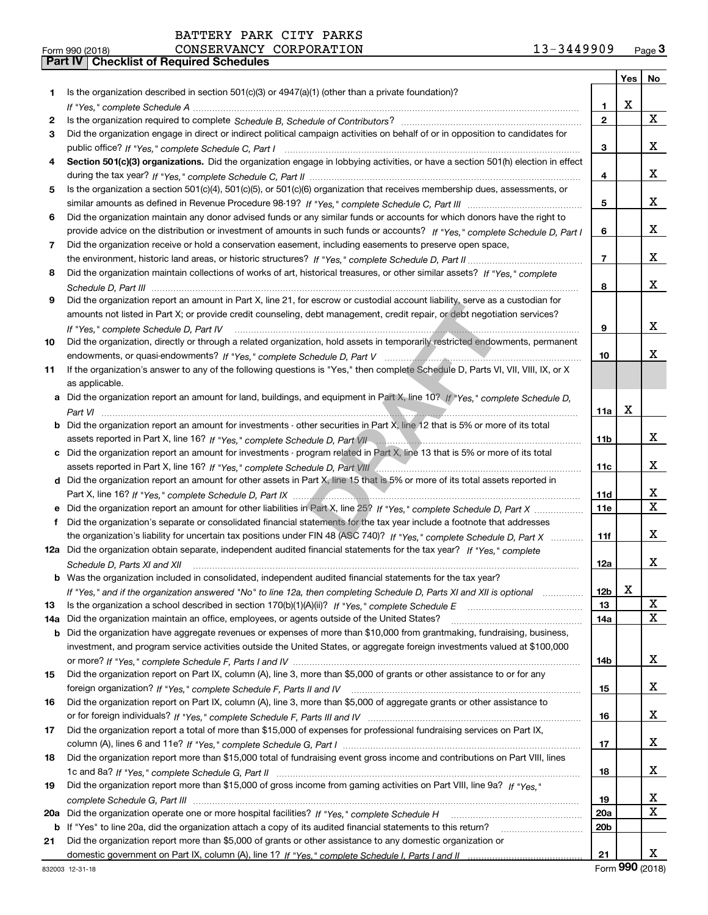| BATTERY PARK CITY PARKS |  |
|-------------------------|--|
|-------------------------|--|

|     |                                                                                                                                  |                 | Yes | No           |
|-----|----------------------------------------------------------------------------------------------------------------------------------|-----------------|-----|--------------|
| 1.  | Is the organization described in section $501(c)(3)$ or $4947(a)(1)$ (other than a private foundation)?                          |                 |     |              |
|     |                                                                                                                                  | 1               | Х   |              |
| 2   |                                                                                                                                  | $\mathbf{2}$    |     | $\mathbf{X}$ |
| 3   | Did the organization engage in direct or indirect political campaign activities on behalf of or in opposition to candidates for  |                 |     |              |
|     |                                                                                                                                  | 3               |     | x            |
| 4   | Section 501(c)(3) organizations. Did the organization engage in lobbying activities, or have a section 501(h) election in effect |                 |     |              |
|     |                                                                                                                                  | 4               |     | x            |
| 5   | Is the organization a section 501(c)(4), 501(c)(5), or 501(c)(6) organization that receives membership dues, assessments, or     |                 |     |              |
|     |                                                                                                                                  | 5               |     | x            |
| 6   | Did the organization maintain any donor advised funds or any similar funds or accounts for which donors have the right to        |                 |     |              |
|     | provide advice on the distribution or investment of amounts in such funds or accounts? If "Yes," complete Schedule D, Part I     | 6               |     | x            |
| 7   | Did the organization receive or hold a conservation easement, including easements to preserve open space,                        |                 |     |              |
|     |                                                                                                                                  | 7               |     | x            |
| 8   | Did the organization maintain collections of works of art, historical treasures, or other similar assets? If "Yes," complete     |                 |     |              |
|     |                                                                                                                                  | 8               |     | x            |
| 9   | Did the organization report an amount in Part X, line 21, for escrow or custodial account liability, serve as a custodian for    |                 |     |              |
|     | amounts not listed in Part X; or provide credit counseling, debt management, credit repair, or debt negotiation services?        |                 |     |              |
|     |                                                                                                                                  |                 |     | x            |
|     |                                                                                                                                  | 9               |     |              |
| 10  | Did the organization, directly or through a related organization, hold assets in temporarily restricted endowments, permanent    | 10              |     | х            |
|     |                                                                                                                                  |                 |     |              |
| 11  | If the organization's answer to any of the following questions is "Yes," then complete Schedule D, Parts VI, VII, VIII, IX, or X |                 |     |              |
|     | as applicable.                                                                                                                   |                 |     |              |
| а   | Did the organization report an amount for land, buildings, and equipment in Part X, line 10? If "Yes," complete Schedule D,      |                 |     |              |
|     |                                                                                                                                  | 11a             | Х   |              |
| b   | Did the organization report an amount for investments - other securities in Part X, line 12 that is 5% or more of its total      |                 |     |              |
|     |                                                                                                                                  | 11 <sub>b</sub> |     | x            |
| с   | Did the organization report an amount for investments - program related in Part X, line 13 that is 5% or more of its total       |                 |     |              |
|     | assets reported in Part X, line 16? If "Yes," complete Schedule D, Part VIII [[[[[[[[[[[[[[[[[[[[[[[[[[[[[[[[                    | 11c             |     | x            |
|     | d Did the organization report an amount for other assets in Part X, line 15 that is 5% or more of its total assets reported in   |                 |     |              |
|     |                                                                                                                                  | 11d             |     | x            |
| е   |                                                                                                                                  | <b>11e</b>      |     | X            |
| f   | Did the organization's separate or consolidated financial statements for the tax year include a footnote that addresses          |                 |     |              |
|     | the organization's liability for uncertain tax positions under FIN 48 (ASC 740)? If "Yes," complete Schedule D, Part X           | 11f             |     | x            |
| 12a | Did the organization obtain separate, independent audited financial statements for the tax year? If "Yes," complete              |                 |     |              |
|     | Schedule D, Parts XI and XII                                                                                                     | 12a             |     | x            |
|     | Was the organization included in consolidated, independent audited financial statements for the tax year?                        |                 |     |              |
|     | If "Yes," and if the organization answered "No" to line 12a, then completing Schedule D, Parts XI and XII is optional            | 12b             | х   |              |
| 13  | Is the organization a school described in section $170(b)(1)(A)(ii)?$ If "Yes," complete Schedule E                              | 13              |     | X            |
| 14a | Did the organization maintain an office, employees, or agents outside of the United States?                                      | 14a             |     | x            |
| b   | Did the organization have aggregate revenues or expenses of more than \$10,000 from grantmaking, fundraising, business,          |                 |     |              |
|     | investment, and program service activities outside the United States, or aggregate foreign investments valued at \$100,000       |                 |     |              |
|     |                                                                                                                                  | 14b             |     | x            |
| 15  | Did the organization report on Part IX, column (A), line 3, more than \$5,000 of grants or other assistance to or for any        |                 |     |              |
|     |                                                                                                                                  | 15              |     | x            |
| 16  | Did the organization report on Part IX, column (A), line 3, more than \$5,000 of aggregate grants or other assistance to         |                 |     |              |
|     |                                                                                                                                  | 16              |     | x            |
| 17  | Did the organization report a total of more than \$15,000 of expenses for professional fundraising services on Part IX,          |                 |     |              |
|     |                                                                                                                                  | 17              |     | x            |
| 18  | Did the organization report more than \$15,000 total of fundraising event gross income and contributions on Part VIII, lines     |                 |     |              |
|     |                                                                                                                                  | 18              |     | x            |
| 19  | Did the organization report more than \$15,000 of gross income from gaming activities on Part VIII, line 9a? If "Yes."           |                 |     |              |
|     |                                                                                                                                  | 19              |     | x            |
| 20a |                                                                                                                                  | 20a             |     | X            |
| b   | If "Yes" to line 20a, did the organization attach a copy of its audited financial statements to this return?                     | 20b             |     |              |
| 21  | Did the organization report more than \$5,000 of grants or other assistance to any domestic organization or                      |                 |     |              |
|     |                                                                                                                                  | 21              |     | x            |
|     |                                                                                                                                  |                 |     |              |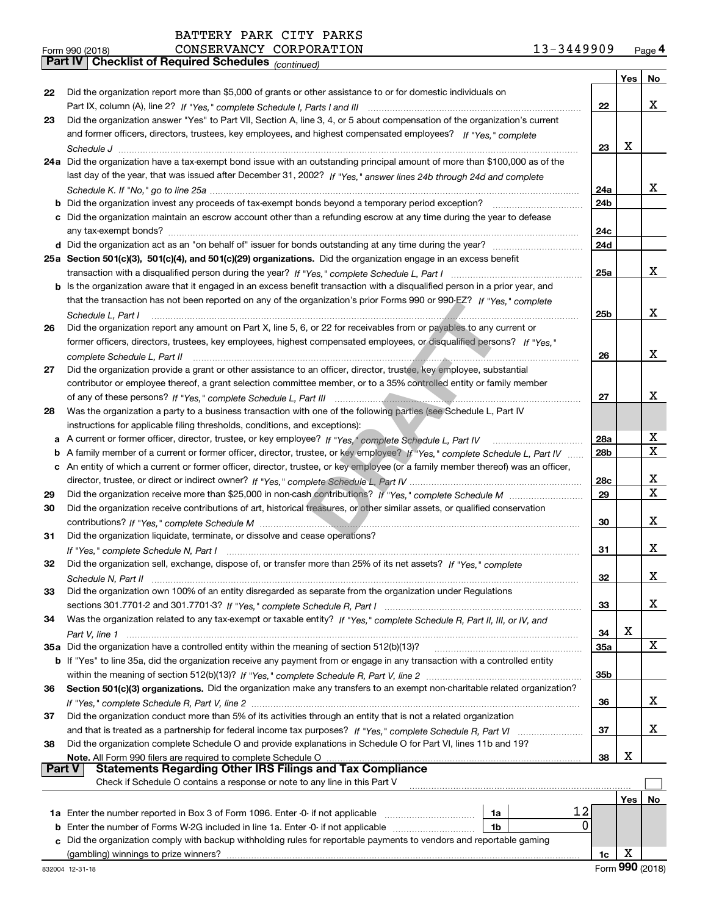|  | BATTERY PARK CITY PARKS |  |  |  |
|--|-------------------------|--|--|--|
|--|-------------------------|--|--|--|

|    | 13-3449909<br>CONSERVANCY CORPORATION<br>Form 990 (2018)                                                                            |     |     | Page 4 |
|----|-------------------------------------------------------------------------------------------------------------------------------------|-----|-----|--------|
|    | Part IV   Checklist of Required Schedules (continued)                                                                               |     |     |        |
|    |                                                                                                                                     |     | Yes | No     |
| 22 | Did the organization report more than \$5,000 of grants or other assistance to or for domestic individuals on                       |     |     |        |
|    |                                                                                                                                     | 22  |     | x.     |
| 23 | Did the organization answer "Yes" to Part VII, Section A, line 3, 4, or 5 about compensation of the organization's current          |     |     |        |
|    | and former officers, directors, trustees, key employees, and highest compensated employees? If "Yes," complete                      |     |     |        |
|    |                                                                                                                                     | 23  | x   |        |
|    | 24a Did the organization have a tax-exempt bond issue with an outstanding principal amount of more than \$100,000 as of the         |     |     |        |
|    | last day of the year, that was issued after December 31, 2002? If "Yes," answer lines 24b through 24d and complete                  |     |     |        |
|    |                                                                                                                                     | 24a |     | x      |
|    | <b>b</b> Did the organization invest any proceeds of tax-exempt bonds beyond a temporary period exception?                          | 24b |     |        |
|    | c Did the organization maintain an escrow account other than a refunding escrow at any time during the year to defease              |     |     |        |
|    |                                                                                                                                     | 24c |     |        |
|    |                                                                                                                                     | 24d |     |        |
|    | 25a Section 501(c)(3), 501(c)(4), and 501(c)(29) organizations. Did the organization engage in an excess benefit                    |     |     |        |
|    |                                                                                                                                     | 25a |     | х      |
|    | <b>b</b> Is the organization aware that it engaged in an excess benefit transaction with a disqualified person in a prior year, and |     |     |        |
|    | that the transaction has not been reported on any of the organization's prior Forms 990 or 990-EZ? If "Yes." complete               |     |     |        |
|    | Schedule L. Part I                                                                                                                  | 25b |     | х      |
| 26 | Did the organization report any amount on Part X, line 5, 6, or 22 for receivables from or payables to any current or               |     |     |        |

|               | 25a Section 501(c)(3), 501(c)(4), and 501(c)(29) organizations. Did the organization engage in an excess benefit                   |                 |   |              |
|---------------|------------------------------------------------------------------------------------------------------------------------------------|-----------------|---|--------------|
|               |                                                                                                                                    | 25a             |   | x            |
|               | b Is the organization aware that it engaged in an excess benefit transaction with a disqualified person in a prior year, and       |                 |   |              |
|               | that the transaction has not been reported on any of the organization's prior Forms 990 or 990-EZ? If "Yes." complete              |                 |   |              |
|               | Schedule L. Part I                                                                                                                 | 25 <sub>b</sub> |   | x            |
| 26            | Did the organization report any amount on Part X, line 5, 6, or 22 for receivables from or payables to any current or              |                 |   |              |
|               | former officers, directors, trustees, key employees, highest compensated employees, or disqualified persons? If "Yes."             |                 |   |              |
|               | complete Schedule L. Part II                                                                                                       | 26              |   | x            |
| 27            | Did the organization provide a grant or other assistance to an officer, director, trustee, key employee, substantial               |                 |   |              |
|               | contributor or employee thereof, a grant selection committee member, or to a 35% controlled entity or family member                |                 |   |              |
|               |                                                                                                                                    | 27              |   | x.           |
| 28            | Was the organization a party to a business transaction with one of the following parties (see Schedule L, Part IV                  |                 |   |              |
|               | instructions for applicable filing thresholds, conditions, and exceptions):                                                        |                 |   |              |
| а             | A current or former officer, director, trustee, or key employee? If "Yes," complete Schedule L, Part IV                            | 28a             |   | X.           |
| b             | A family member of a current or former officer, director, trustee, or key employee? If "Yes," complete Schedule L, Part IV         | 28 <sub>b</sub> |   | $\mathbf x$  |
| c             | An entity of which a current or former officer, director, trustee, or key employee (or a family member thereof) was an officer,    |                 |   |              |
|               |                                                                                                                                    | 28c             |   | x            |
| 29            |                                                                                                                                    | 29              |   | X            |
| 30            | Did the organization receive contributions of art, historical treasures, or other similar assets, or qualified conservation        |                 |   |              |
|               |                                                                                                                                    | 30              |   | x            |
| 31            | Did the organization liquidate, terminate, or dissolve and cease operations?                                                       |                 |   |              |
|               |                                                                                                                                    | 31              |   | x            |
| 32            | Did the organization sell, exchange, dispose of, or transfer more than 25% of its net assets? If "Yes," complete                   |                 |   |              |
|               | Schedule N. Part II www.communication.com/www.communication.com/www.communication.com/www.communication.com/ww                     | 32              |   | x            |
| 33            | Did the organization own 100% of an entity disregarded as separate from the organization under Regulations                         |                 |   |              |
|               |                                                                                                                                    | 33              |   | X.           |
| 34            | Was the organization related to any tax-exempt or taxable entity? If "Yes," complete Schedule R, Part II, III, or IV, and          |                 |   |              |
|               |                                                                                                                                    | 34              | X |              |
|               | 35a Did the organization have a controlled entity within the meaning of section 512(b)(13)?                                        | 35a             |   | $\mathbf{x}$ |
|               | <b>b</b> If "Yes" to line 35a, did the organization receive any payment from or engage in any transaction with a controlled entity |                 |   |              |
|               |                                                                                                                                    | 35 <sub>b</sub> |   |              |
| 36            | Section 501(c)(3) organizations. Did the organization make any transfers to an exempt non-charitable related organization?         |                 |   |              |
|               |                                                                                                                                    | 36              |   | x            |
| 37            | Did the organization conduct more than 5% of its activities through an entity that is not a related organization                   |                 |   |              |
|               | and that is treated as a partnership for federal income tax purposes? If "Yes," complete Schedule R, Part VI                       | 37              |   | x            |
| 38            | Did the organization complete Schedule O and provide explanations in Schedule O for Part VI, lines 11b and 19?                     |                 |   |              |
|               | Note. All Form 990 filers are required to complete Schedule O                                                                      | 38              | X |              |
| <b>Part V</b> | <b>Statements Regarding Other IRS Filings and Tax Compliance</b>                                                                   |                 |   |              |
|               | Check if Schedule O contains a response or note to any line in this Part V                                                         |                 |   |              |

|                                                                                                                      |    |  |  | Yes l |  |
|----------------------------------------------------------------------------------------------------------------------|----|--|--|-------|--|
| 1a Enter the number reported in Box 3 of Form 1096. Enter -0- if not applicable                                      | 1a |  |  |       |  |
| <b>b</b> Enter the number of Forms W-2G included in line 1a. Enter -0- if not applicable                             | 1b |  |  |       |  |
| c Did the organization comply with backup withholding rules for reportable payments to vendors and reportable gaming |    |  |  |       |  |
| (gambling) winnings to prize winners?                                                                                |    |  |  |       |  |
|                                                                                                                      |    |  |  |       |  |

**23**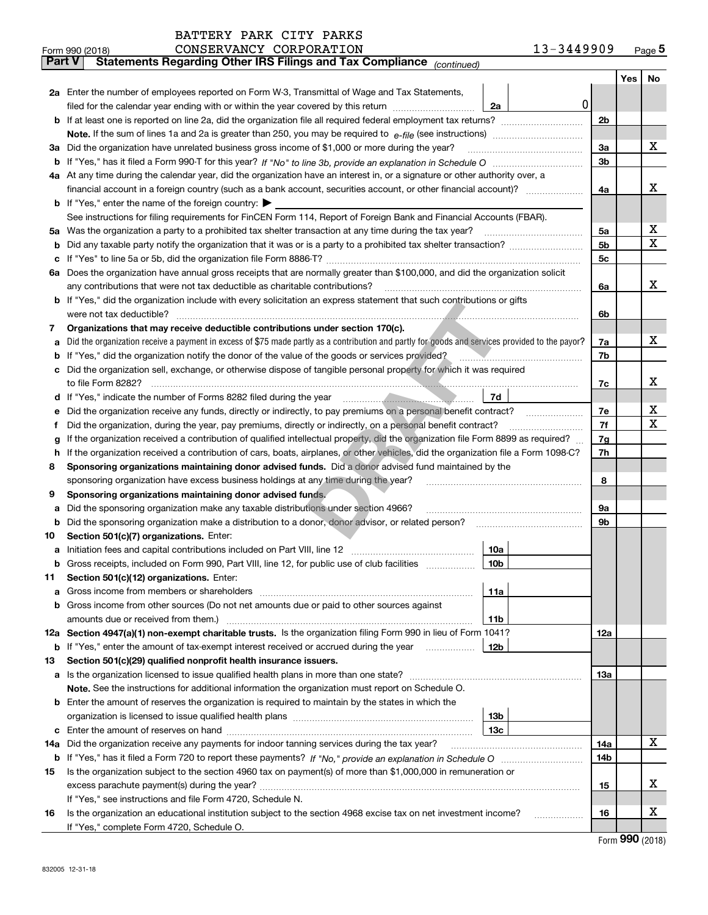| BATTERY PARK CITY PARKS |  |  |
|-------------------------|--|--|
|                         |  |  |

| rai l V | Statements Regarding Other IRS Fillings and Tax Compilance $_{(continued)}$                                                                     |                |     |             |
|---------|-------------------------------------------------------------------------------------------------------------------------------------------------|----------------|-----|-------------|
|         |                                                                                                                                                 |                | Yes | No          |
|         | 2a Enter the number of employees reported on Form W-3, Transmittal of Wage and Tax Statements,                                                  |                |     |             |
|         | 0<br>2a<br>filed for the calendar year ending with or within the year covered by this return <i>mummumumum</i>                                  |                |     |             |
|         |                                                                                                                                                 | 2 <sub>b</sub> |     |             |
|         |                                                                                                                                                 |                |     | х           |
|         | 3a Did the organization have unrelated business gross income of \$1,000 or more during the year?                                                | 3a             |     |             |
|         |                                                                                                                                                 | 3 <sub>b</sub> |     |             |
|         | 4a At any time during the calendar year, did the organization have an interest in, or a signature or other authority over, a                    |                |     | x           |
|         | <b>b</b> If "Yes," enter the name of the foreign country: $\blacktriangleright$                                                                 | 4a             |     |             |
|         | See instructions for filing requirements for FinCEN Form 114, Report of Foreign Bank and Financial Accounts (FBAR).                             |                |     |             |
|         |                                                                                                                                                 | 5a             |     | x           |
|         |                                                                                                                                                 | 5 <sub>b</sub> |     | $\mathbf X$ |
|         |                                                                                                                                                 | 5c             |     |             |
|         | 6a Does the organization have annual gross receipts that are normally greater than \$100,000, and did the organization solicit                  |                |     |             |
|         | any contributions that were not tax deductible as charitable contributions?                                                                     | 6a             |     | х           |
|         | <b>b</b> If "Yes," did the organization include with every solicitation an express statement that such contributions or gifts                   |                |     |             |
|         | were not tax deductible?                                                                                                                        | 6b             |     |             |
| 7       | Organizations that may receive deductible contributions under section 170(c).                                                                   |                |     |             |
| а       | Did the organization receive a payment in excess of \$75 made partly as a contribution and partly for goods and services provided to the payor? | 7a             |     | х           |
|         | <b>b</b> If "Yes," did the organization notify the donor of the value of the goods or services provided?                                        | 7b             |     |             |
|         | c Did the organization sell, exchange, or otherwise dispose of tangible personal property for which it was required                             |                |     |             |
|         | to file Form 8282?                                                                                                                              | 7c             |     | х           |
|         | <b>d</b> If "Yes," indicate the number of Forms 8282 filed during the year<br>7d                                                                |                |     |             |
|         | e Did the organization receive any funds, directly or indirectly, to pay premiums on a personal benefit contract?                               | 7e             |     | х           |
|         | Did the organization, during the year, pay premiums, directly or indirectly, on a personal benefit contract?                                    | 7f             |     | Χ           |
| g       | If the organization received a contribution of qualified intellectual property, did the organization file Form 8899 as required?                | 7g             |     |             |
|         | h If the organization received a contribution of cars, boats, airplanes, or other vehicles, did the organization file a Form 1098-C?            | 7h             |     |             |
| 8       | Sponsoring organizations maintaining donor advised funds. Did a donor advised fund maintained by the                                            |                |     |             |
|         | sponsoring organization have excess business holdings at any time during the year?                                                              | 8              |     |             |
| 9       | Sponsoring organizations maintaining donor advised funds.                                                                                       |                |     |             |
| а       | Did the sponsoring organization make any taxable distributions under section 4966?                                                              | 9а             |     |             |
|         | <b>b</b> Did the sponsoring organization make a distribution to a donor, donor advisor, or related person?                                      | 9 <sub>b</sub> |     |             |
| 10      | Section 501(c)(7) organizations. Enter:                                                                                                         |                |     |             |
|         | 10a<br>b Gross receipts, included on Form 990, Part VIII, line 12, for public use of club facilities<br>10 <sub>b</sub>                         |                |     |             |
| 11.     | Section 501(c)(12) organizations. Enter:                                                                                                        |                |     |             |
|         | 11a                                                                                                                                             |                |     |             |
|         | <b>b</b> Gross income from other sources (Do not net amounts due or paid to other sources against                                               |                |     |             |
|         | 11b                                                                                                                                             |                |     |             |
|         | 12a Section 4947(a)(1) non-exempt charitable trusts. Is the organization filing Form 990 in lieu of Form 1041?                                  | 12a            |     |             |
|         | 12b<br><b>b</b> If "Yes," enter the amount of tax-exempt interest received or accrued during the year                                           |                |     |             |
| 13      | Section 501(c)(29) qualified nonprofit health insurance issuers.                                                                                |                |     |             |
|         | a Is the organization licensed to issue qualified health plans in more than one state?                                                          | 13a            |     |             |
|         | Note. See the instructions for additional information the organization must report on Schedule O.                                               |                |     |             |
|         | <b>b</b> Enter the amount of reserves the organization is required to maintain by the states in which the                                       |                |     |             |
|         | 13b                                                                                                                                             |                |     |             |
|         | 13с                                                                                                                                             |                |     |             |
| 14a     | Did the organization receive any payments for indoor tanning services during the tax year?                                                      | 14a            |     | х           |
|         |                                                                                                                                                 | 14b            |     |             |
| 15      | Is the organization subject to the section 4960 tax on payment(s) of more than \$1,000,000 in remuneration or                                   |                |     |             |
|         |                                                                                                                                                 | 15             |     | x           |
|         | If "Yes," see instructions and file Form 4720, Schedule N.                                                                                      |                |     | х           |
| 16      | Is the organization an educational institution subject to the section 4968 excise tax on net investment income?                                 | 16             |     |             |
|         | If "Yes," complete Form 4720, Schedule O.                                                                                                       |                |     |             |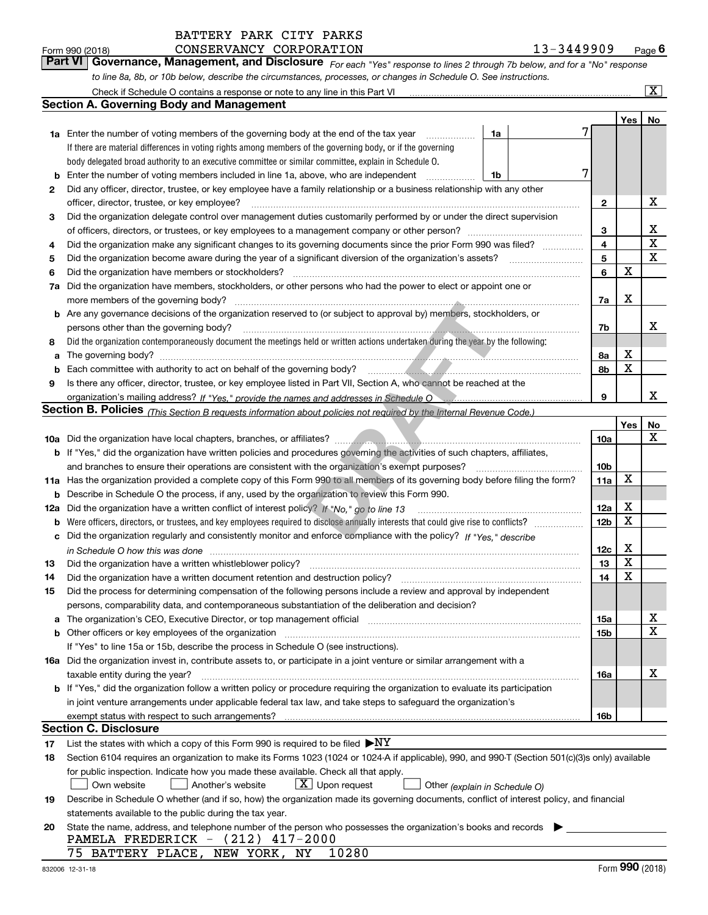Check if Schedule O contains a response or note to any line in this Part VI

|    |                                                                                                                                                                                                                                |                 | Yes | No |
|----|--------------------------------------------------------------------------------------------------------------------------------------------------------------------------------------------------------------------------------|-----------------|-----|----|
|    | <b>1a</b> Enter the number of voting members of the governing body at the end of the tax year<br>1a                                                                                                                            |                 |     |    |
|    | If there are material differences in voting rights among members of the governing body, or if the governing                                                                                                                    |                 |     |    |
|    | body delegated broad authority to an executive committee or similar committee, explain in Schedule O.                                                                                                                          |                 |     |    |
| b  | Enter the number of voting members included in line 1a, above, who are independent<br>1b                                                                                                                                       | 7               |     |    |
| 2  | Did any officer, director, trustee, or key employee have a family relationship or a business relationship with any other                                                                                                       |                 |     |    |
|    | officer, director, trustee, or key employee?                                                                                                                                                                                   | 2               |     | х  |
| 3  | Did the organization delegate control over management duties customarily performed by or under the direct supervision                                                                                                          |                 |     |    |
|    |                                                                                                                                                                                                                                | 3               |     | х  |
| 4  | Did the organization make any significant changes to its governing documents since the prior Form 990 was filed?                                                                                                               | 4               |     | X  |
| 5  | Did the organization become aware during the year of a significant diversion of the organization's assets?                                                                                                                     | 5               |     | х  |
| 6  | Did the organization have members or stockholders?                                                                                                                                                                             | 6               | х   |    |
| 7a | Did the organization have members, stockholders, or other persons who had the power to elect or appoint one or                                                                                                                 |                 |     |    |
|    | more members of the governing body?                                                                                                                                                                                            | 7a              | х   |    |
|    | b Are any governance decisions of the organization reserved to (or subject to approval by) members, stockholders, or                                                                                                           |                 |     |    |
|    | persons other than the governing body?                                                                                                                                                                                         | 7b              |     | x  |
| 8  | Did the organization contemporaneously document the meetings held or written actions undertaken during the year by the following:                                                                                              |                 |     |    |
| a  | The governing body?                                                                                                                                                                                                            | 8а              | х   |    |
| b  | Each committee with authority to act on behalf of the governing body?                                                                                                                                                          | 8b              | x   |    |
| 9  | Is there any officer, director, trustee, or key employee listed in Part VII, Section A, who cannot be reached at the                                                                                                           |                 |     |    |
|    |                                                                                                                                                                                                                                | 9               |     | x  |
|    | <b>Section B. Policies</b> (This Section B requests information about policies not required by the Internal Revenue Code.)                                                                                                     |                 |     |    |
|    |                                                                                                                                                                                                                                |                 | Yes | No |
|    |                                                                                                                                                                                                                                | 10a             |     | x  |
|    | <b>b</b> If "Yes," did the organization have written policies and procedures governing the activities of such chapters, affiliates,                                                                                            |                 |     |    |
|    | and branches to ensure their operations are consistent with the organization's exempt purposes?                                                                                                                                | 10 <sub>b</sub> |     |    |
|    | 11a Has the organization provided a complete copy of this Form 990 to all members of its governing body before filing the form?                                                                                                | 11a             | X   |    |
| b  | Describe in Schedule O the process, if any, used by the organization to review this Form 990.                                                                                                                                  |                 | х   |    |
|    | 12a Did the organization have a written conflict of interest policy? If "No," go to line 13                                                                                                                                    | 12a             | х   |    |
|    |                                                                                                                                                                                                                                | 12 <sub>b</sub> |     |    |
|    | c Did the organization regularly and consistently monitor and enforce compliance with the policy? If "Yes." describe                                                                                                           | 12c             | х   |    |
| 13 | in Schedule O how this was done manufactured and contact the state of the state of the state of the state of t<br>Did the organization have a written whistleblower policy?                                                    | 13              | х   |    |
| 14 | Did the organization have a written document retention and destruction policy?                                                                                                                                                 | 14              | х   |    |
| 15 | Did the process for determining compensation of the following persons include a review and approval by independent                                                                                                             |                 |     |    |
|    | persons, comparability data, and contemporaneous substantiation of the deliberation and decision?                                                                                                                              |                 |     |    |
|    | a The organization's CEO, Executive Director, or top management official manufactured content content of the organization's CEO, Executive Director, or top management official manufactured content of the state of the state | 15a             |     | х  |
| b  | Other officers or key employees of the organization                                                                                                                                                                            | 15 <sub>b</sub> |     | X  |
|    | If "Yes" to line 15a or 15b, describe the process in Schedule O (see instructions).                                                                                                                                            |                 |     |    |
|    | <b>16a</b> Did the organization invest in, contribute assets to, or participate in a joint venture or similar arrangement with a                                                                                               |                 |     |    |
|    | taxable entity during the year?                                                                                                                                                                                                | 16a             |     | x  |
|    | <b>b</b> If "Yes," did the organization follow a written policy or procedure requiring the organization to evaluate its participation                                                                                          |                 |     |    |
|    | in joint venture arrangements under applicable federal tax law, and take steps to safeguard the organization's                                                                                                                 |                 |     |    |
|    |                                                                                                                                                                                                                                | 16b             |     |    |
|    | <b>Section C. Disclosure</b>                                                                                                                                                                                                   |                 |     |    |
| 17 | List the states with which a copy of this Form 990 is required to be filed $\blacktriangleright$ NY                                                                                                                            |                 |     |    |
| 18 | Section 6104 requires an organization to make its Forms 1023 (1024 or 1024 A if applicable), 990, and 990-T (Section 501(c)(3)s only) available                                                                                |                 |     |    |
|    | for public inspection. Indicate how you made these available. Check all that apply.                                                                                                                                            |                 |     |    |
|    | $X$ Upon request<br>Another's website<br>Own website<br>Other (explain in Schedule O)                                                                                                                                          |                 |     |    |
| 19 | Describe in Schedule O whether (and if so, how) the organization made its governing documents, conflict of interest policy, and financial                                                                                      |                 |     |    |
|    | statements available to the public during the tax year.                                                                                                                                                                        |                 |     |    |
| 20 | State the name, address, and telephone number of the person who possesses the organization's books and records                                                                                                                 |                 |     |    |
|    | PAMELA FREDERICK $-$ (212) 417-2000                                                                                                                                                                                            |                 |     |    |
|    | 75 BATTERY PLACE, NEW YORK, NY<br>10280                                                                                                                                                                                        |                 |     |    |

 $\boxed{\text{X}}$ 

| orm 990 (2018) | CONSERVANCY CORPORATION                                                                                                            | 13-3449909 | Page $6$ |
|----------------|------------------------------------------------------------------------------------------------------------------------------------|------------|----------|
|                | <b>Part VI</b> Governance, Management, and Disclosure For each "Yes" response to lines 2 through 7b below, and for a "No" response |            |          |

**Section A. Governing Body and Management**

*to line 8a, 8b, or 10b below, describe the circumstances, processes, or changes in Schedule O. See instructions.*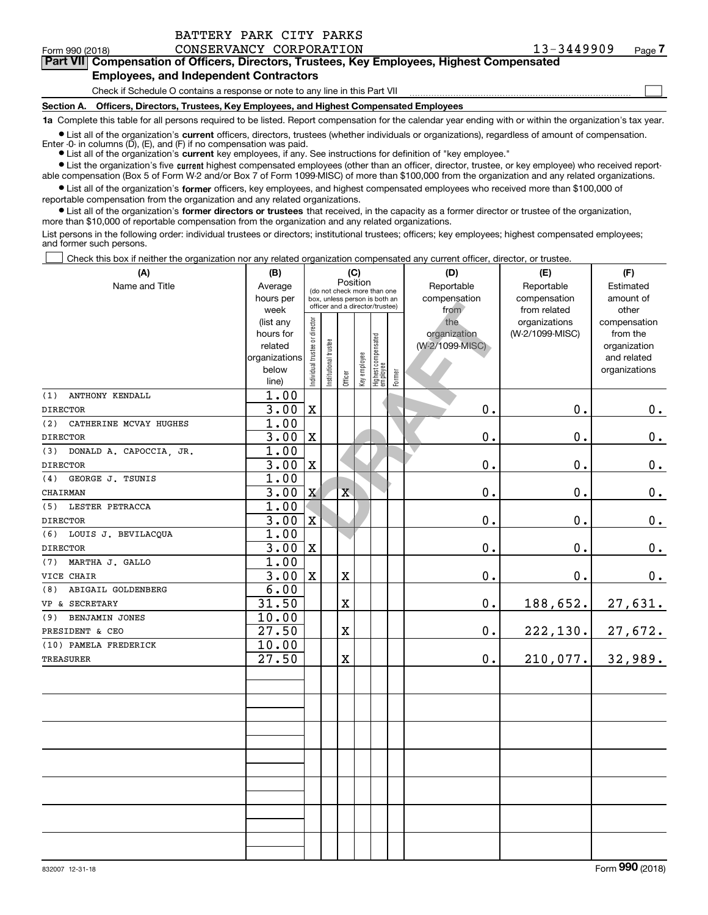$\mathcal{L}^{\text{max}}$ 

**7Part VII Compensation of Officers, Directors, Trustees, Key Employees, Highest Compensated Employees, and Independent Contractors**

Check if Schedule O contains a response or note to any line in this Part VII

**(A)**

**Section A. Officers, Directors, Trustees, Key Employees, and Highest Compensated Employees**

**1a**  Complete this table for all persons required to be listed. Report compensation for the calendar year ending with or within the organization's tax year.

**•** List all of the organization's current officers, directors, trustees (whether individuals or organizations), regardless of amount of compensation.

● List all of the organization's **current** key employees, if any. See instructions for definition of "key employee." Enter  $-0$ - in columns  $(D)$ ,  $(E)$ , and  $(F)$  if no compensation was paid.

**•** List the organization's five current highest compensated employees (other than an officer, director, trustee, or key employee) who received reportable compensation (Box 5 of Form W-2 and/or Box 7 of Form 1099-MISC) of more than \$100,000 from the organization and any related organizations.

 $\bullet$  List all of the organization's **former** officers, key employees, and highest compensated employees who received more than \$100,000 of reportable compensation from the organization and any related organizations.

**•** List all of the organization's former directors or trustees that received, in the capacity as a former director or trustee of the organization, more than \$10,000 of reportable compensation from the organization and any related organizations.

List persons in the following order: individual trustees or directors; institutional trustees; officers; key employees; highest compensated employees; and former such persons.

Check this box if neither the organization nor any related organization compensated any current officer, director, or trustee.  $\mathcal{L}^{\text{max}}$ 

| (A)                            | (B)                    | (C)                           |                                                                  |                       |              |                                 |        | (D)             | (E)                              | (F)                      |  |  |
|--------------------------------|------------------------|-------------------------------|------------------------------------------------------------------|-----------------------|--------------|---------------------------------|--------|-----------------|----------------------------------|--------------------------|--|--|
| Name and Title                 | Average                |                               |                                                                  | Position              |              | (do not check more than one     |        | Reportable      | Reportable                       | Estimated                |  |  |
|                                | hours per              |                               | box, unless person is both an<br>officer and a director/trustee) |                       |              |                                 |        | compensation    | compensation                     | amount of                |  |  |
|                                | week                   |                               |                                                                  |                       |              |                                 |        | from<br>the     | from related                     | other                    |  |  |
|                                | (list any<br>hours for |                               |                                                                  |                       |              |                                 |        | organization    | organizations<br>(W-2/1099-MISC) | compensation<br>from the |  |  |
|                                | related                |                               |                                                                  |                       |              |                                 |        | (W-2/1099-MISC) |                                  | organization             |  |  |
|                                | organizations          |                               |                                                                  |                       |              |                                 |        |                 |                                  | and related              |  |  |
|                                | below                  | ndividual trustee or director | Institutional trustee                                            |                       | Key employee | Highest compensated<br>employee |        |                 |                                  | organizations            |  |  |
|                                | line)                  |                               |                                                                  | Officer               |              |                                 | Former |                 |                                  |                          |  |  |
| ANTHONY KENDALL<br>(1)         | 1.00                   |                               |                                                                  |                       |              |                                 |        |                 |                                  |                          |  |  |
| <b>DIRECTOR</b>                | 3.00                   | X                             |                                                                  |                       |              |                                 |        | 0.              | 0.                               | 0.                       |  |  |
| (2)<br>CATHERINE MCVAY HUGHES  | 1.00                   |                               |                                                                  |                       |              |                                 |        |                 |                                  |                          |  |  |
| <b>DIRECTOR</b>                | 3.00                   | X                             |                                                                  |                       |              |                                 |        | $\mathbf 0$ .   | 0.                               | $\mathbf 0$ .            |  |  |
| DONALD A. CAPOCCIA, JR.<br>(3) | 1.00                   |                               |                                                                  |                       |              |                                 |        |                 |                                  |                          |  |  |
| <b>DIRECTOR</b>                | 3.00                   | X                             |                                                                  |                       |              |                                 |        | $\mathbf 0$ .   | 0.                               | $\pmb{0}$ .              |  |  |
| (4)<br>GEORGE J. TSUNIS        | 1.00                   |                               |                                                                  |                       |              |                                 |        |                 |                                  |                          |  |  |
| CHAIRMAN                       | 3.00                   | X                             |                                                                  | $\overline{\text{X}}$ |              |                                 |        | 0.              | 0.                               | $\pmb{0}$ .              |  |  |
| (5) LESTER PETRACCA            | 1.00                   |                               |                                                                  |                       |              |                                 |        |                 |                                  |                          |  |  |
| <b>DIRECTOR</b>                | 3.00                   | X                             |                                                                  |                       |              |                                 |        | 0.              | 0.                               | $\pmb{0}$ .              |  |  |
| (6) LOUIS J. BEVILACQUA        | 1.00                   |                               |                                                                  |                       |              |                                 |        |                 |                                  |                          |  |  |
| <b>DIRECTOR</b>                | 3.00                   | $\mathbf X$                   |                                                                  |                       |              |                                 |        | $\mathbf 0$ .   | 0.                               | 0.                       |  |  |
| MARTHA J. GALLO<br>(7)         | 1.00                   |                               |                                                                  |                       |              |                                 |        |                 |                                  |                          |  |  |
| VICE CHAIR                     | 3.00                   | $\mathbf X$                   |                                                                  | $\mathbf X$           |              |                                 |        | 0.              | $0$ .                            | $\mathbf 0$ .            |  |  |
| ABIGAIL GOLDENBERG<br>(8)      | 6.00                   |                               |                                                                  |                       |              |                                 |        |                 |                                  |                          |  |  |
| VP & SECRETARY                 | 31.50                  |                               |                                                                  | X                     |              |                                 |        | 0.              | 188,652.                         | 27,631.                  |  |  |
| (9) BENJAMIN JONES             | 10.00                  |                               |                                                                  |                       |              |                                 |        |                 |                                  |                          |  |  |
| PRESIDENT & CEO                | 27.50                  |                               |                                                                  | $\mathbf X$           |              |                                 |        | 0.              | 222,130.                         | 27,672.                  |  |  |
| (10) PAMELA FREDERICK          | 10.00                  |                               |                                                                  |                       |              |                                 |        |                 |                                  |                          |  |  |
| TREASURER                      | 27.50                  |                               |                                                                  | X                     |              |                                 |        | 0.              | 210,077.                         | 32,989.                  |  |  |
|                                |                        |                               |                                                                  |                       |              |                                 |        |                 |                                  |                          |  |  |
|                                |                        |                               |                                                                  |                       |              |                                 |        |                 |                                  |                          |  |  |
|                                |                        |                               |                                                                  |                       |              |                                 |        |                 |                                  |                          |  |  |
|                                |                        |                               |                                                                  |                       |              |                                 |        |                 |                                  |                          |  |  |
|                                |                        |                               |                                                                  |                       |              |                                 |        |                 |                                  |                          |  |  |
|                                |                        |                               |                                                                  |                       |              |                                 |        |                 |                                  |                          |  |  |
|                                |                        |                               |                                                                  |                       |              |                                 |        |                 |                                  |                          |  |  |
|                                |                        |                               |                                                                  |                       |              |                                 |        |                 |                                  |                          |  |  |
|                                |                        |                               |                                                                  |                       |              |                                 |        |                 |                                  |                          |  |  |
|                                |                        |                               |                                                                  |                       |              |                                 |        |                 |                                  |                          |  |  |
|                                |                        |                               |                                                                  |                       |              |                                 |        |                 |                                  |                          |  |  |
|                                |                        |                               |                                                                  |                       |              |                                 |        |                 |                                  |                          |  |  |
|                                |                        |                               |                                                                  |                       |              |                                 |        |                 |                                  |                          |  |  |
|                                |                        |                               |                                                                  |                       |              |                                 |        |                 |                                  |                          |  |  |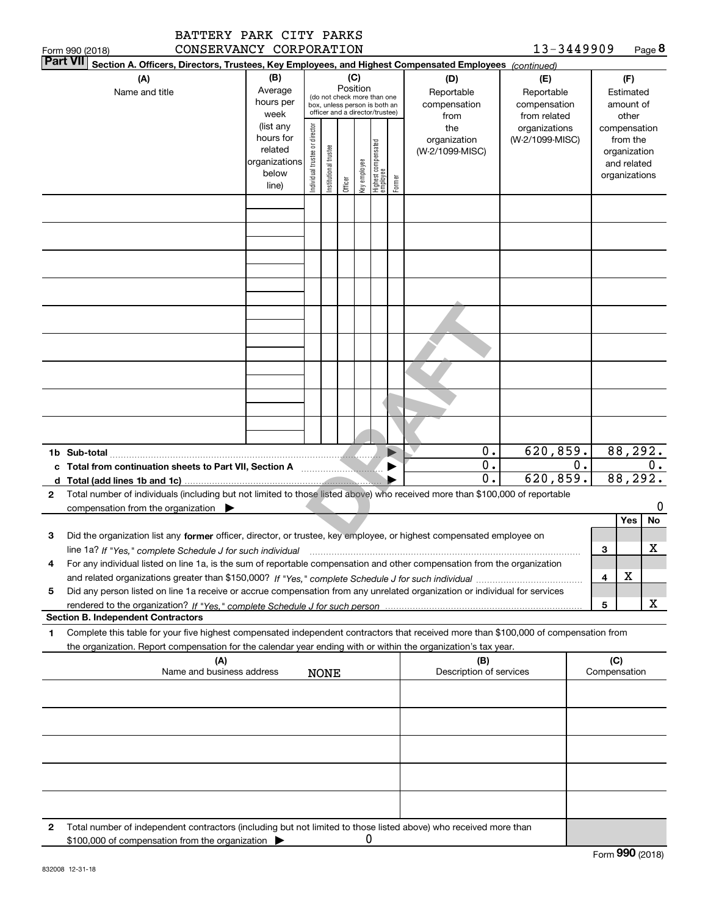|   | CONSERVANCY CORPORATION<br>Form 990 (2018)                                                                                                                                                                                                                              |                                                                              |                                                                                                                                                         |                        |         |                                   |                                 |        |                                                | 13-3449909                                       |    |     |                                                                                   | Page 8  |
|---|-------------------------------------------------------------------------------------------------------------------------------------------------------------------------------------------------------------------------------------------------------------------------|------------------------------------------------------------------------------|---------------------------------------------------------------------------------------------------------------------------------------------------------|------------------------|---------|-----------------------------------|---------------------------------|--------|------------------------------------------------|--------------------------------------------------|----|-----|-----------------------------------------------------------------------------------|---------|
|   | <b>Part VII</b><br>Section A. Officers, Directors, Trustees, Key Employees, and Highest Compensated Employees (continued)                                                                                                                                               |                                                                              |                                                                                                                                                         |                        |         |                                   |                                 |        |                                                |                                                  |    |     |                                                                                   |         |
|   | (A)<br>Name and title                                                                                                                                                                                                                                                   | (B)<br>Average<br>hours per                                                  | (C)<br>(D)<br>Position<br>Reportable<br>(do not check more than one<br>compensation<br>box, unless person is both an<br>officer and a director/trustee) |                        |         | (E)<br>Reportable<br>compensation |                                 |        | (F)<br>Estimated<br>amount of                  |                                                  |    |     |                                                                                   |         |
|   |                                                                                                                                                                                                                                                                         | week<br>(list any<br>hours for<br>related<br>organizations<br>below<br>line) | Individual trustee or director                                                                                                                          | In stitutional trustee | Officer | key employee                      | Highest compensated<br>employee | Former | from<br>the<br>organization<br>(W-2/1099-MISC) | from related<br>organizations<br>(W-2/1099-MISC) |    |     | other<br>compensation<br>from the<br>organization<br>and related<br>organizations |         |
|   |                                                                                                                                                                                                                                                                         |                                                                              |                                                                                                                                                         |                        |         |                                   |                                 |        |                                                |                                                  |    |     |                                                                                   |         |
|   |                                                                                                                                                                                                                                                                         |                                                                              |                                                                                                                                                         |                        |         |                                   |                                 |        |                                                |                                                  |    |     |                                                                                   |         |
|   |                                                                                                                                                                                                                                                                         |                                                                              |                                                                                                                                                         |                        |         |                                   |                                 |        |                                                |                                                  |    |     |                                                                                   |         |
|   |                                                                                                                                                                                                                                                                         |                                                                              |                                                                                                                                                         |                        |         |                                   |                                 |        |                                                |                                                  |    |     |                                                                                   |         |
|   |                                                                                                                                                                                                                                                                         |                                                                              |                                                                                                                                                         |                        |         |                                   |                                 |        |                                                |                                                  |    |     |                                                                                   |         |
|   |                                                                                                                                                                                                                                                                         |                                                                              |                                                                                                                                                         |                        |         |                                   |                                 |        |                                                |                                                  |    |     |                                                                                   |         |
|   |                                                                                                                                                                                                                                                                         |                                                                              |                                                                                                                                                         |                        |         |                                   |                                 |        |                                                |                                                  |    |     |                                                                                   |         |
|   | 1b Sub-total<br>c Total from continuation sheets to Part VII, Section A <b>Conservation</b>                                                                                                                                                                             |                                                                              |                                                                                                                                                         |                        |         |                                   |                                 |        | 0.<br>$\mathbf 0$ .                            | 620,859.                                         | 0. |     | 88,292.                                                                           | 0.      |
| d | Total (add lines 1b and 1c)                                                                                                                                                                                                                                             |                                                                              |                                                                                                                                                         |                        |         |                                   |                                 |        | $\mathbf 0$ .                                  | 620,859.                                         |    |     | 88, 292.                                                                          |         |
| 2 | Total number of individuals (including but not limited to those listed above) who received more than \$100,000 of reportable<br>compensation from the organization                                                                                                      |                                                                              |                                                                                                                                                         |                        |         |                                   |                                 |        |                                                |                                                  |    |     | Yes                                                                               | 0<br>No |
| 3 | Did the organization list any former officer, director, or trustee, key employee, or highest compensated employee on<br>line 1a? If "Yes," complete Schedule J for such individual manufactured contained and the 1a? If "Yes," complete Schedule J for such individual |                                                                              |                                                                                                                                                         |                        |         |                                   |                                 |        |                                                |                                                  |    | З   |                                                                                   | х       |
| 4 | For any individual listed on line 1a, is the sum of reportable compensation and other compensation from the organization                                                                                                                                                |                                                                              |                                                                                                                                                         |                        |         |                                   |                                 |        |                                                |                                                  |    | 4   | х                                                                                 |         |
| 5 | Did any person listed on line 1a receive or accrue compensation from any unrelated organization or individual for services<br><b>Section B. Independent Contractors</b>                                                                                                 |                                                                              |                                                                                                                                                         |                        |         |                                   |                                 |        |                                                |                                                  |    | 5   |                                                                                   | x       |
| 1 | Complete this table for your five highest compensated independent contractors that received more than \$100,000 of compensation from<br>the organization. Report compensation for the calendar year ending with or within the organization's tax year.                  |                                                                              |                                                                                                                                                         |                        |         |                                   |                                 |        |                                                |                                                  |    |     |                                                                                   |         |
|   | (A)<br>Name and business address                                                                                                                                                                                                                                        |                                                                              |                                                                                                                                                         | <b>NONE</b>            |         |                                   |                                 |        | (B)<br>Description of services                 |                                                  |    | (C) | Compensation                                                                      |         |
|   |                                                                                                                                                                                                                                                                         |                                                                              |                                                                                                                                                         |                        |         |                                   |                                 |        |                                                |                                                  |    |     |                                                                                   |         |
|   |                                                                                                                                                                                                                                                                         |                                                                              |                                                                                                                                                         |                        |         |                                   |                                 |        |                                                |                                                  |    |     |                                                                                   |         |
|   |                                                                                                                                                                                                                                                                         |                                                                              |                                                                                                                                                         |                        |         |                                   |                                 |        |                                                |                                                  |    |     |                                                                                   |         |
|   |                                                                                                                                                                                                                                                                         |                                                                              |                                                                                                                                                         |                        |         |                                   |                                 |        |                                                |                                                  |    |     |                                                                                   |         |
| 2 | Total number of independent contractors (including but not limited to those listed above) who received more than<br>\$100,000 of compensation from the organization                                                                                                     |                                                                              |                                                                                                                                                         |                        |         | 0                                 |                                 |        |                                                |                                                  |    |     |                                                                                   |         |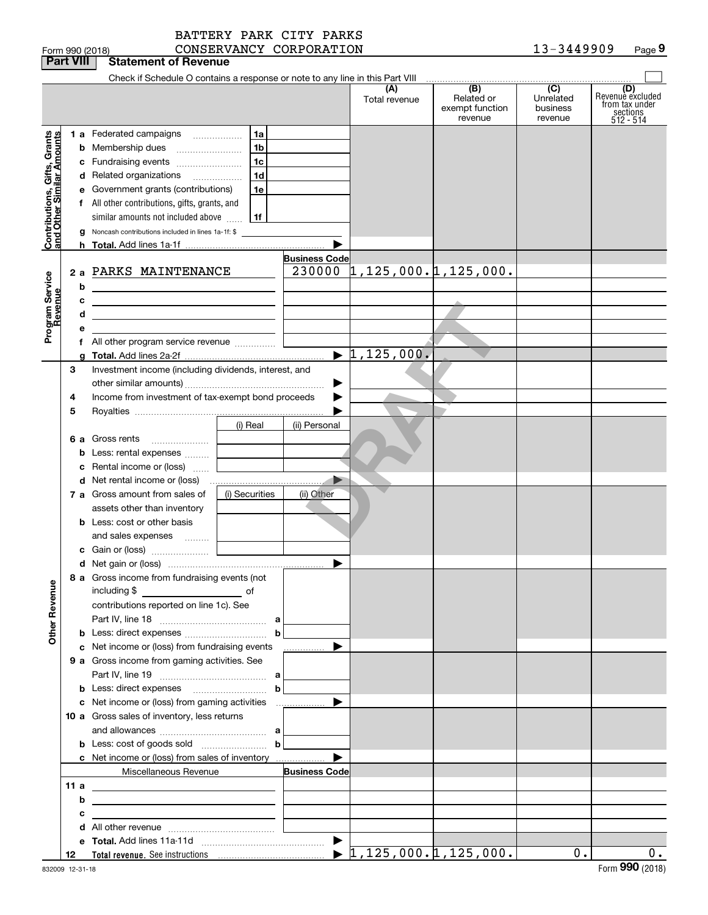|                                                           | <b>Part VIII</b> | <b>Statement of Revenue</b>                                                                                                                                                          |                      |                                    |                                                              |                                                    |                                                                      |
|-----------------------------------------------------------|------------------|--------------------------------------------------------------------------------------------------------------------------------------------------------------------------------------|----------------------|------------------------------------|--------------------------------------------------------------|----------------------------------------------------|----------------------------------------------------------------------|
|                                                           |                  | Check if Schedule O contains a response or note to any line in this Part VIII                                                                                                        |                      |                                    |                                                              |                                                    |                                                                      |
|                                                           |                  |                                                                                                                                                                                      |                      | Total revenue                      | $\overline{(B)}$<br>Related or<br>exempt function<br>revenue | $\overline{C}$<br>Unrelated<br>business<br>revenue | (D)<br>Revenue excluded<br>from tax under<br>sections<br>$512 - 514$ |
|                                                           |                  | 1 a Federated campaigns<br>  1a                                                                                                                                                      |                      |                                    |                                                              |                                                    |                                                                      |
| Contributions, Gifts, Grants<br>and Other Similar Amounts |                  | 1b<br><b>b</b> Membership dues                                                                                                                                                       |                      |                                    |                                                              |                                                    |                                                                      |
|                                                           |                  | 1c<br>c Fundraising events                                                                                                                                                           |                      |                                    |                                                              |                                                    |                                                                      |
|                                                           |                  | 1 <sub>d</sub><br>d Related organizations                                                                                                                                            |                      |                                    |                                                              |                                                    |                                                                      |
|                                                           |                  | e Government grants (contributions)<br>1e                                                                                                                                            |                      |                                    |                                                              |                                                    |                                                                      |
|                                                           |                  | All other contributions, gifts, grants, and                                                                                                                                          |                      |                                    |                                                              |                                                    |                                                                      |
|                                                           |                  | similar amounts not included above<br>  1f                                                                                                                                           |                      |                                    |                                                              |                                                    |                                                                      |
|                                                           |                  | Noncash contributions included in lines 1a-1f: \$                                                                                                                                    |                      |                                    |                                                              |                                                    |                                                                      |
|                                                           |                  |                                                                                                                                                                                      |                      |                                    |                                                              |                                                    |                                                                      |
|                                                           |                  | 2 a PARKS MAINTENANCE                                                                                                                                                                | <b>Business Code</b> | $230000$ $1,125,000.$ $1,125,000.$ |                                                              |                                                    |                                                                      |
| Program Service<br>Revenue                                |                  |                                                                                                                                                                                      |                      |                                    |                                                              |                                                    |                                                                      |
|                                                           | b                | <u> 1989 - Johann Stein, mars an deus an deus Amerikaanse komme</u>                                                                                                                  |                      |                                    |                                                              |                                                    |                                                                      |
|                                                           | c                | <u> 1989 - Johann Barbara, martxa alemaniar arg</u>                                                                                                                                  |                      |                                    |                                                              |                                                    |                                                                      |
|                                                           | d                | <u> 1989 - Johann Barbara, martxa alemaniar arg</u>                                                                                                                                  |                      |                                    |                                                              |                                                    |                                                                      |
|                                                           | е<br>f           |                                                                                                                                                                                      |                      |                                    |                                                              |                                                    |                                                                      |
|                                                           |                  |                                                                                                                                                                                      |                      | $\blacktriangleright$ 1,125,000.   |                                                              |                                                    |                                                                      |
|                                                           | 3                | Investment income (including dividends, interest, and                                                                                                                                |                      |                                    |                                                              |                                                    |                                                                      |
|                                                           |                  |                                                                                                                                                                                      |                      |                                    |                                                              |                                                    |                                                                      |
|                                                           | 4                | Income from investment of tax-exempt bond proceeds                                                                                                                                   |                      |                                    |                                                              |                                                    |                                                                      |
|                                                           | 5                |                                                                                                                                                                                      |                      |                                    |                                                              |                                                    |                                                                      |
|                                                           |                  | (i) Real                                                                                                                                                                             | (ii) Personal        |                                    |                                                              |                                                    |                                                                      |
|                                                           |                  | 6 a Gross rents                                                                                                                                                                      |                      |                                    |                                                              |                                                    |                                                                      |
|                                                           | b                | Less: rental expenses                                                                                                                                                                |                      |                                    |                                                              |                                                    |                                                                      |
|                                                           |                  | Rental income or (loss)                                                                                                                                                              |                      |                                    |                                                              |                                                    |                                                                      |
|                                                           |                  |                                                                                                                                                                                      |                      |                                    |                                                              |                                                    |                                                                      |
|                                                           |                  | 7 a Gross amount from sales of<br>(i) Securities                                                                                                                                     | (ii) Other           |                                    |                                                              |                                                    |                                                                      |
|                                                           |                  | assets other than inventory                                                                                                                                                          |                      |                                    |                                                              |                                                    |                                                                      |
|                                                           |                  | <b>b</b> Less: cost or other basis                                                                                                                                                   |                      |                                    |                                                              |                                                    |                                                                      |
|                                                           |                  | and sales expenses  [                                                                                                                                                                |                      |                                    |                                                              |                                                    |                                                                      |
|                                                           |                  |                                                                                                                                                                                      |                      |                                    |                                                              |                                                    |                                                                      |
|                                                           |                  |                                                                                                                                                                                      |                      |                                    |                                                              |                                                    |                                                                      |
| <b>Other Revenue</b>                                      |                  | 8 a Gross income from fundraising events (not<br>including \$<br>and the contract of the contract of the contract of the contract of the contract of the contract of the contract of |                      |                                    |                                                              |                                                    |                                                                      |
|                                                           |                  | contributions reported on line 1c). See                                                                                                                                              |                      |                                    |                                                              |                                                    |                                                                      |
|                                                           |                  |                                                                                                                                                                                      |                      |                                    |                                                              |                                                    |                                                                      |
|                                                           |                  | $\mathbf b$<br><b>b</b> Less: direct expenses <i>manually contained</i>                                                                                                              |                      |                                    |                                                              |                                                    |                                                                      |
|                                                           |                  | c Net income or (loss) from fundraising events                                                                                                                                       | ____________ ▶       |                                    |                                                              |                                                    |                                                                      |
|                                                           |                  | 9 a Gross income from gaming activities. See                                                                                                                                         |                      |                                    |                                                              |                                                    |                                                                      |
|                                                           |                  |                                                                                                                                                                                      |                      |                                    |                                                              |                                                    |                                                                      |
|                                                           |                  | $\mathbf b$                                                                                                                                                                          |                      |                                    |                                                              |                                                    |                                                                      |
|                                                           |                  |                                                                                                                                                                                      |                      |                                    |                                                              |                                                    |                                                                      |
|                                                           |                  | 10 a Gross sales of inventory, less returns                                                                                                                                          |                      |                                    |                                                              |                                                    |                                                                      |
|                                                           |                  | and allowances $\ldots$ , $\ldots$ , $\ldots$ , $\ldots$ , $\ldots$ , $\ldots$ , $\ldots$                                                                                            |                      |                                    |                                                              |                                                    |                                                                      |
|                                                           |                  | $\mathbf b$                                                                                                                                                                          |                      |                                    |                                                              |                                                    |                                                                      |
|                                                           |                  | Miscellaneous Revenue                                                                                                                                                                | <b>Business Code</b> |                                    |                                                              |                                                    |                                                                      |
|                                                           | 11a              |                                                                                                                                                                                      |                      |                                    |                                                              |                                                    |                                                                      |
|                                                           | b                | <u> 1989 - Andrea Stadt Britain, amerikansk politiker (</u><br>the control of the control of the control of the control of the control of the control of                             |                      |                                    |                                                              |                                                    |                                                                      |
|                                                           | с                | the control of the control of the control of the control of the control of the                                                                                                       |                      |                                    |                                                              |                                                    |                                                                      |
|                                                           | d                |                                                                                                                                                                                      |                      |                                    |                                                              |                                                    |                                                                      |
|                                                           |                  |                                                                                                                                                                                      |                      |                                    |                                                              |                                                    |                                                                      |
|                                                           | 12               | Total revenue. See instructions $\ldots$ $\blacktriangleright$ $\boxed{1,125,000.}$ $\boxed{1,125,000.}$                                                                             |                      |                                    |                                                              | 0.                                                 | 0.                                                                   |

Form 990 (2018) CONSERVANCY CORPORATION 13-3449909 Page

BATTERY PARK CITY PARKS

**9**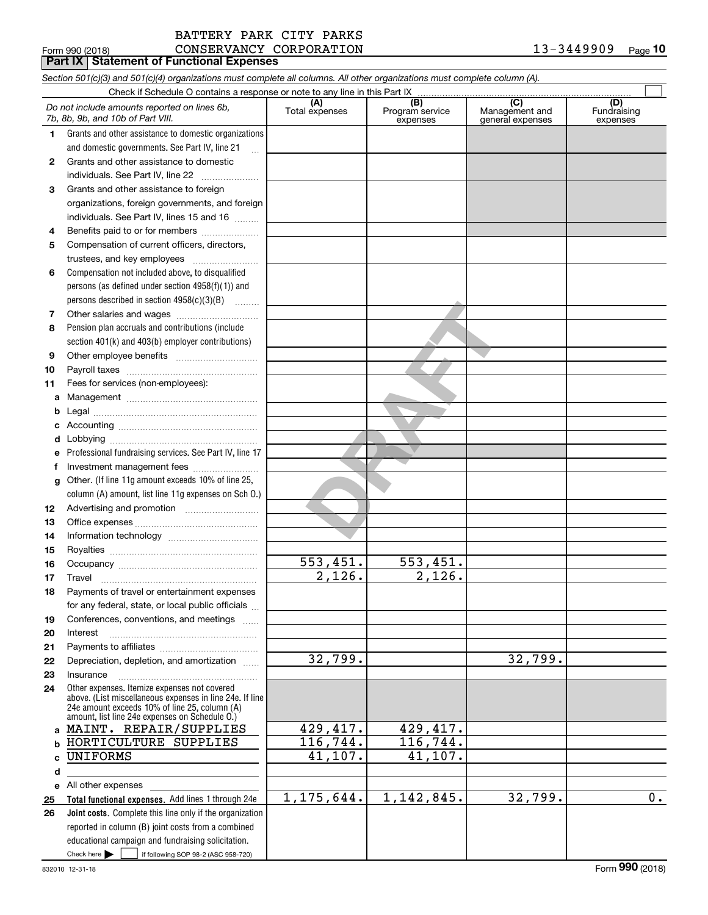|    | Section 501(c)(3) and 501(c)(4) organizations must complete all columns. All other organizations must complete column (A).<br>Check if Schedule O contains a response or note to any line in this Part IX |                       |                        |                                    |                         |
|----|-----------------------------------------------------------------------------------------------------------------------------------------------------------------------------------------------------------|-----------------------|------------------------|------------------------------------|-------------------------|
|    | Do not include amounts reported on lines 6b,                                                                                                                                                              | (A)<br>Total expenses | (B)<br>Program service | (C)                                | (D)                     |
|    | 7b, 8b, 9b, and 10b of Part VIII.                                                                                                                                                                         |                       | expenses               | Management and<br>general expenses | Fundraising<br>expenses |
| 1  | Grants and other assistance to domestic organizations                                                                                                                                                     |                       |                        |                                    |                         |
|    | and domestic governments. See Part IV, line 21                                                                                                                                                            |                       |                        |                                    |                         |
| 2  | Grants and other assistance to domestic                                                                                                                                                                   |                       |                        |                                    |                         |
|    | individuals. See Part IV, line 22                                                                                                                                                                         |                       |                        |                                    |                         |
| 3  | Grants and other assistance to foreign                                                                                                                                                                    |                       |                        |                                    |                         |
|    | organizations, foreign governments, and foreign                                                                                                                                                           |                       |                        |                                    |                         |
|    | individuals. See Part IV, lines 15 and 16                                                                                                                                                                 |                       |                        |                                    |                         |
| 4  | Benefits paid to or for members                                                                                                                                                                           |                       |                        |                                    |                         |
| 5  | Compensation of current officers, directors,                                                                                                                                                              |                       |                        |                                    |                         |
|    | trustees, and key employees                                                                                                                                                                               |                       |                        |                                    |                         |
| 6  | Compensation not included above, to disqualified                                                                                                                                                          |                       |                        |                                    |                         |
|    | persons (as defined under section 4958(f)(1)) and                                                                                                                                                         |                       |                        |                                    |                         |
|    | persons described in section 4958(c)(3)(B)                                                                                                                                                                |                       |                        |                                    |                         |
| 7  |                                                                                                                                                                                                           |                       |                        |                                    |                         |
| 8  | Pension plan accruals and contributions (include                                                                                                                                                          |                       |                        |                                    |                         |
|    | section 401(k) and 403(b) employer contributions)                                                                                                                                                         |                       |                        |                                    |                         |
| 9  |                                                                                                                                                                                                           |                       |                        |                                    |                         |
| 10 |                                                                                                                                                                                                           |                       |                        |                                    |                         |
| 11 | Fees for services (non-employees):                                                                                                                                                                        |                       |                        |                                    |                         |
| а  |                                                                                                                                                                                                           |                       |                        |                                    |                         |
| b  |                                                                                                                                                                                                           |                       |                        |                                    |                         |
|    |                                                                                                                                                                                                           |                       |                        |                                    |                         |
| d  |                                                                                                                                                                                                           |                       |                        |                                    |                         |
|    | Professional fundraising services. See Part IV, line 17                                                                                                                                                   |                       |                        |                                    |                         |
| f  | Investment management fees                                                                                                                                                                                |                       |                        |                                    |                         |
| g  | Other. (If line 11g amount exceeds 10% of line 25,<br>column (A) amount, list line 11g expenses on Sch O.)                                                                                                |                       |                        |                                    |                         |
| 12 |                                                                                                                                                                                                           |                       |                        |                                    |                         |
| 13 |                                                                                                                                                                                                           |                       |                        |                                    |                         |
| 14 |                                                                                                                                                                                                           |                       |                        |                                    |                         |
| 15 |                                                                                                                                                                                                           |                       |                        |                                    |                         |
| 16 |                                                                                                                                                                                                           | 553,451.              | 553,451.               |                                    |                         |
| 17 |                                                                                                                                                                                                           | 2,126.                | 2,126.                 |                                    |                         |
| 18 | Payments of travel or entertainment expenses                                                                                                                                                              |                       |                        |                                    |                         |
|    | for any federal, state, or local public officials                                                                                                                                                         |                       |                        |                                    |                         |
| 19 | Conferences, conventions, and meetings                                                                                                                                                                    |                       |                        |                                    |                         |
| 20 | Interest                                                                                                                                                                                                  |                       |                        |                                    |                         |
| 21 |                                                                                                                                                                                                           |                       |                        |                                    |                         |
| 22 | Depreciation, depletion, and amortization                                                                                                                                                                 | 32,799.               |                        | 32,799.                            |                         |
| 23 | Insurance                                                                                                                                                                                                 |                       |                        |                                    |                         |
| 24 | Other expenses. Itemize expenses not covered<br>above. (List miscellaneous expenses in line 24e. If line                                                                                                  |                       |                        |                                    |                         |
|    | 24e amount exceeds 10% of line 25, column (A)                                                                                                                                                             |                       |                        |                                    |                         |
|    | amount, list line 24e expenses on Schedule O.)                                                                                                                                                            |                       |                        |                                    |                         |
| a  | MAINT. REPAIR/SUPPLIES                                                                                                                                                                                    | 429,417.              | 429,417.               |                                    |                         |
| b  | HORTICULTURE SUPPLIES                                                                                                                                                                                     | 116,744.              | 116,744.<br>41,107.    |                                    |                         |
| c  | UNIFORMS                                                                                                                                                                                                  | 41,107.               |                        |                                    |                         |
| d  | e All other expenses                                                                                                                                                                                      |                       |                        |                                    |                         |
| 25 | Total functional expenses. Add lines 1 through 24e                                                                                                                                                        | 1, 175, 644.          | 1, 142, 845.           | 32,799.                            | 0.                      |
| 26 | <b>Joint costs.</b> Complete this line only if the organization                                                                                                                                           |                       |                        |                                    |                         |
|    | reported in column (B) joint costs from a combined                                                                                                                                                        |                       |                        |                                    |                         |
|    | educational campaign and fundraising solicitation.                                                                                                                                                        |                       |                        |                                    |                         |
|    | Check here $\blacktriangleright$<br>if following SOP 98-2 (ASC 958-720)                                                                                                                                   |                       |                        |                                    |                         |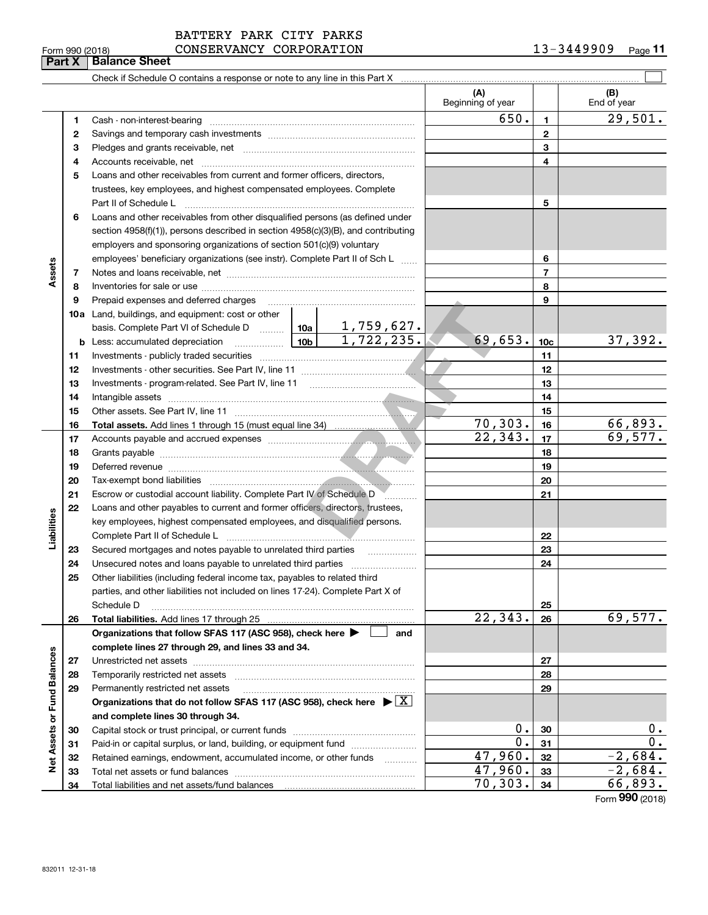### $_{\rm Form}$   $_{990}$  (2018)  $_{\rm CO}$   $_{\rm CO}$   $_{\rm CR}$   $_{\rm PC}$   $_{\rm CO}$   $_{\rm CO}$   $_{\rm CO}$   $_{\rm CO}$   $_{\rm CO}$   $_{\rm CO}$   $_{\rm CO}$   $_{\rm CO}$   $_{\rm CO}$   $_{\rm CO}$   $_{\rm CO}$   $_{\rm CO}$   $_{\rm CO}$   $_{\rm CO}$   $_{\rm CO}$   $_{\rm CO}$   $_{\rm CO}$   $_{\rm CO}$   $_{\rm CO}$   $_{\rm CO}$   $_{\rm CO}$ BATTERY PARK CITY PARKS

**11**

|                             |          | Check if Schedule O contains a response or note to any line in this Part X                      |                          |                 |                    |
|-----------------------------|----------|-------------------------------------------------------------------------------------------------|--------------------------|-----------------|--------------------|
|                             |          |                                                                                                 | (A)<br>Beginning of year |                 | (B)<br>End of year |
|                             | 1        |                                                                                                 | 650.                     | $\mathbf{1}$    | 29,501.            |
|                             | 2        |                                                                                                 |                          | $\mathbf{2}$    |                    |
|                             | з        |                                                                                                 |                          | 3               |                    |
|                             | 4        |                                                                                                 |                          | 4               |                    |
|                             | 5        | Loans and other receivables from current and former officers, directors,                        |                          |                 |                    |
|                             |          | trustees, key employees, and highest compensated employees. Complete                            |                          |                 |                    |
|                             |          | Part II of Schedule L                                                                           |                          | 5               |                    |
|                             | 6        | Loans and other receivables from other disqualified persons (as defined under                   |                          |                 |                    |
|                             |          | section $4958(f)(1)$ , persons described in section $4958(c)(3)(B)$ , and contributing          |                          |                 |                    |
|                             |          | employers and sponsoring organizations of section 501(c)(9) voluntary                           |                          |                 |                    |
|                             |          | employees' beneficiary organizations (see instr). Complete Part II of Sch L                     |                          | 6               |                    |
| Assets                      | 7        |                                                                                                 |                          | 7               |                    |
|                             | 8        |                                                                                                 |                          | 8               |                    |
|                             | 9        | Prepaid expenses and deferred charges                                                           |                          | 9               |                    |
|                             |          | <b>10a</b> Land, buildings, and equipment: cost or other                                        |                          |                 |                    |
|                             |          | basis. Complete Part VI of Schedule D  10a   1, 759, 627.                                       |                          |                 |                    |
|                             | b        | 1,722,235.<br>10 <sub>b</sub><br>Less: accumulated depreciation<br>. 1                          | 69,653.                  | 10 <sub>c</sub> | 37, 392.           |
|                             | 11       |                                                                                                 |                          | 11              |                    |
|                             | 12       |                                                                                                 |                          | 12              |                    |
|                             | 13       |                                                                                                 |                          | 13              |                    |
|                             | 14       |                                                                                                 |                          | 14              |                    |
|                             | 15       |                                                                                                 |                          | 15              |                    |
|                             | 16       |                                                                                                 | 70,303.                  | 16              | 66,893.            |
|                             | 17       |                                                                                                 | 22, 343.                 | 17              | 69,577.            |
|                             | 18       |                                                                                                 |                          | 18              |                    |
|                             | 19       |                                                                                                 |                          | 19              |                    |
|                             | 20       |                                                                                                 |                          | 20              |                    |
|                             | 21       | Escrow or custodial account liability. Complete Part IV of Schedule D<br>.                      |                          | 21              |                    |
|                             | 22       | Loans and other payables to current and former officers, directors, trustees,                   |                          |                 |                    |
| iabilities                  |          | key employees, highest compensated employees, and disqualified persons.                         |                          |                 |                    |
|                             |          |                                                                                                 |                          | 22<br>23        |                    |
|                             | 23<br>24 | Secured mortgages and notes payable to unrelated third parties                                  |                          | 24              |                    |
|                             | 25       | Other liabilities (including federal income tax, payables to related third                      |                          |                 |                    |
|                             |          | parties, and other liabilities not included on lines 17-24). Complete Part X of                 |                          |                 |                    |
|                             |          | Schedule D                                                                                      |                          | 25              |                    |
|                             | 26       | Total liabilities. Add lines 17 through 25                                                      | 22,343.                  | 26              | 69, 577.           |
|                             |          | Organizations that follow SFAS 117 (ASC 958), check here ><br>and                               |                          |                 |                    |
|                             |          | complete lines 27 through 29, and lines 33 and 34.                                              |                          |                 |                    |
|                             | 27       | Unrestricted net assets                                                                         |                          | 27              |                    |
|                             | 28       | Temporarily restricted net assets                                                               |                          | 28              |                    |
|                             | 29       | Permanently restricted net assets                                                               |                          | 29              |                    |
|                             |          | Organizations that do not follow SFAS 117 (ASC 958), check here $\blacktriangleright \boxed{X}$ |                          |                 |                    |
|                             |          | and complete lines 30 through 34.                                                               |                          |                 |                    |
| Net Assets or Fund Balances | 30       |                                                                                                 | 0.                       | 30              | 0.                 |
|                             | 31       |                                                                                                 | $\overline{0}$ .         | 31              | $0$ .              |
|                             | 32       | Retained earnings, endowment, accumulated income, or other funds<br>1.1.1.1.1.1.1.1.1.1         | 47,960.                  | 32              | $-2,684.$          |
|                             | 33       | Total net assets or fund balances                                                               | 47,960.                  | 33              | $-2,684.$          |
|                             | 34       | Total liabilities and net assets/fund balances                                                  | 70, 303.                 | 34              | 66,893.            |

Form (2018) **990**

# **Part X Balance Sheet**

|  | Form 990 (2018) |
|--|-----------------|
|  |                 |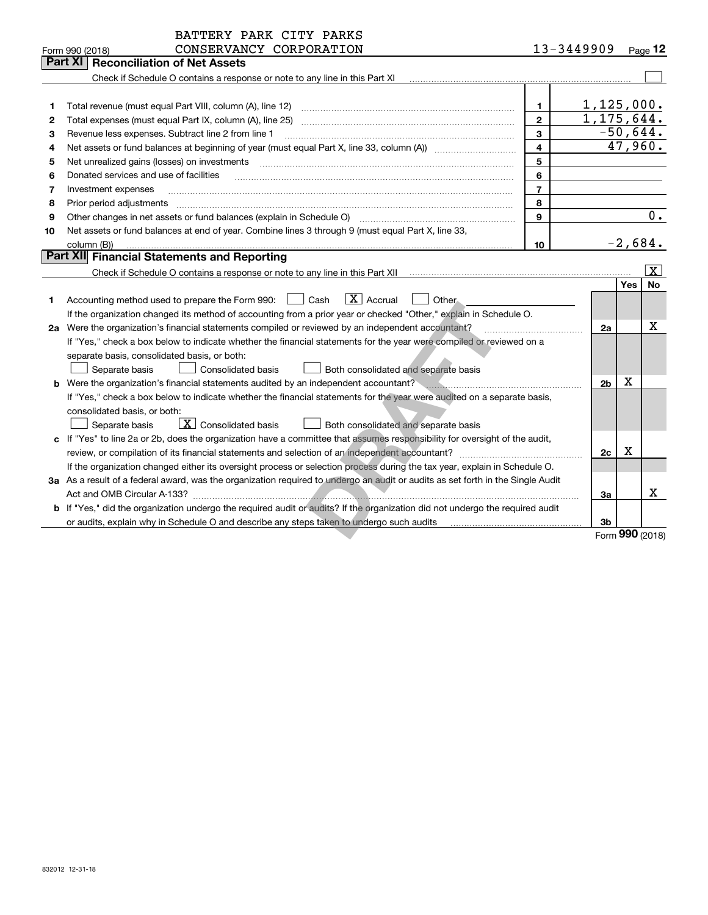|    | BATTERY PARK CITY PARKS                                                                                                                                 |                |                          |     |                  |
|----|---------------------------------------------------------------------------------------------------------------------------------------------------------|----------------|--------------------------|-----|------------------|
|    | CONSERVANCY CORPORATION<br>Form 990 (2018)                                                                                                              | 13-3449909     |                          |     | Page $12$        |
|    | <b>Reconciliation of Net Assets</b><br>Part XI                                                                                                          |                |                          |     |                  |
|    | Check if Schedule O contains a response or note to any line in this Part XI                                                                             |                |                          |     |                  |
|    |                                                                                                                                                         |                |                          |     |                  |
| 1  | Total revenue (must equal Part VIII, column (A), line 12)                                                                                               | 1.             | 1,125,000.               |     |                  |
| 2  | Total expenses (must equal Part IX, column (A), line 25)                                                                                                | $\mathbf{2}$   | $\overline{1,175,644}$ . |     |                  |
| з  | Revenue less expenses. Subtract line 2 from line 1                                                                                                      | 3              |                          |     | $-50,644.$       |
| 4  |                                                                                                                                                         | 4              |                          |     | 47,960.          |
| 5  | Net unrealized gains (losses) on investments                                                                                                            | 5              |                          |     |                  |
| 6  | Donated services and use of facilities                                                                                                                  | 6              |                          |     |                  |
| 7  | Investment expenses                                                                                                                                     | $\overline{7}$ |                          |     |                  |
| 8  | Prior period adjustments                                                                                                                                | 8              |                          |     |                  |
| 9  | Other changes in net assets or fund balances (explain in Schedule O)                                                                                    | 9              |                          |     | $\overline{0}$ . |
| 10 | Net assets or fund balances at end of year. Combine lines 3 through 9 (must equal Part X, line 33,                                                      |                |                          |     |                  |
|    | column (B))                                                                                                                                             | 10             |                          |     | $-2,684.$        |
|    | Part XII Financial Statements and Reporting                                                                                                             |                |                          |     |                  |
|    | Check if Schedule O contains a response or note to any line in this Part XII                                                                            |                |                          |     | $\vert X \vert$  |
|    |                                                                                                                                                         |                |                          | Yes | No               |
| 1  | $\overline{X}$ Accrual<br>Cash<br>Accounting method used to prepare the Form 990:<br>Other.                                                             |                |                          |     |                  |
|    | If the organization changed its method of accounting from a prior year or checked "Other," explain in Schedule O.                                       |                |                          |     |                  |
|    | 2a Were the organization's financial statements compiled or reviewed by an independent accountant?                                                      |                | 2a                       |     | X                |
|    | If "Yes," check a box below to indicate whether the financial statements for the year were compiled or reviewed on a                                    |                |                          |     |                  |
|    | separate basis, consolidated basis, or both:                                                                                                            |                |                          |     |                  |
|    | Separate basis<br>Consolidated basis<br>Both consolidated and separate basis                                                                            |                |                          | х   |                  |
|    | <b>b</b> Were the organization's financial statements audited by an independent accountant?                                                             |                | 2 <sub>b</sub>           |     |                  |
|    | If "Yes," check a box below to indicate whether the financial statements for the year were audited on a separate basis,<br>consolidated basis, or both: |                |                          |     |                  |
|    | $\mid$ $\rm X \mid$ Consolidated basis<br>Separate basis<br>Both consolidated and separate basis                                                        |                |                          |     |                  |
|    | c If "Yes" to line 2a or 2b, does the organization have a committee that assumes responsibility for oversight of the audit,                             |                |                          |     |                  |
|    | review, or compilation of its financial statements and selection of an independent accountant?                                                          |                | 2c                       | х   |                  |
|    | If the organization changed either its oversight process or selection process during the tax year, explain in Schedule O.                               |                |                          |     |                  |
|    | 3a As a result of a federal award, was the organization required to undergo an audit or audits as set forth in the Single Audit                         |                |                          |     |                  |
|    | Act and OMB Circular A-133?                                                                                                                             |                | За                       |     | x                |
|    | b If "Yes," did the organization undergo the required audit or audits? If the organization did not undergo the required audit                           |                |                          |     |                  |
|    | or audits, explain why in Schedule O and describe any steps taken to undergo such audits                                                                |                | 3b                       |     |                  |
|    |                                                                                                                                                         |                |                          |     | Form 990 (2018)  |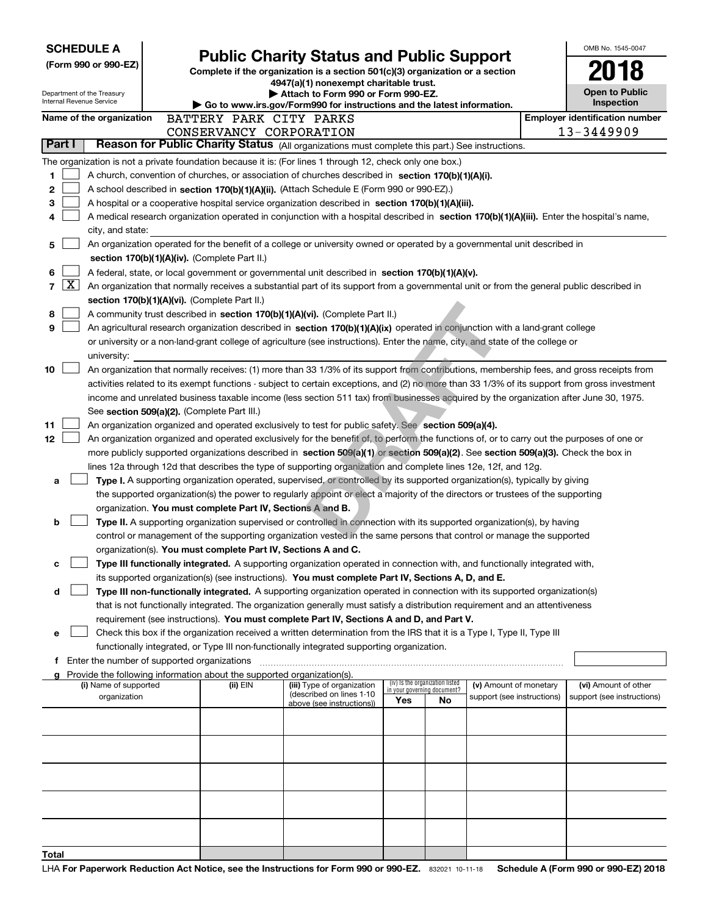|                                                                                                                                                        | <b>SCHEDULE A</b><br>(Form 990 or 990-EZ)<br>Department of the Treasury |  | <b>Public Charity Status and Public Support</b><br>Complete if the organization is a section 501(c)(3) organization or a section<br>4947(a)(1) nonexempt charitable trust.<br>Attach to Form 990 or Form 990-EZ.<br>Go to www.irs.gov/Form990 for instructions and the latest information. |                                                                                                                                                                                                                 |                             |                                 |                            |  |                                                     |  |  |
|--------------------------------------------------------------------------------------------------------------------------------------------------------|-------------------------------------------------------------------------|--|--------------------------------------------------------------------------------------------------------------------------------------------------------------------------------------------------------------------------------------------------------------------------------------------|-----------------------------------------------------------------------------------------------------------------------------------------------------------------------------------------------------------------|-----------------------------|---------------------------------|----------------------------|--|-----------------------------------------------------|--|--|
|                                                                                                                                                        | Internal Revenue Service                                                |  |                                                                                                                                                                                                                                                                                            |                                                                                                                                                                                                                 |                             |                                 |                            |  | Inspection                                          |  |  |
|                                                                                                                                                        | Name of the organization                                                |  | BATTERY PARK CITY PARKS<br>CONSERVANCY CORPORATION                                                                                                                                                                                                                                         |                                                                                                                                                                                                                 |                             |                                 |                            |  | <b>Employer identification number</b><br>13-3449909 |  |  |
| Part I                                                                                                                                                 |                                                                         |  |                                                                                                                                                                                                                                                                                            | Reason for Public Charity Status (All organizations must complete this part.) See instructions.                                                                                                                 |                             |                                 |                            |  |                                                     |  |  |
|                                                                                                                                                        |                                                                         |  |                                                                                                                                                                                                                                                                                            |                                                                                                                                                                                                                 |                             |                                 |                            |  |                                                     |  |  |
| 1                                                                                                                                                      |                                                                         |  |                                                                                                                                                                                                                                                                                            | The organization is not a private foundation because it is: (For lines 1 through 12, check only one box.)<br>A church, convention of churches, or association of churches described in section 170(b)(1)(A)(i). |                             |                                 |                            |  |                                                     |  |  |
| 2                                                                                                                                                      |                                                                         |  |                                                                                                                                                                                                                                                                                            | A school described in section 170(b)(1)(A)(ii). (Attach Schedule E (Form 990 or 990-EZ).)                                                                                                                       |                             |                                 |                            |  |                                                     |  |  |
| 3                                                                                                                                                      |                                                                         |  |                                                                                                                                                                                                                                                                                            | A hospital or a cooperative hospital service organization described in section 170(b)(1)(A)(iii).                                                                                                               |                             |                                 |                            |  |                                                     |  |  |
| 4                                                                                                                                                      |                                                                         |  |                                                                                                                                                                                                                                                                                            | A medical research organization operated in conjunction with a hospital described in section 170(b)(1)(A)(iii). Enter the hospital's name,                                                                      |                             |                                 |                            |  |                                                     |  |  |
|                                                                                                                                                        | city, and state:                                                        |  |                                                                                                                                                                                                                                                                                            |                                                                                                                                                                                                                 |                             |                                 |                            |  |                                                     |  |  |
| 5                                                                                                                                                      |                                                                         |  |                                                                                                                                                                                                                                                                                            | An organization operated for the benefit of a college or university owned or operated by a governmental unit described in                                                                                       |                             |                                 |                            |  |                                                     |  |  |
|                                                                                                                                                        |                                                                         |  |                                                                                                                                                                                                                                                                                            |                                                                                                                                                                                                                 |                             |                                 |                            |  |                                                     |  |  |
| section 170(b)(1)(A)(iv). (Complete Part II.)<br>6<br>A federal, state, or local government or governmental unit described in section 170(b)(1)(A)(v). |                                                                         |  |                                                                                                                                                                                                                                                                                            |                                                                                                                                                                                                                 |                             |                                 |                            |  |                                                     |  |  |
| $\lfloor x \rfloor$<br>7                                                                                                                               |                                                                         |  |                                                                                                                                                                                                                                                                                            | An organization that normally receives a substantial part of its support from a governmental unit or from the general public described in                                                                       |                             |                                 |                            |  |                                                     |  |  |
|                                                                                                                                                        |                                                                         |  | section 170(b)(1)(A)(vi). (Complete Part II.)                                                                                                                                                                                                                                              |                                                                                                                                                                                                                 |                             |                                 |                            |  |                                                     |  |  |
| 8                                                                                                                                                      |                                                                         |  |                                                                                                                                                                                                                                                                                            | A community trust described in section 170(b)(1)(A)(vi). (Complete Part II.)                                                                                                                                    |                             |                                 |                            |  |                                                     |  |  |
| 9                                                                                                                                                      |                                                                         |  |                                                                                                                                                                                                                                                                                            | An agricultural research organization described in section 170(b)(1)(A)(ix) operated in conjunction with a land-grant college                                                                                   |                             |                                 |                            |  |                                                     |  |  |
|                                                                                                                                                        |                                                                         |  |                                                                                                                                                                                                                                                                                            | or university or a non-land-grant college of agriculture (see instructions). Enter the name, city, and state of the college or                                                                                  |                             |                                 |                            |  |                                                     |  |  |
|                                                                                                                                                        | university:                                                             |  |                                                                                                                                                                                                                                                                                            |                                                                                                                                                                                                                 |                             |                                 |                            |  |                                                     |  |  |
| 10                                                                                                                                                     |                                                                         |  |                                                                                                                                                                                                                                                                                            | An organization that normally receives: (1) more than 33 1/3% of its support from contributions, membership fees, and gross receipts from                                                                       |                             |                                 |                            |  |                                                     |  |  |
|                                                                                                                                                        |                                                                         |  |                                                                                                                                                                                                                                                                                            | activities related to its exempt functions - subject to certain exceptions, and (2) no more than 33 1/3% of its support from gross investment                                                                   |                             |                                 |                            |  |                                                     |  |  |
|                                                                                                                                                        |                                                                         |  |                                                                                                                                                                                                                                                                                            | income and unrelated business taxable income (less section 511 tax) from businesses acquired by the organization after June 30, 1975.                                                                           |                             |                                 |                            |  |                                                     |  |  |
|                                                                                                                                                        |                                                                         |  | See section 509(a)(2). (Complete Part III.)                                                                                                                                                                                                                                                |                                                                                                                                                                                                                 |                             |                                 |                            |  |                                                     |  |  |
| 11                                                                                                                                                     |                                                                         |  |                                                                                                                                                                                                                                                                                            | An organization organized and operated exclusively to test for public safety. See section 509(a)(4).                                                                                                            |                             |                                 |                            |  |                                                     |  |  |
| 12                                                                                                                                                     |                                                                         |  |                                                                                                                                                                                                                                                                                            | An organization organized and operated exclusively for the benefit of, to perform the functions of, or to carry out the purposes of one or                                                                      |                             |                                 |                            |  |                                                     |  |  |
|                                                                                                                                                        |                                                                         |  |                                                                                                                                                                                                                                                                                            | more publicly supported organizations described in section 509(a)(1) or section 509(a)(2). See section 509(a)(3). Check the box in                                                                              |                             |                                 |                            |  |                                                     |  |  |
|                                                                                                                                                        |                                                                         |  |                                                                                                                                                                                                                                                                                            | lines 12a through 12d that describes the type of supporting organization and complete lines 12e, 12f, and 12g.                                                                                                  |                             |                                 |                            |  |                                                     |  |  |
| a                                                                                                                                                      |                                                                         |  |                                                                                                                                                                                                                                                                                            | Type I. A supporting organization operated, supervised, or controlled by its supported organization(s), typically by giving                                                                                     |                             |                                 |                            |  |                                                     |  |  |
|                                                                                                                                                        |                                                                         |  |                                                                                                                                                                                                                                                                                            | the supported organization(s) the power to regularly appoint or elect a majority of the directors or trustees of the supporting                                                                                 |                             |                                 |                            |  |                                                     |  |  |
|                                                                                                                                                        |                                                                         |  | organization. You must complete Part IV, Sections A and B.                                                                                                                                                                                                                                 |                                                                                                                                                                                                                 |                             |                                 |                            |  |                                                     |  |  |
| b                                                                                                                                                      |                                                                         |  |                                                                                                                                                                                                                                                                                            | Type II. A supporting organization supervised or controlled in connection with its supported organization(s), by having                                                                                         |                             |                                 |                            |  |                                                     |  |  |
|                                                                                                                                                        |                                                                         |  |                                                                                                                                                                                                                                                                                            | control or management of the supporting organization vested in the same persons that control or manage the supported                                                                                            |                             |                                 |                            |  |                                                     |  |  |
|                                                                                                                                                        |                                                                         |  | organization(s). You must complete Part IV, Sections A and C.                                                                                                                                                                                                                              | Type III functionally integrated. A supporting organization operated in connection with, and functionally integrated with,                                                                                      |                             |                                 |                            |  |                                                     |  |  |
|                                                                                                                                                        |                                                                         |  |                                                                                                                                                                                                                                                                                            | its supported organization(s) (see instructions). You must complete Part IV, Sections A, D, and E.                                                                                                              |                             |                                 |                            |  |                                                     |  |  |
| d                                                                                                                                                      |                                                                         |  |                                                                                                                                                                                                                                                                                            | Type III non-functionally integrated. A supporting organization operated in connection with its supported organization(s)                                                                                       |                             |                                 |                            |  |                                                     |  |  |
|                                                                                                                                                        |                                                                         |  |                                                                                                                                                                                                                                                                                            | that is not functionally integrated. The organization generally must satisfy a distribution requirement and an attentiveness                                                                                    |                             |                                 |                            |  |                                                     |  |  |
|                                                                                                                                                        |                                                                         |  |                                                                                                                                                                                                                                                                                            | requirement (see instructions). You must complete Part IV, Sections A and D, and Part V.                                                                                                                        |                             |                                 |                            |  |                                                     |  |  |
| е                                                                                                                                                      |                                                                         |  |                                                                                                                                                                                                                                                                                            | Check this box if the organization received a written determination from the IRS that it is a Type I, Type II, Type III                                                                                         |                             |                                 |                            |  |                                                     |  |  |
|                                                                                                                                                        |                                                                         |  |                                                                                                                                                                                                                                                                                            | functionally integrated, or Type III non-functionally integrated supporting organization.                                                                                                                       |                             |                                 |                            |  |                                                     |  |  |
|                                                                                                                                                        |                                                                         |  |                                                                                                                                                                                                                                                                                            |                                                                                                                                                                                                                 |                             |                                 |                            |  |                                                     |  |  |
|                                                                                                                                                        |                                                                         |  | Provide the following information about the supported organization(s).                                                                                                                                                                                                                     |                                                                                                                                                                                                                 |                             |                                 |                            |  |                                                     |  |  |
|                                                                                                                                                        | (i) Name of supported                                                   |  | (ii) EIN                                                                                                                                                                                                                                                                                   | (iii) Type of organization<br>(described on lines 1-10                                                                                                                                                          | in your governing document? | (iv) Is the organization listed | (v) Amount of monetary     |  | (vi) Amount of other                                |  |  |
|                                                                                                                                                        | organization                                                            |  |                                                                                                                                                                                                                                                                                            | above (see instructions))                                                                                                                                                                                       | Yes                         | No                              | support (see instructions) |  | support (see instructions)                          |  |  |
|                                                                                                                                                        |                                                                         |  |                                                                                                                                                                                                                                                                                            |                                                                                                                                                                                                                 |                             |                                 |                            |  |                                                     |  |  |
|                                                                                                                                                        |                                                                         |  |                                                                                                                                                                                                                                                                                            |                                                                                                                                                                                                                 |                             |                                 |                            |  |                                                     |  |  |
|                                                                                                                                                        |                                                                         |  |                                                                                                                                                                                                                                                                                            |                                                                                                                                                                                                                 |                             |                                 |                            |  |                                                     |  |  |
|                                                                                                                                                        |                                                                         |  |                                                                                                                                                                                                                                                                                            |                                                                                                                                                                                                                 |                             |                                 |                            |  |                                                     |  |  |
|                                                                                                                                                        |                                                                         |  |                                                                                                                                                                                                                                                                                            |                                                                                                                                                                                                                 |                             |                                 |                            |  |                                                     |  |  |
|                                                                                                                                                        |                                                                         |  |                                                                                                                                                                                                                                                                                            |                                                                                                                                                                                                                 |                             |                                 |                            |  |                                                     |  |  |
|                                                                                                                                                        |                                                                         |  |                                                                                                                                                                                                                                                                                            |                                                                                                                                                                                                                 |                             |                                 |                            |  |                                                     |  |  |
|                                                                                                                                                        |                                                                         |  |                                                                                                                                                                                                                                                                                            |                                                                                                                                                                                                                 |                             |                                 |                            |  |                                                     |  |  |
|                                                                                                                                                        |                                                                         |  |                                                                                                                                                                                                                                                                                            |                                                                                                                                                                                                                 |                             |                                 |                            |  |                                                     |  |  |
| Total                                                                                                                                                  |                                                                         |  |                                                                                                                                                                                                                                                                                            |                                                                                                                                                                                                                 |                             |                                 |                            |  |                                                     |  |  |
|                                                                                                                                                        |                                                                         |  |                                                                                                                                                                                                                                                                                            |                                                                                                                                                                                                                 |                             |                                 |                            |  |                                                     |  |  |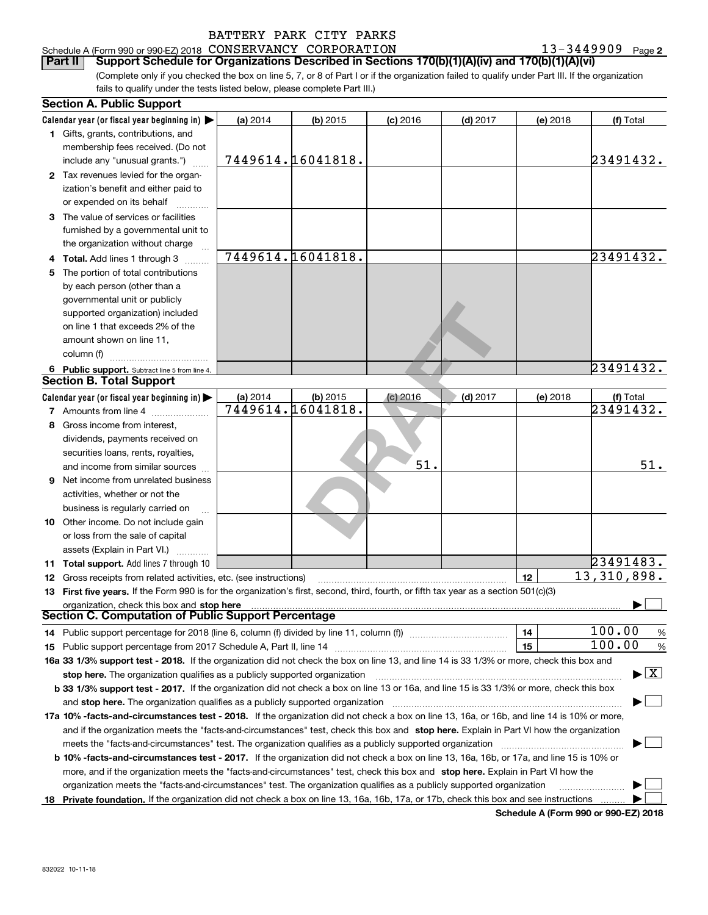### Schedule A (Form 990 or 990-EZ) 2018 Page CONSERVANCY CORPORATION 13-3449909 **Part II** | Support Schedule for Organizations Described in Sections 170(b)(1)(A)(iv) and 170(b)(1)(A)(vi)

(Complete only if you checked the box on line 5, 7, or 8 of Part I or if the organization failed to qualify under Part III. If the organization fails to qualify under the tests listed below, please complete Part III.)

|    | <b>Section A. Public Support</b>                                                                                                           |          |                   |            |            |          |                                          |  |  |  |
|----|--------------------------------------------------------------------------------------------------------------------------------------------|----------|-------------------|------------|------------|----------|------------------------------------------|--|--|--|
|    | Calendar year (or fiscal year beginning in)                                                                                                | (a) 2014 | (b) 2015          | $(c)$ 2016 | $(d)$ 2017 | (e) 2018 | (f) Total                                |  |  |  |
|    | 1 Gifts, grants, contributions, and                                                                                                        |          |                   |            |            |          |                                          |  |  |  |
|    | membership fees received. (Do not                                                                                                          |          |                   |            |            |          |                                          |  |  |  |
|    | include any "unusual grants.")                                                                                                             |          | 7449614.16041818. |            |            |          | 23491432.                                |  |  |  |
|    | 2 Tax revenues levied for the organ-                                                                                                       |          |                   |            |            |          |                                          |  |  |  |
|    | ization's benefit and either paid to                                                                                                       |          |                   |            |            |          |                                          |  |  |  |
|    | or expended on its behalf                                                                                                                  |          |                   |            |            |          |                                          |  |  |  |
|    | 3 The value of services or facilities                                                                                                      |          |                   |            |            |          |                                          |  |  |  |
|    | furnished by a governmental unit to                                                                                                        |          |                   |            |            |          |                                          |  |  |  |
|    | the organization without charge                                                                                                            |          |                   |            |            |          |                                          |  |  |  |
|    | <b>Total.</b> Add lines 1 through 3                                                                                                        |          | 7449614.16041818. |            |            |          | 23491432.                                |  |  |  |
| 5. | The portion of total contributions                                                                                                         |          |                   |            |            |          |                                          |  |  |  |
|    | by each person (other than a                                                                                                               |          |                   |            |            |          |                                          |  |  |  |
|    | governmental unit or publicly                                                                                                              |          |                   |            |            |          |                                          |  |  |  |
|    | supported organization) included                                                                                                           |          |                   |            |            |          |                                          |  |  |  |
|    | on line 1 that exceeds 2% of the                                                                                                           |          |                   |            |            |          |                                          |  |  |  |
|    | amount shown on line 11,                                                                                                                   |          |                   |            |            |          |                                          |  |  |  |
|    | column (f)                                                                                                                                 |          |                   |            |            |          |                                          |  |  |  |
|    | 6 Public support. Subtract line 5 from line 4.                                                                                             |          |                   |            |            |          | 23491432.                                |  |  |  |
|    | <b>Section B. Total Support</b>                                                                                                            |          |                   |            |            |          |                                          |  |  |  |
|    | Calendar year (or fiscal year beginning in)                                                                                                | (a) 2014 | $(b)$ 2015        | $(c)$ 2016 | $(d)$ 2017 | (e) 2018 | (f) Total                                |  |  |  |
|    | 7 Amounts from line 4                                                                                                                      |          | 7449614.16041818. |            |            |          | 23491432.                                |  |  |  |
|    | 8 Gross income from interest.                                                                                                              |          |                   |            |            |          |                                          |  |  |  |
|    | dividends, payments received on                                                                                                            |          |                   |            |            |          |                                          |  |  |  |
|    | securities loans, rents, royalties,                                                                                                        |          |                   |            |            |          |                                          |  |  |  |
|    | and income from similar sources                                                                                                            |          |                   | 51.        |            |          | 51.                                      |  |  |  |
| 9  | Net income from unrelated business                                                                                                         |          |                   |            |            |          |                                          |  |  |  |
|    | activities, whether or not the                                                                                                             |          |                   |            |            |          |                                          |  |  |  |
|    | business is regularly carried on                                                                                                           |          |                   |            |            |          |                                          |  |  |  |
|    | 10 Other income. Do not include gain                                                                                                       |          |                   |            |            |          |                                          |  |  |  |
|    | or loss from the sale of capital                                                                                                           |          |                   |            |            |          |                                          |  |  |  |
|    | assets (Explain in Part VI.)                                                                                                               |          |                   |            |            |          |                                          |  |  |  |
|    | <b>11 Total support.</b> Add lines 7 through 10                                                                                            |          |                   |            |            |          | 23491483.                                |  |  |  |
|    | 12 Gross receipts from related activities, etc. (see instructions)                                                                         |          |                   |            |            | 12       | 13,310,898.                              |  |  |  |
|    | 13 First five years. If the Form 990 is for the organization's first, second, third, fourth, or fifth tax year as a section 501(c)(3)      |          |                   |            |            |          |                                          |  |  |  |
|    | organization, check this box and stop here                                                                                                 |          |                   |            |            |          |                                          |  |  |  |
|    | Section C. Computation of Public Support Percentage                                                                                        |          |                   |            |            |          |                                          |  |  |  |
|    | 14 Public support percentage for 2018 (line 6, column (f) divided by line 11, column (f) <i>manumeronoming</i>                             |          |                   |            |            | 14       | 100.00<br>$\frac{9}{6}$                  |  |  |  |
|    |                                                                                                                                            |          |                   |            |            | 15       | 100.00<br>%                              |  |  |  |
|    | 16a 33 1/3% support test - 2018. If the organization did not check the box on line 13, and line 14 is 33 1/3% or more, check this box and  |          |                   |            |            |          |                                          |  |  |  |
|    | stop here. The organization qualifies as a publicly supported organization                                                                 |          |                   |            |            |          | $\blacktriangleright$ $\boxed{\text{X}}$ |  |  |  |
|    | b 33 1/3% support test - 2017. If the organization did not check a box on line 13 or 16a, and line 15 is 33 1/3% or more, check this box   |          |                   |            |            |          |                                          |  |  |  |
|    | and stop here. The organization qualifies as a publicly supported organization                                                             |          |                   |            |            |          |                                          |  |  |  |
|    | 17a 10% -facts-and-circumstances test - 2018. If the organization did not check a box on line 13, 16a, or 16b, and line 14 is 10% or more, |          |                   |            |            |          |                                          |  |  |  |
|    | and if the organization meets the "facts-and-circumstances" test, check this box and stop here. Explain in Part VI how the organization    |          |                   |            |            |          |                                          |  |  |  |
|    | meets the "facts-and-circumstances" test. The organization qualifies as a publicly supported organization                                  |          |                   |            |            |          |                                          |  |  |  |
|    | b 10% -facts-and-circumstances test - 2017. If the organization did not check a box on line 13, 16a, 16b, or 17a, and line 15 is 10% or    |          |                   |            |            |          |                                          |  |  |  |
|    | more, and if the organization meets the "facts-and-circumstances" test, check this box and stop here. Explain in Part VI how the           |          |                   |            |            |          |                                          |  |  |  |
|    | organization meets the "facts-and-circumstances" test. The organization qualifies as a publicly supported organization                     |          |                   |            |            |          |                                          |  |  |  |
|    | 18 Private foundation. If the organization did not check a box on line 13, 16a, 16b, 17a, or 17b, check this box and see instructions      |          |                   |            |            |          |                                          |  |  |  |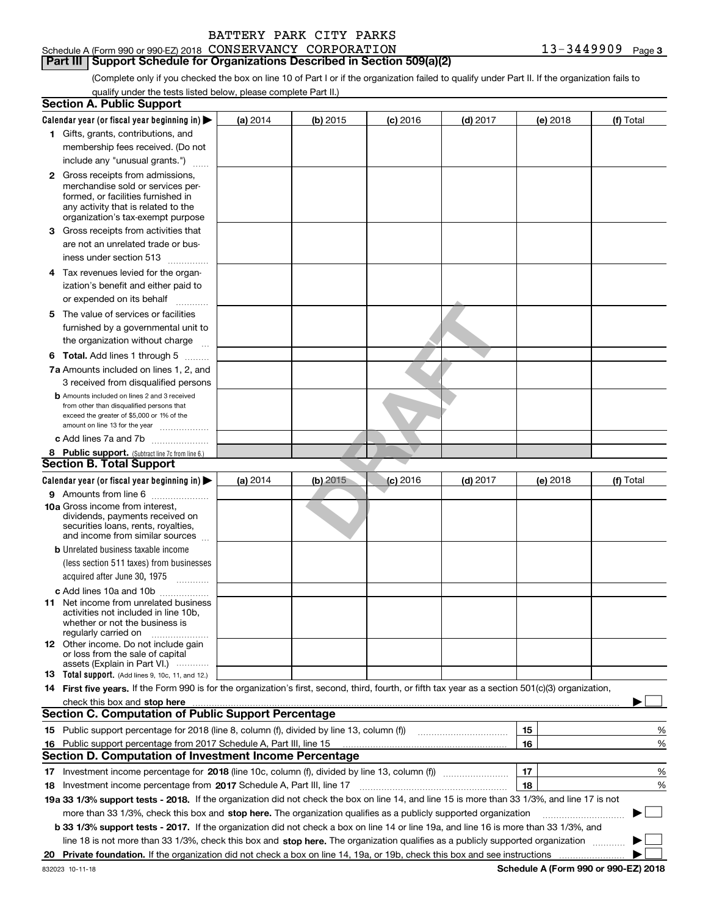| BATTERY PARK CITY PARKS |  |  |
|-------------------------|--|--|
|                         |  |  |

### **Part III Support Schedule for Organizations Described in Section 509(a)(2)**

(Complete only if you checked the box on line 10 of Part I or if the organization failed to qualify under Part II. If the organization fails to qualify under the tests listed below, please complete Part II.)

| <b>Section A. Public Support</b>                                                                                                                                                                                               |          |          |            |            |          |           |
|--------------------------------------------------------------------------------------------------------------------------------------------------------------------------------------------------------------------------------|----------|----------|------------|------------|----------|-----------|
| Calendar year (or fiscal year beginning in) $\blacktriangleright$                                                                                                                                                              | (a) 2014 | (b) 2015 | $(c)$ 2016 | $(d)$ 2017 | (e) 2018 | (f) Total |
| 1 Gifts, grants, contributions, and                                                                                                                                                                                            |          |          |            |            |          |           |
| membership fees received. (Do not                                                                                                                                                                                              |          |          |            |            |          |           |
| include any "unusual grants.")                                                                                                                                                                                                 |          |          |            |            |          |           |
| <b>2</b> Gross receipts from admissions,                                                                                                                                                                                       |          |          |            |            |          |           |
| merchandise sold or services per-                                                                                                                                                                                              |          |          |            |            |          |           |
| formed, or facilities furnished in                                                                                                                                                                                             |          |          |            |            |          |           |
| any activity that is related to the<br>organization's tax-exempt purpose                                                                                                                                                       |          |          |            |            |          |           |
| 3 Gross receipts from activities that                                                                                                                                                                                          |          |          |            |            |          |           |
| are not an unrelated trade or bus-                                                                                                                                                                                             |          |          |            |            |          |           |
| iness under section 513                                                                                                                                                                                                        |          |          |            |            |          |           |
|                                                                                                                                                                                                                                |          |          |            |            |          |           |
| 4 Tax revenues levied for the organ-                                                                                                                                                                                           |          |          |            |            |          |           |
| ization's benefit and either paid to                                                                                                                                                                                           |          |          |            |            |          |           |
| or expended on its behalf<br>.                                                                                                                                                                                                 |          |          |            |            |          |           |
| 5 The value of services or facilities                                                                                                                                                                                          |          |          |            |            |          |           |
| furnished by a governmental unit to                                                                                                                                                                                            |          |          |            |            |          |           |
| the organization without charge                                                                                                                                                                                                |          |          |            |            |          |           |
| <b>6 Total.</b> Add lines 1 through 5                                                                                                                                                                                          |          |          |            |            |          |           |
| 7a Amounts included on lines 1, 2, and                                                                                                                                                                                         |          |          |            |            |          |           |
| 3 received from disqualified persons                                                                                                                                                                                           |          |          |            |            |          |           |
| <b>b</b> Amounts included on lines 2 and 3 received                                                                                                                                                                            |          |          |            |            |          |           |
| from other than disqualified persons that<br>exceed the greater of \$5,000 or 1% of the                                                                                                                                        |          |          |            |            |          |           |
| amount on line 13 for the year                                                                                                                                                                                                 |          |          |            |            |          |           |
| c Add lines 7a and 7b                                                                                                                                                                                                          |          |          |            |            |          |           |
| 8 Public support. (Subtract line 7c from line 6.)                                                                                                                                                                              |          |          |            |            |          |           |
| <b>Section B. Total Support</b>                                                                                                                                                                                                |          |          |            |            |          |           |
| Calendar year (or fiscal year beginning in)                                                                                                                                                                                    | (a) 2014 | (b) 2015 | $(c)$ 2016 | $(d)$ 2017 | (e) 2018 | (f) Total |
| 9 Amounts from line 6                                                                                                                                                                                                          |          |          |            |            |          |           |
| <b>10a</b> Gross income from interest,                                                                                                                                                                                         |          |          |            |            |          |           |
| dividends, payments received on                                                                                                                                                                                                |          |          |            |            |          |           |
| securities loans, rents, royalties,<br>and income from similar sources                                                                                                                                                         |          |          |            |            |          |           |
| <b>b</b> Unrelated business taxable income                                                                                                                                                                                     |          |          |            |            |          |           |
| (less section 511 taxes) from businesses                                                                                                                                                                                       |          |          |            |            |          |           |
| acquired after June 30, 1975                                                                                                                                                                                                   |          |          |            |            |          |           |
|                                                                                                                                                                                                                                |          |          |            |            |          |           |
| c Add lines 10a and 10b<br>11 Net income from unrelated business                                                                                                                                                               |          |          |            |            |          |           |
| activities not included in line 10b,                                                                                                                                                                                           |          |          |            |            |          |           |
| whether or not the business is                                                                                                                                                                                                 |          |          |            |            |          |           |
| regularly carried on                                                                                                                                                                                                           |          |          |            |            |          |           |
| <b>12</b> Other income. Do not include gain<br>or loss from the sale of capital                                                                                                                                                |          |          |            |            |          |           |
| assets (Explain in Part VI.)                                                                                                                                                                                                   |          |          |            |            |          |           |
| 13 Total support. (Add lines 9, 10c, 11, and 12.)                                                                                                                                                                              |          |          |            |            |          |           |
| 14 First five years. If the Form 990 is for the organization's first, second, third, fourth, or fifth tax year as a section 501(c)(3) organization,                                                                            |          |          |            |            |          |           |
| check this box and stop here measurements and contain the state of the state of the state of the state of the state of the state of the state of the state of the state of the state of the state of the state of the state of |          |          |            |            |          |           |
| <b>Section C. Computation of Public Support Percentage</b>                                                                                                                                                                     |          |          |            |            |          |           |
| 15 Public support percentage for 2018 (line 8, column (f), divided by line 13, column (f))                                                                                                                                     |          |          |            |            | 15       | %         |
| 16 Public support percentage from 2017 Schedule A, Part III, line 15                                                                                                                                                           |          |          |            |            | 16       | %         |
| <b>Section D. Computation of Investment Income Percentage</b>                                                                                                                                                                  |          |          |            |            |          |           |
| 17 Investment income percentage for 2018 (line 10c, column (f), divided by line 13, column (f))                                                                                                                                |          |          |            |            | 17       | %         |
| <b>18</b> Investment income percentage from <b>2017</b> Schedule A, Part III, line 17                                                                                                                                          |          |          |            |            | 18       | %         |
| 19a 33 1/3% support tests - 2018. If the organization did not check the box on line 14, and line 15 is more than 33 1/3%, and line 17 is not                                                                                   |          |          |            |            |          |           |
| more than 33 1/3%, check this box and stop here. The organization qualifies as a publicly supported organization                                                                                                               |          |          |            |            |          | $\sim$    |
| b 33 1/3% support tests - 2017. If the organization did not check a box on line 14 or line 19a, and line 16 is more than 33 1/3%, and                                                                                          |          |          |            |            |          |           |
| line 18 is not more than 33 1/3%, check this box and stop here. The organization qualifies as a publicly supported organization                                                                                                |          |          |            |            |          |           |
|                                                                                                                                                                                                                                |          |          |            |            |          |           |
|                                                                                                                                                                                                                                |          |          |            |            |          |           |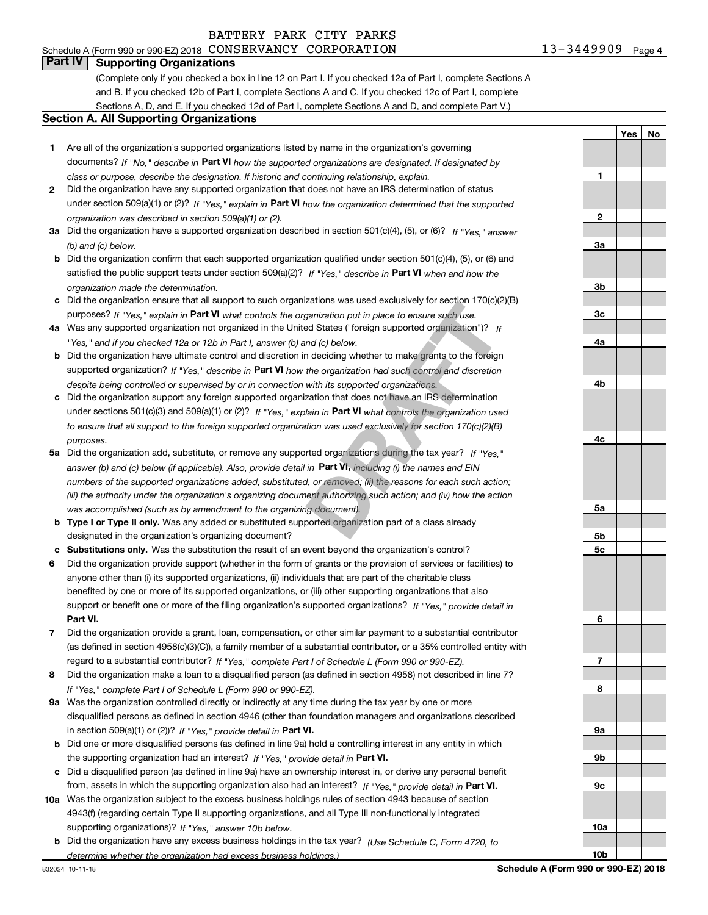**1**

**2**

**3a**

**3b**

**3c**

**4a**

**4b**

**4c**

**5a**

**5b5c**

**6**

**7**

**8**

**9a**

**9b**

**9c**

**10a**

**10b**

**YesNo**

### **Part IV Supporting Organizations**

(Complete only if you checked a box in line 12 on Part I. If you checked 12a of Part I, complete Sections A and B. If you checked 12b of Part I, complete Sections A and C. If you checked 12c of Part I, complete Sections A, D, and E. If you checked 12d of Part I, complete Sections A and D, and complete Part V.)

### **Section A. All Supporting Organizations**

- **1** Are all of the organization's supported organizations listed by name in the organization's governing documents? If "No," describe in **Part VI** how the supported organizations are designated. If designated by *class or purpose, describe the designation. If historic and continuing relationship, explain.*
- **2** Did the organization have any supported organization that does not have an IRS determination of status under section 509(a)(1) or (2)? If "Yes," explain in Part VI how the organization determined that the supported *organization was described in section 509(a)(1) or (2).*
- **3a** Did the organization have a supported organization described in section 501(c)(4), (5), or (6)? If "Yes," answer *(b) and (c) below.*
- **b** Did the organization confirm that each supported organization qualified under section 501(c)(4), (5), or (6) and satisfied the public support tests under section 509(a)(2)? If "Yes," describe in **Part VI** when and how the *organization made the determination.*
- **c**Did the organization ensure that all support to such organizations was used exclusively for section 170(c)(2)(B) purposes? If "Yes," explain in **Part VI** what controls the organization put in place to ensure such use.
- **4a***If* Was any supported organization not organized in the United States ("foreign supported organization")? *"Yes," and if you checked 12a or 12b in Part I, answer (b) and (c) below.*
- **b** Did the organization have ultimate control and discretion in deciding whether to make grants to the foreign supported organization? If "Yes," describe in **Part VI** how the organization had such control and discretion *despite being controlled or supervised by or in connection with its supported organizations.*
- **c** Did the organization support any foreign supported organization that does not have an IRS determination under sections 501(c)(3) and 509(a)(1) or (2)? If "Yes," explain in **Part VI** what controls the organization used *to ensure that all support to the foreign supported organization was used exclusively for section 170(c)(2)(B) purposes.*
- **5a***If "Yes,"* Did the organization add, substitute, or remove any supported organizations during the tax year? answer (b) and (c) below (if applicable). Also, provide detail in **Part VI,** including (i) the names and EIN *numbers of the supported organizations added, substituted, or removed; (ii) the reasons for each such action; (iii) the authority under the organization's organizing document authorizing such action; and (iv) how the action was accomplished (such as by amendment to the organizing document).* Izations was used exclusively for section 170<sub>(C)</sub>(*z*<br>ganization put in place to ensure such use.<br>ed States ("foreign supported organization")? If<br>and (*c*) below.<br>n deciding whether to make grants to the foreign<br>the orga
- **b** Type I or Type II only. Was any added or substituted supported organization part of a class already designated in the organization's organizing document?
- **cSubstitutions only.**  Was the substitution the result of an event beyond the organization's control?
- **6** Did the organization provide support (whether in the form of grants or the provision of services or facilities) to **Part VI.** *If "Yes," provide detail in* support or benefit one or more of the filing organization's supported organizations? anyone other than (i) its supported organizations, (ii) individuals that are part of the charitable class benefited by one or more of its supported organizations, or (iii) other supporting organizations that also
- **7**Did the organization provide a grant, loan, compensation, or other similar payment to a substantial contributor *If "Yes," complete Part I of Schedule L (Form 990 or 990-EZ).* regard to a substantial contributor? (as defined in section 4958(c)(3)(C)), a family member of a substantial contributor, or a 35% controlled entity with
- **8** Did the organization make a loan to a disqualified person (as defined in section 4958) not described in line 7? *If "Yes," complete Part I of Schedule L (Form 990 or 990-EZ).*
- **9a** Was the organization controlled directly or indirectly at any time during the tax year by one or more in section 509(a)(1) or (2))? If "Yes," *provide detail in* <code>Part VI.</code> disqualified persons as defined in section 4946 (other than foundation managers and organizations described
- **b** Did one or more disqualified persons (as defined in line 9a) hold a controlling interest in any entity in which the supporting organization had an interest? If "Yes," provide detail in P**art VI**.
- **c**Did a disqualified person (as defined in line 9a) have an ownership interest in, or derive any personal benefit from, assets in which the supporting organization also had an interest? If "Yes," provide detail in P**art VI.**
- **10a** Was the organization subject to the excess business holdings rules of section 4943 because of section supporting organizations)? If "Yes," answer 10b below. 4943(f) (regarding certain Type II supporting organizations, and all Type III non-functionally integrated
- **b** Did the organization have any excess business holdings in the tax year? (Use Schedule C, Form 4720, to *determine whether the organization had excess business holdings.)*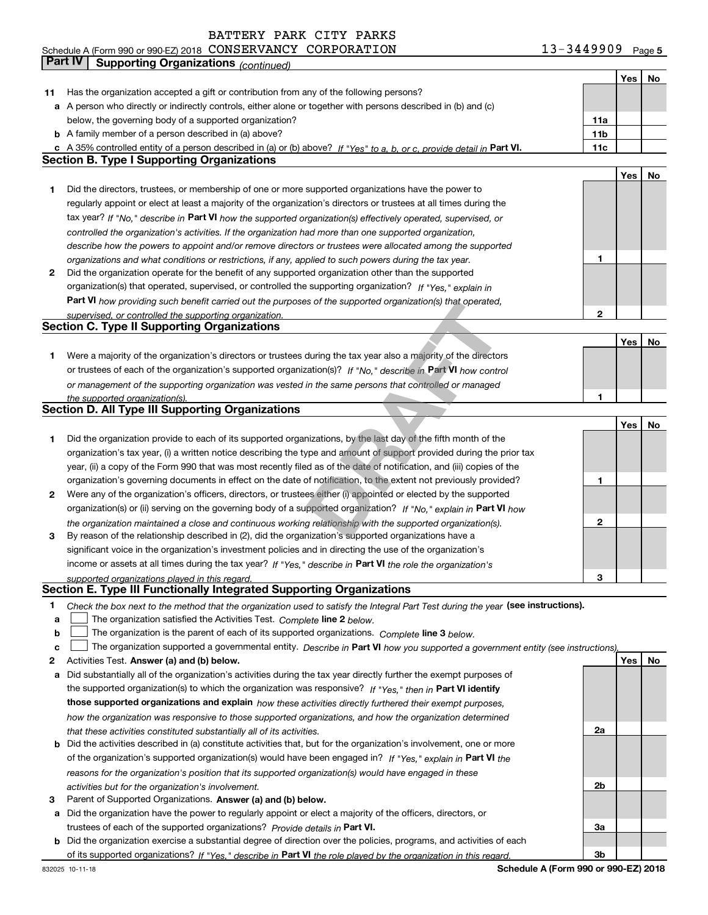**Part IV | Supporting Organizations** *(continued)* 

|   |                                                                                                                                                                                                               |                 | Yes | No |
|---|---------------------------------------------------------------------------------------------------------------------------------------------------------------------------------------------------------------|-----------------|-----|----|
|   | 11 Has the organization accepted a gift or contribution from any of the following persons?                                                                                                                    |                 |     |    |
|   | a A person who directly or indirectly controls, either alone or together with persons described in (b) and (c)                                                                                                |                 |     |    |
|   | below, the governing body of a supported organization?                                                                                                                                                        | 11a             |     |    |
|   | <b>b</b> A family member of a person described in (a) above?                                                                                                                                                  | 11 <sub>b</sub> |     |    |
|   | c A 35% controlled entity of a person described in (a) or (b) above? If "Yes" to a, b, or c, provide detail in Part VI.                                                                                       | 11c             |     |    |
|   | <b>Section B. Type I Supporting Organizations</b>                                                                                                                                                             |                 |     |    |
|   |                                                                                                                                                                                                               |                 | Yes | No |
| 1 | Did the directors, trustees, or membership of one or more supported organizations have the power to                                                                                                           |                 |     |    |
|   | regularly appoint or elect at least a majority of the organization's directors or trustees at all times during the                                                                                            |                 |     |    |
|   | tax year? If "No," describe in Part VI how the supported organization(s) effectively operated, supervised, or                                                                                                 |                 |     |    |
|   | controlled the organization's activities. If the organization had more than one supported organization,                                                                                                       |                 |     |    |
|   | describe how the powers to appoint and/or remove directors or trustees were allocated among the supported                                                                                                     |                 |     |    |
|   |                                                                                                                                                                                                               | 1               |     |    |
| 2 | organizations and what conditions or restrictions, if any, applied to such powers during the tax year.<br>Did the organization operate for the benefit of any supported organization other than the supported |                 |     |    |
|   |                                                                                                                                                                                                               |                 |     |    |
|   | organization(s) that operated, supervised, or controlled the supporting organization? If "Yes," explain in                                                                                                    |                 |     |    |
|   | Part VI how providing such benefit carried out the purposes of the supported organization(s) that operated,                                                                                                   |                 |     |    |
|   | supervised, or controlled the supporting organization.<br><b>Section C. Type II Supporting Organizations</b>                                                                                                  | 2               |     |    |
|   |                                                                                                                                                                                                               |                 |     |    |
|   |                                                                                                                                                                                                               |                 | Yes | No |
| 1 | Were a majority of the organization's directors or trustees during the tax year also a majority of the directors                                                                                              |                 |     |    |
|   | or trustees of each of the organization's supported organization(s)? If "No," describe in Part VI how control                                                                                                 |                 |     |    |
|   | or management of the supporting organization was vested in the same persons that controlled or managed                                                                                                        |                 |     |    |
|   | the supported organization(s).                                                                                                                                                                                | 1               |     |    |
|   | Section D. All Type III Supporting Organizations                                                                                                                                                              |                 |     |    |
|   |                                                                                                                                                                                                               |                 | Yes | No |
| 1 | Did the organization provide to each of its supported organizations, by the last day of the fifth month of the                                                                                                |                 |     |    |
|   | organization's tax year, (i) a written notice describing the type and amount of support provided during the prior tax                                                                                         |                 |     |    |
|   | year, (ii) a copy of the Form 990 that was most recently filed as of the date of notification, and (iii) copies of the                                                                                        |                 |     |    |
|   | organization's governing documents in effect on the date of notification, to the extent not previously provided?                                                                                              | 1               |     |    |
| 2 | Were any of the organization's officers, directors, or trustees either (i) appointed or elected by the supported                                                                                              |                 |     |    |
|   | organization(s) or (ii) serving on the governing body of a supported organization? If "No," explain in Part VI how                                                                                            |                 |     |    |
|   | the organization maintained a close and continuous working relationship with the supported organization(s).                                                                                                   | 2               |     |    |
| 3 | By reason of the relationship described in (2), did the organization's supported organizations have a                                                                                                         |                 |     |    |
|   | significant voice in the organization's investment policies and in directing the use of the organization's                                                                                                    |                 |     |    |
|   | income or assets at all times during the tax year? If "Yes," describe in Part VI the role the organization's                                                                                                  |                 |     |    |
|   |                                                                                                                                                                                                               | 3               |     |    |
|   | supported organizations played in this regard.<br>Section E. Type III Functionally Integrated Supporting Organizations                                                                                        |                 |     |    |
|   |                                                                                                                                                                                                               |                 |     |    |
| 1 | Check the box next to the method that the organization used to satisfy the Integral Part Test during the year (see instructions).                                                                             |                 |     |    |
| a | The organization satisfied the Activities Test. Complete line 2 below.                                                                                                                                        |                 |     |    |
| b | The organization is the parent of each of its supported organizations. Complete line 3 below.                                                                                                                 |                 |     |    |
| c | The organization supported a governmental entity. Describe in Part VI how you supported a government entity (see instructions),                                                                               |                 |     |    |
| 2 | Activities Test. Answer (a) and (b) below.                                                                                                                                                                    |                 | Yes | No |
| а | Did substantially all of the organization's activities during the tax year directly further the exempt purposes of                                                                                            |                 |     |    |
|   | the supported organization(s) to which the organization was responsive? If "Yes," then in Part VI identify                                                                                                    |                 |     |    |
|   | those supported organizations and explain how these activities directly furthered their exempt purposes,                                                                                                      |                 |     |    |
|   | how the organization was responsive to those supported organizations, and how the organization determined                                                                                                     |                 |     |    |
|   | that these activities constituted substantially all of its activities.                                                                                                                                        | 2a              |     |    |
|   | <b>b</b> Did the activities described in (a) constitute activities that, but for the organization's involvement, one or more                                                                                  |                 |     |    |
|   | of the organization's supported organization(s) would have been engaged in? If "Yes," explain in Part VI the                                                                                                  |                 |     |    |
|   | reasons for the organization's position that its supported organization(s) would have engaged in these                                                                                                        |                 |     |    |
|   | activities but for the organization's involvement.                                                                                                                                                            | 2b              |     |    |
| 3 | Parent of Supported Organizations. Answer (a) and (b) below.                                                                                                                                                  |                 |     |    |
|   | a Did the organization have the power to regularly appoint or elect a majority of the officers, directors, or                                                                                                 |                 |     |    |
|   | trustees of each of the supported organizations? Provide details in Part VI.                                                                                                                                  | За              |     |    |
|   | <b>b</b> Did the organization exercise a substantial degree of direction over the policies, programs, and activities of each                                                                                  |                 |     |    |
|   |                                                                                                                                                                                                               | Зb              |     |    |
|   | of its supported organizations? If "Yes." describe in Part VI the role played by the organization in this regard.                                                                                             |                 |     |    |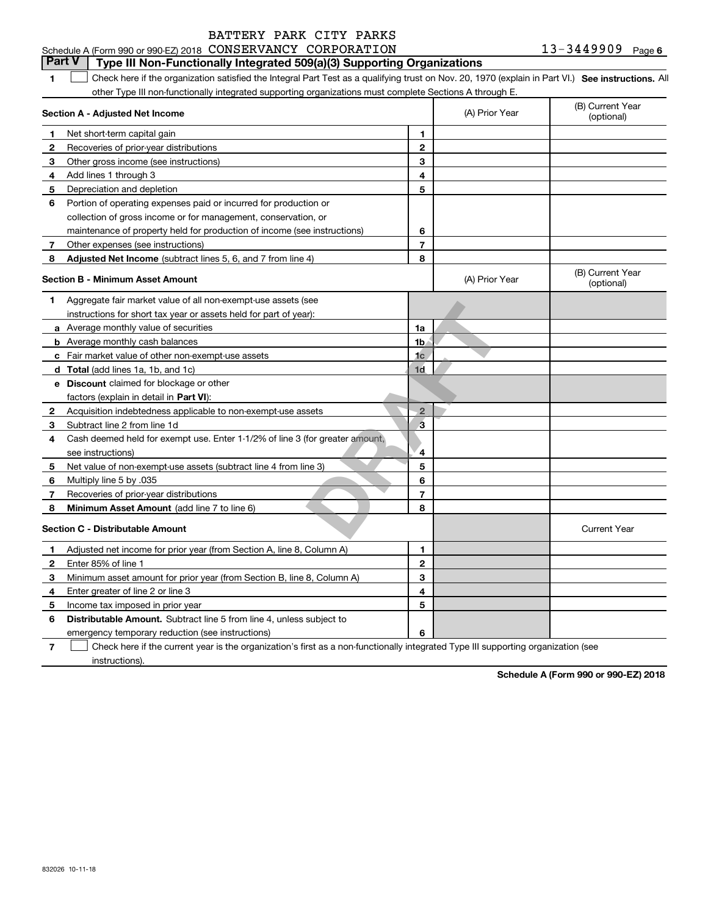|  | BATTERY PARK CITY PARKS |  |  |  |
|--|-------------------------|--|--|--|
|--|-------------------------|--|--|--|

#### **1SEP 10. See instructions.** All antegral Part Test as a qualifying trust on Nov. 20, 1970 (explain in Part VI.) See instructions. All **Section A - Adjusted Net Income 123** Other gross income (see instructions) **4**Add lines 1 through 3 **56** Portion of operating expenses paid or incurred for production or **78** Adjusted Net Income (subtract lines 5, 6, and 7 from line 4) **8 8 1234567Section B - Minimum Asset Amount 1**Aggregate fair market value of all non-exempt-use assets (see **2**Acquisition indebtedness applicable to non-exempt-use assets **3** Subtract line 2 from line 1d **4**Cash deemed held for exempt use. Enter 1-1/2% of line 3 (for greater amount, **5** Net value of non-exempt-use assets (subtract line 4 from line 3) **678a** Average monthly value of securities **b** Average monthly cash balances **c**Fair market value of other non-exempt-use assets **dTotal**  (add lines 1a, 1b, and 1c) **eDiscount** claimed for blockage or other **1a1b1c1d2345678**factors (explain in detail in **Part VI**): **Minimum Asset Amount**  (add line 7 to line 6) **Section C - Distributable Amount 12345612345Distributable Amount.** Subtract line 5 from line 4, unless subject to Schedule A (Form 990 or 990-EZ) 2018 Page CONSERVANCY CORPORATION 13-3449909 other Type III non-functionally integrated supporting organizations must complete Sections A through E. (B) Current Year (optional)(A) Prior Year Net short-term capital gain Recoveries of prior-year distributions Depreciation and depletion collection of gross income or for management, conservation, or maintenance of property held for production of income (see instructions) Other expenses (see instructions) (B) Current Year (optional)(A) Prior Year instructions for short tax year or assets held for part of year): see instructions) Multiply line 5 by .035 Recoveries of prior-year distributions Current Year Adjusted net income for prior year (from Section A, line 8, Column A) Enter 85% of line 1 Minimum asset amount for prior year (from Section B, line 8, Column A) Enter greater of line 2 or line 3 Income tax imposed in prior year **Part V Type III Non-Functionally Integrated 509(a)(3) Supporting Organizations**   $\mathcal{L}^{\text{max}}$ **Example:**<br> **DRAFT**<br> **DRAFT**<br> **DRAFT**<br> **DRAFT**<br> **DRAFT**<br> **DRAFT**<br> **DRAFT**<br> **DRAFT**<br> **DRAFT**<br> **DRAFT**<br> **DRAFT**<br> **DRAFT**<br> **DRAFT**<br> **DRAFT**<br> **DRAFT**<br> **DRAFT**<br> **DRAFT**<br> **DRAFT**<br> **DRAFT**<br> **DRAFT**<br> **DRAFT**<br> **DRAFT**<br> **DRAFT**<br> **DR**

emergency temporary reduction (see instructions)

**7**Check here if the current year is the organization's first as a non-functionally integrated Type III supporting organization (see instructions). $\mathcal{L}^{\text{max}}$ 

**6**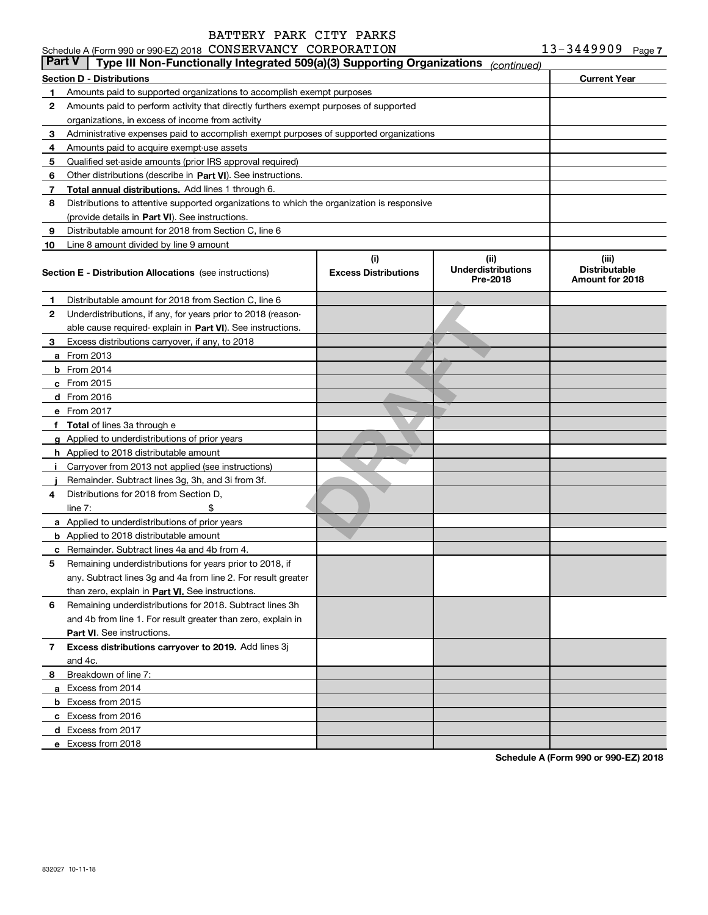|               | Schedule A (Form 990 or 990-EZ) 2018 CONSERVANCY CORPORATION                               |                             |                                       | 13-3449909                              | Page 7 |
|---------------|--------------------------------------------------------------------------------------------|-----------------------------|---------------------------------------|-----------------------------------------|--------|
| <b>Part V</b> | Type III Non-Functionally Integrated 509(a)(3) Supporting Organizations                    |                             | (continued)                           |                                         |        |
|               | <b>Section D - Distributions</b>                                                           |                             |                                       | <b>Current Year</b>                     |        |
| 1             | Amounts paid to supported organizations to accomplish exempt purposes                      |                             |                                       |                                         |        |
| 2             | Amounts paid to perform activity that directly furthers exempt purposes of supported       |                             |                                       |                                         |        |
|               | organizations, in excess of income from activity                                           |                             |                                       |                                         |        |
| 3             | Administrative expenses paid to accomplish exempt purposes of supported organizations      |                             |                                       |                                         |        |
| 4             | Amounts paid to acquire exempt-use assets                                                  |                             |                                       |                                         |        |
| 5             | Qualified set-aside amounts (prior IRS approval required)                                  |                             |                                       |                                         |        |
| 6             | Other distributions (describe in Part VI). See instructions.                               |                             |                                       |                                         |        |
| 7             | Total annual distributions. Add lines 1 through 6.                                         |                             |                                       |                                         |        |
| 8             | Distributions to attentive supported organizations to which the organization is responsive |                             |                                       |                                         |        |
|               | (provide details in Part VI). See instructions.                                            |                             |                                       |                                         |        |
| 9             | Distributable amount for 2018 from Section C, line 6                                       |                             |                                       |                                         |        |
| 10            | Line 8 amount divided by line 9 amount                                                     |                             |                                       |                                         |        |
|               |                                                                                            | (i)                         | (ii)                                  | (iii)                                   |        |
|               | <b>Section E - Distribution Allocations</b> (see instructions)                             | <b>Excess Distributions</b> | <b>Underdistributions</b><br>Pre-2018 | <b>Distributable</b><br>Amount for 2018 |        |
|               |                                                                                            |                             |                                       |                                         |        |
| 1             | Distributable amount for 2018 from Section C, line 6                                       |                             |                                       |                                         |        |
| 2             | Underdistributions, if any, for years prior to 2018 (reason-                               |                             |                                       |                                         |        |
|               | able cause required-explain in Part VI). See instructions.                                 |                             |                                       |                                         |        |
| 3             | Excess distributions carryover, if any, to 2018                                            |                             |                                       |                                         |        |
|               | <b>a</b> From 2013                                                                         |                             |                                       |                                         |        |
|               | $b$ From 2014                                                                              |                             |                                       |                                         |        |
|               | $c$ From 2015                                                                              |                             |                                       |                                         |        |
|               | d From 2016                                                                                |                             |                                       |                                         |        |
|               | e From 2017                                                                                |                             |                                       |                                         |        |
|               | f Total of lines 3a through e                                                              |                             |                                       |                                         |        |
|               | g Applied to underdistributions of prior years                                             |                             |                                       |                                         |        |
|               | <b>h</b> Applied to 2018 distributable amount                                              |                             |                                       |                                         |        |
|               | Carryover from 2013 not applied (see instructions)                                         |                             |                                       |                                         |        |
|               | Remainder. Subtract lines 3g, 3h, and 3i from 3f.                                          |                             |                                       |                                         |        |
| 4             | Distributions for 2018 from Section D.                                                     |                             |                                       |                                         |        |
|               | \$<br>line $7:$                                                                            |                             |                                       |                                         |        |
|               | <b>a</b> Applied to underdistributions of prior years                                      |                             |                                       |                                         |        |
|               | <b>b</b> Applied to 2018 distributable amount                                              |                             |                                       |                                         |        |
|               | <b>c</b> Remainder. Subtract lines 4a and 4b from 4.                                       |                             |                                       |                                         |        |
|               | Remaining underdistributions for years prior to 2018, if                                   |                             |                                       |                                         |        |
|               | any. Subtract lines 3g and 4a from line 2. For result greater                              |                             |                                       |                                         |        |
|               | than zero, explain in Part VI. See instructions.                                           |                             |                                       |                                         |        |
| 6             | Remaining underdistributions for 2018. Subtract lines 3h                                   |                             |                                       |                                         |        |
|               | and 4b from line 1. For result greater than zero, explain in                               |                             |                                       |                                         |        |
|               | Part VI. See instructions.                                                                 |                             |                                       |                                         |        |
| 7             | Excess distributions carryover to 2019. Add lines 3j                                       |                             |                                       |                                         |        |
|               | and 4c.                                                                                    |                             |                                       |                                         |        |
| 8             | Breakdown of line 7:                                                                       |                             |                                       |                                         |        |
|               | a Excess from 2014                                                                         |                             |                                       |                                         |        |
|               | <b>b</b> Excess from 2015                                                                  |                             |                                       |                                         |        |
|               | c Excess from 2016                                                                         |                             |                                       |                                         |        |
|               | d Excess from 2017                                                                         |                             |                                       |                                         |        |
|               | e Excess from 2018                                                                         |                             |                                       |                                         |        |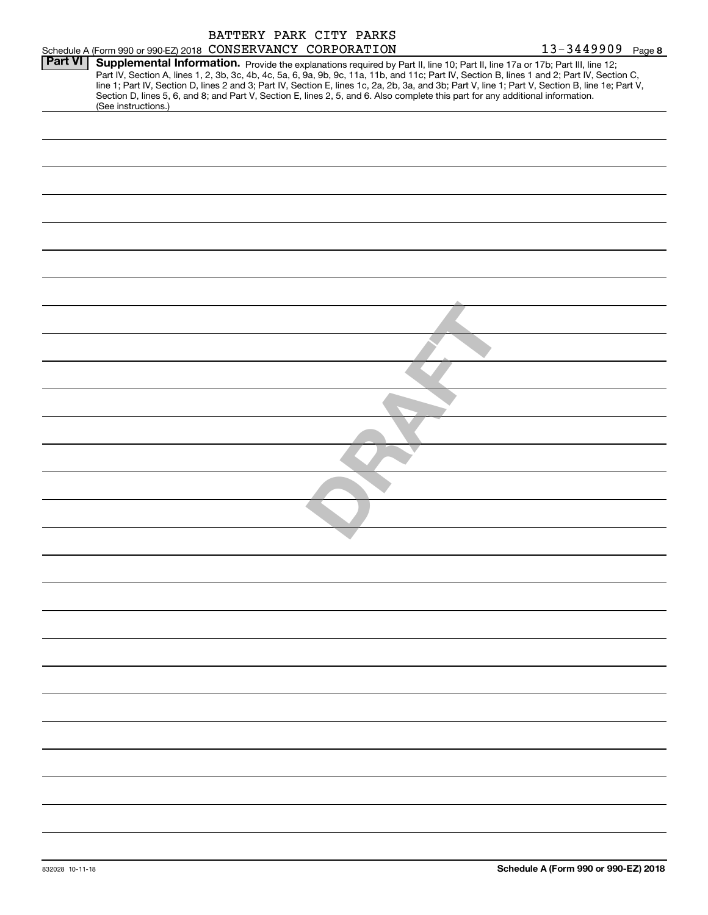|                |                                                              |  | BATTERY PARK CITY PARKS |                                                                                                                                                                                                                                                                                                                                                                                                                                                                                                                                                                      |                       |
|----------------|--------------------------------------------------------------|--|-------------------------|----------------------------------------------------------------------------------------------------------------------------------------------------------------------------------------------------------------------------------------------------------------------------------------------------------------------------------------------------------------------------------------------------------------------------------------------------------------------------------------------------------------------------------------------------------------------|-----------------------|
|                | Schedule A (Form 990 or 990-EZ) 2018 CONSERVANCY CORPORATION |  |                         |                                                                                                                                                                                                                                                                                                                                                                                                                                                                                                                                                                      | $13 - 3449909$ Page 8 |
| <b>Part VI</b> | (See instructions.)                                          |  |                         | Supplemental Information. Provide the explanations required by Part II, line 10; Part II, line 17a or 17b; Part III, line 12;<br>Part IV, Section A, lines 1, 2, 3b, 3c, 4b, 4c, 5a, 6, 9a, 9b, 9c, 11a, 11b, and 11c; Part IV, Section B, lines 1 and 2; Part IV, Section C,<br>line 1; Part IV, Section D, lines 2 and 3; Part IV, Section E, lines 1c, 2a, 2b, 3a, and 3b; Part V, line 1; Part V, Section B, line 1e; Part V,<br>Section D, lines 5, 6, and 8; and Part V, Section E, lines 2, 5, and 6. Also complete this part for any additional information. |                       |
|                |                                                              |  |                         |                                                                                                                                                                                                                                                                                                                                                                                                                                                                                                                                                                      |                       |
|                |                                                              |  |                         |                                                                                                                                                                                                                                                                                                                                                                                                                                                                                                                                                                      |                       |
|                |                                                              |  |                         |                                                                                                                                                                                                                                                                                                                                                                                                                                                                                                                                                                      |                       |
|                |                                                              |  |                         |                                                                                                                                                                                                                                                                                                                                                                                                                                                                                                                                                                      |                       |
|                |                                                              |  |                         |                                                                                                                                                                                                                                                                                                                                                                                                                                                                                                                                                                      |                       |
|                |                                                              |  |                         |                                                                                                                                                                                                                                                                                                                                                                                                                                                                                                                                                                      |                       |
|                |                                                              |  |                         |                                                                                                                                                                                                                                                                                                                                                                                                                                                                                                                                                                      |                       |
|                |                                                              |  |                         |                                                                                                                                                                                                                                                                                                                                                                                                                                                                                                                                                                      |                       |
|                |                                                              |  |                         |                                                                                                                                                                                                                                                                                                                                                                                                                                                                                                                                                                      |                       |
|                |                                                              |  |                         |                                                                                                                                                                                                                                                                                                                                                                                                                                                                                                                                                                      |                       |
|                |                                                              |  |                         |                                                                                                                                                                                                                                                                                                                                                                                                                                                                                                                                                                      |                       |
|                |                                                              |  |                         |                                                                                                                                                                                                                                                                                                                                                                                                                                                                                                                                                                      |                       |
|                |                                                              |  |                         |                                                                                                                                                                                                                                                                                                                                                                                                                                                                                                                                                                      |                       |
|                |                                                              |  |                         |                                                                                                                                                                                                                                                                                                                                                                                                                                                                                                                                                                      |                       |
|                |                                                              |  |                         |                                                                                                                                                                                                                                                                                                                                                                                                                                                                                                                                                                      |                       |
|                |                                                              |  |                         |                                                                                                                                                                                                                                                                                                                                                                                                                                                                                                                                                                      |                       |
|                |                                                              |  |                         |                                                                                                                                                                                                                                                                                                                                                                                                                                                                                                                                                                      |                       |
|                |                                                              |  |                         |                                                                                                                                                                                                                                                                                                                                                                                                                                                                                                                                                                      |                       |
|                |                                                              |  |                         |                                                                                                                                                                                                                                                                                                                                                                                                                                                                                                                                                                      |                       |
|                |                                                              |  |                         |                                                                                                                                                                                                                                                                                                                                                                                                                                                                                                                                                                      |                       |
|                |                                                              |  |                         |                                                                                                                                                                                                                                                                                                                                                                                                                                                                                                                                                                      |                       |
|                |                                                              |  |                         |                                                                                                                                                                                                                                                                                                                                                                                                                                                                                                                                                                      |                       |
|                |                                                              |  |                         |                                                                                                                                                                                                                                                                                                                                                                                                                                                                                                                                                                      |                       |
|                |                                                              |  |                         |                                                                                                                                                                                                                                                                                                                                                                                                                                                                                                                                                                      |                       |
|                |                                                              |  |                         |                                                                                                                                                                                                                                                                                                                                                                                                                                                                                                                                                                      |                       |
|                |                                                              |  |                         |                                                                                                                                                                                                                                                                                                                                                                                                                                                                                                                                                                      |                       |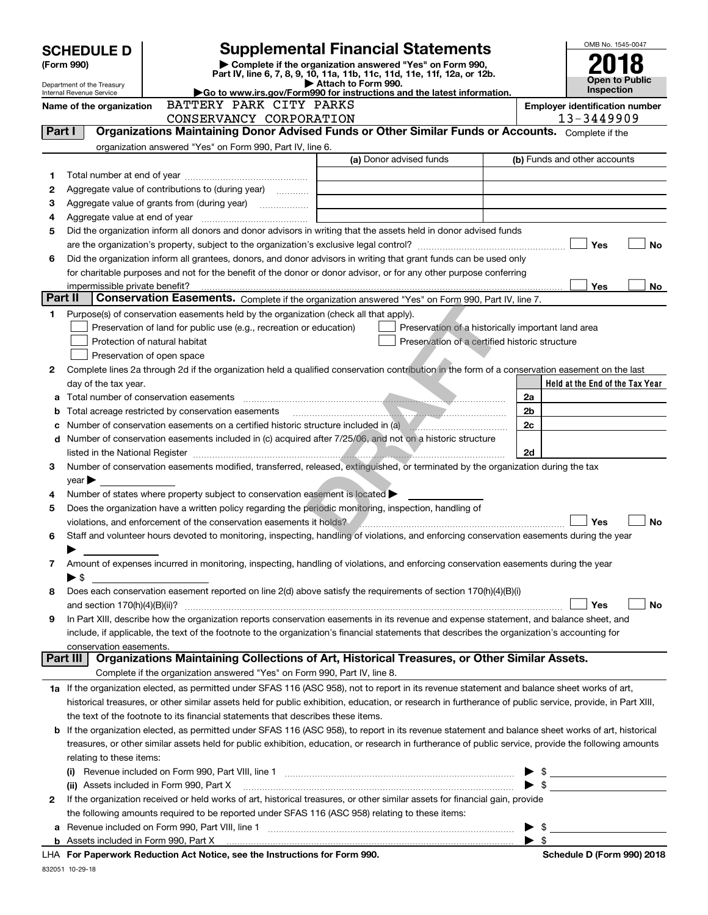|         | <b>Supplemental Financial Statements</b><br><b>SCHEDULE D</b><br>Complete if the organization answered "Yes" on Form 990,<br>(Form 990) |                                                                                                        |                                                                                                                                                                                                                                                                                           |                          | OMB No. 1545-0047                     |
|---------|-----------------------------------------------------------------------------------------------------------------------------------------|--------------------------------------------------------------------------------------------------------|-------------------------------------------------------------------------------------------------------------------------------------------------------------------------------------------------------------------------------------------------------------------------------------------|--------------------------|---------------------------------------|
|         |                                                                                                                                         |                                                                                                        | Part IV, line 6, 7, 8, 9, 10, 11a, 11b, 11c, 11d, 11e, 11f, 12a, or 12b.<br>Attach to Form 990.                                                                                                                                                                                           |                          | <b>Open to Public</b>                 |
|         | Department of the Treasury<br>Internal Revenue Service                                                                                  |                                                                                                        | Go to www.irs.gov/Form990 for instructions and the latest information.                                                                                                                                                                                                                    |                          | <b>Inspection</b>                     |
|         | Name of the organization                                                                                                                | BATTERY PARK CITY PARKS                                                                                |                                                                                                                                                                                                                                                                                           |                          | <b>Employer identification number</b> |
|         |                                                                                                                                         | CONSERVANCY CORPORATION                                                                                |                                                                                                                                                                                                                                                                                           |                          | 13-3449909                            |
| Part I  |                                                                                                                                         |                                                                                                        | Organizations Maintaining Donor Advised Funds or Other Similar Funds or Accounts. Complete if the                                                                                                                                                                                         |                          |                                       |
|         |                                                                                                                                         | organization answered "Yes" on Form 990, Part IV, line 6.                                              |                                                                                                                                                                                                                                                                                           |                          |                                       |
|         |                                                                                                                                         |                                                                                                        | (a) Donor advised funds                                                                                                                                                                                                                                                                   |                          | (b) Funds and other accounts          |
| 1       |                                                                                                                                         |                                                                                                        |                                                                                                                                                                                                                                                                                           |                          |                                       |
| 2       |                                                                                                                                         | Aggregate value of contributions to (during year)                                                      |                                                                                                                                                                                                                                                                                           |                          |                                       |
| з       |                                                                                                                                         |                                                                                                        |                                                                                                                                                                                                                                                                                           |                          |                                       |
| 4       |                                                                                                                                         |                                                                                                        |                                                                                                                                                                                                                                                                                           |                          |                                       |
| 5       |                                                                                                                                         |                                                                                                        | Did the organization inform all donors and donor advisors in writing that the assets held in donor advised funds                                                                                                                                                                          |                          |                                       |
|         |                                                                                                                                         |                                                                                                        |                                                                                                                                                                                                                                                                                           |                          | Yes<br><b>No</b>                      |
| 6       |                                                                                                                                         |                                                                                                        | Did the organization inform all grantees, donors, and donor advisors in writing that grant funds can be used only                                                                                                                                                                         |                          |                                       |
|         |                                                                                                                                         |                                                                                                        | for charitable purposes and not for the benefit of the donor or donor advisor, or for any other purpose conferring                                                                                                                                                                        |                          |                                       |
| Part II |                                                                                                                                         |                                                                                                        | Conservation Easements. Complete if the organization answered "Yes" on Form 990, Part IV, line 7.                                                                                                                                                                                         |                          | Yes<br>No                             |
|         |                                                                                                                                         |                                                                                                        |                                                                                                                                                                                                                                                                                           |                          |                                       |
| 1       |                                                                                                                                         | Purpose(s) of conservation easements held by the organization (check all that apply).                  |                                                                                                                                                                                                                                                                                           |                          |                                       |
|         |                                                                                                                                         | Preservation of land for public use (e.g., recreation or education)                                    | Preservation of a historically important land area                                                                                                                                                                                                                                        |                          |                                       |
|         |                                                                                                                                         | Protection of natural habitat                                                                          | Preservation of a certified historic structure                                                                                                                                                                                                                                            |                          |                                       |
|         |                                                                                                                                         | Preservation of open space                                                                             |                                                                                                                                                                                                                                                                                           |                          |                                       |
| 2       |                                                                                                                                         |                                                                                                        | Complete lines 2a through 2d if the organization held a qualified conservation contribution in the form of a conservation easement on the last                                                                                                                                            |                          |                                       |
|         | day of the tax year.                                                                                                                    |                                                                                                        |                                                                                                                                                                                                                                                                                           | 2a                       | Held at the End of the Tax Year       |
| а       |                                                                                                                                         |                                                                                                        | Total number of conservation easements <i>manufactured conservation</i> extending the state of conservation easements                                                                                                                                                                     | 2 <sub>b</sub>           |                                       |
| b       |                                                                                                                                         |                                                                                                        | Total acreage restricted by conservation easements manufactured and acreage restricted by conservation easements<br>Number of conservation easements on a certified historic structure included in (a) Matterian Conservation easements on a certified historic structure included in (a) | 2c                       |                                       |
| c<br>d  |                                                                                                                                         |                                                                                                        | Number of conservation easements included in (c) acquired after 7/25/06, and not on a historic structure                                                                                                                                                                                  |                          |                                       |
|         |                                                                                                                                         |                                                                                                        | listed in the National Register <b>contract and the Contract of American</b> Contract and the National Register                                                                                                                                                                           | 2d                       |                                       |
| З       |                                                                                                                                         |                                                                                                        | Number of conservation easements modified, transferred, released, extinguished, or terminated by the organization during the tax                                                                                                                                                          |                          |                                       |
|         | $\gamma$ ear                                                                                                                            |                                                                                                        |                                                                                                                                                                                                                                                                                           |                          |                                       |
| 4       |                                                                                                                                         | Number of states where property subject to conservation easement is located $\blacktriangleright$      |                                                                                                                                                                                                                                                                                           |                          |                                       |
| 5       |                                                                                                                                         | Does the organization have a written policy regarding the periodic monitoring, inspection, handling of |                                                                                                                                                                                                                                                                                           |                          |                                       |
|         |                                                                                                                                         |                                                                                                        | violations, and enforcement of the conservation easements it holds?                                                                                                                                                                                                                       |                          | Yes<br><b>No</b>                      |
| 6       |                                                                                                                                         |                                                                                                        | Staff and volunteer hours devoted to monitoring, inspecting, handling of violations, and enforcing conservation easements during the year                                                                                                                                                 |                          |                                       |
|         |                                                                                                                                         |                                                                                                        |                                                                                                                                                                                                                                                                                           |                          |                                       |
| 7       |                                                                                                                                         |                                                                                                        | Amount of expenses incurred in monitoring, inspecting, handling of violations, and enforcing conservation easements during the year                                                                                                                                                       |                          |                                       |
|         | $\blacktriangleright$ \$                                                                                                                |                                                                                                        |                                                                                                                                                                                                                                                                                           |                          |                                       |
| 8       |                                                                                                                                         |                                                                                                        | Does each conservation easement reported on line 2(d) above satisfy the requirements of section 170(h)(4)(B)(i)                                                                                                                                                                           |                          |                                       |
|         | and section $170(h)(4)(B)(ii)?$                                                                                                         |                                                                                                        |                                                                                                                                                                                                                                                                                           |                          | Yes<br>No                             |
| 9       |                                                                                                                                         |                                                                                                        | In Part XIII, describe how the organization reports conservation easements in its revenue and expense statement, and balance sheet, and                                                                                                                                                   |                          |                                       |
|         |                                                                                                                                         |                                                                                                        | include, if applicable, the text of the footnote to the organization's financial statements that describes the organization's accounting for                                                                                                                                              |                          |                                       |
|         | conservation easements.                                                                                                                 |                                                                                                        |                                                                                                                                                                                                                                                                                           |                          |                                       |
|         | Part III                                                                                                                                |                                                                                                        | Organizations Maintaining Collections of Art, Historical Treasures, or Other Similar Assets.                                                                                                                                                                                              |                          |                                       |
|         |                                                                                                                                         | Complete if the organization answered "Yes" on Form 990, Part IV, line 8.                              |                                                                                                                                                                                                                                                                                           |                          |                                       |
|         |                                                                                                                                         |                                                                                                        | 1a If the organization elected, as permitted under SFAS 116 (ASC 958), not to report in its revenue statement and balance sheet works of art,                                                                                                                                             |                          |                                       |
|         |                                                                                                                                         |                                                                                                        | historical treasures, or other similar assets held for public exhibition, education, or research in furtherance of public service, provide, in Part XIII,                                                                                                                                 |                          |                                       |
|         |                                                                                                                                         | the text of the footnote to its financial statements that describes these items.                       |                                                                                                                                                                                                                                                                                           |                          |                                       |
|         |                                                                                                                                         |                                                                                                        | <b>b</b> If the organization elected, as permitted under SFAS 116 (ASC 958), to report in its revenue statement and balance sheet works of art, historical                                                                                                                                |                          |                                       |
|         |                                                                                                                                         |                                                                                                        | treasures, or other similar assets held for public exhibition, education, or research in furtherance of public service, provide the following amounts                                                                                                                                     |                          |                                       |
|         | relating to these items:                                                                                                                |                                                                                                        |                                                                                                                                                                                                                                                                                           |                          |                                       |
|         |                                                                                                                                         |                                                                                                        | (i) Revenue included on Form 990, Part VIII, line 1 [2000] [2010] Chapter and The Inc. and The Inc. and The Inc. and The Inc. and The Inc. and The Inc. and The Inc. and The Inc. and The Inc. and The Inc. and The Inc. and T                                                            |                          | $\triangleright$ \$                   |
|         |                                                                                                                                         | (ii) Assets included in Form 990, Part X                                                               |                                                                                                                                                                                                                                                                                           |                          | $\blacktriangleright$ \$              |
| 2       |                                                                                                                                         |                                                                                                        | If the organization received or held works of art, historical treasures, or other similar assets for financial gain, provide                                                                                                                                                              |                          |                                       |
|         |                                                                                                                                         | the following amounts required to be reported under SFAS 116 (ASC 958) relating to these items:        |                                                                                                                                                                                                                                                                                           |                          |                                       |
|         |                                                                                                                                         |                                                                                                        |                                                                                                                                                                                                                                                                                           | $\blacktriangleright$ \$ |                                       |
|         |                                                                                                                                         |                                                                                                        |                                                                                                                                                                                                                                                                                           | $\blacktriangleright$ \$ |                                       |

**For Paperwork Reduction Act Notice, see the Instructions for Form 990. Schedule D (Form 990) 2018** LHA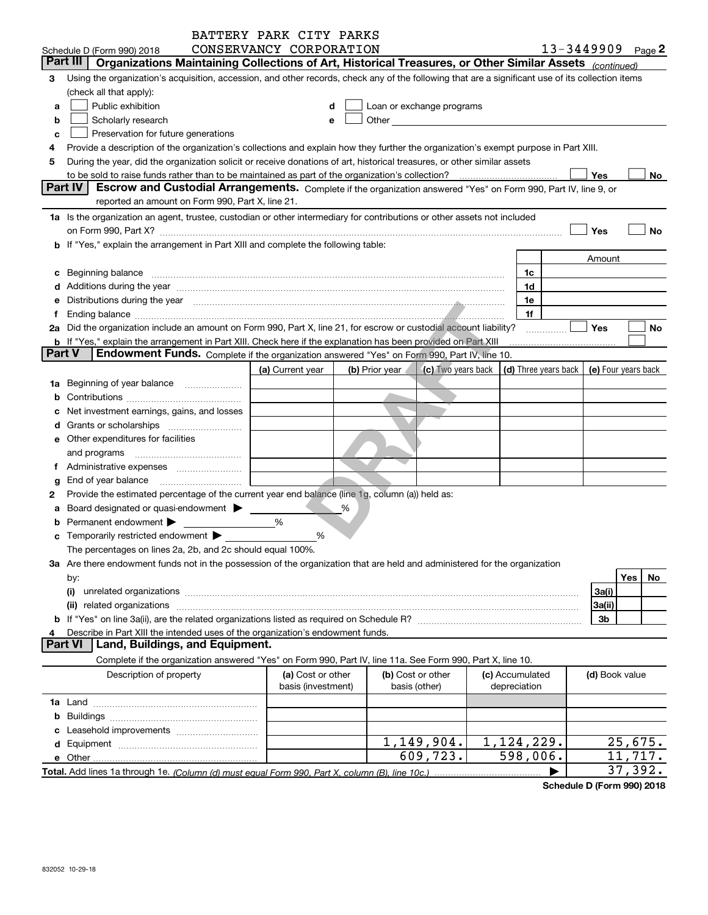|               |                                                                                                                                                                                                                                | BATTERY PARK CITY PARKS |   |                |                                                                                                               |                                         |                       |           |
|---------------|--------------------------------------------------------------------------------------------------------------------------------------------------------------------------------------------------------------------------------|-------------------------|---|----------------|---------------------------------------------------------------------------------------------------------------|-----------------------------------------|-----------------------|-----------|
|               | Schedule D (Form 990) 2018                                                                                                                                                                                                     | CONSERVANCY CORPORATION |   |                |                                                                                                               |                                         | $13 - 3449909$ Page 2 |           |
|               | Part III<br>Organizations Maintaining Collections of Art, Historical Treasures, or Other Similar Assets (continued)                                                                                                            |                         |   |                |                                                                                                               |                                         |                       |           |
| 3             | Using the organization's acquisition, accession, and other records, check any of the following that are a significant use of its collection items                                                                              |                         |   |                |                                                                                                               |                                         |                       |           |
|               | (check all that apply):                                                                                                                                                                                                        |                         |   |                |                                                                                                               |                                         |                       |           |
| a             | Public exhibition                                                                                                                                                                                                              |                         | d |                | Loan or exchange programs                                                                                     |                                         |                       |           |
| b             | Scholarly research                                                                                                                                                                                                             |                         |   |                | Other and the contract of the contract of the contract of the contract of the contract of the contract of the |                                         |                       |           |
| c             | Preservation for future generations                                                                                                                                                                                            |                         |   |                |                                                                                                               |                                         |                       |           |
|               | Provide a description of the organization's collections and explain how they further the organization's exempt purpose in Part XIII.                                                                                           |                         |   |                |                                                                                                               |                                         |                       |           |
| 5             | During the year, did the organization solicit or receive donations of art, historical treasures, or other similar assets                                                                                                       |                         |   |                |                                                                                                               |                                         |                       |           |
|               |                                                                                                                                                                                                                                |                         |   |                |                                                                                                               |                                         | Yes                   | No        |
|               | Part IV<br>Escrow and Custodial Arrangements. Complete if the organization answered "Yes" on Form 990, Part IV, line 9, or                                                                                                     |                         |   |                |                                                                                                               |                                         |                       |           |
|               | reported an amount on Form 990, Part X, line 21.                                                                                                                                                                               |                         |   |                |                                                                                                               |                                         |                       |           |
|               | 1a Is the organization an agent, trustee, custodian or other intermediary for contributions or other assets not included                                                                                                       |                         |   |                |                                                                                                               |                                         |                       |           |
|               | on Form 990, Part X? [11] matter contracts and contracts and contracts are contracted as a form 990, Part X?                                                                                                                   |                         |   |                |                                                                                                               |                                         | Yes                   | No        |
|               | <b>b</b> If "Yes," explain the arrangement in Part XIII and complete the following table:                                                                                                                                      |                         |   |                |                                                                                                               |                                         |                       |           |
|               |                                                                                                                                                                                                                                |                         |   |                |                                                                                                               | Amount                                  |                       |           |
|               |                                                                                                                                                                                                                                |                         |   |                |                                                                                                               | 1c                                      |                       |           |
|               | c Beginning balance measurements and the contract of the contract of the contract of the contract of the contract of the contract of the contract of the contract of the contract of the contract of the contract of the contr |                         |   |                |                                                                                                               | 1d                                      |                       |           |
|               | d Additions during the year measurements are all an according to the year measurement of the year measurement of the state of the state of the state of the state of the state of the state of the state of the state of the s |                         |   |                |                                                                                                               |                                         |                       |           |
|               | e Distributions during the year manufactured and continuum and contact the set of the set of the set of the set of the set of the set of the set of the set of the set of the set of the set of the set of the set of the set  |                         |   |                |                                                                                                               | 1e                                      |                       |           |
| Ť.            |                                                                                                                                                                                                                                |                         |   |                |                                                                                                               | 1f                                      |                       |           |
|               | 2a Did the organization include an amount on Form 990, Part X, line 21, for escrow or custodial account liability?                                                                                                             |                         |   |                |                                                                                                               |                                         | Yes                   | No        |
| <b>Part V</b> | <b>b</b> If "Yes," explain the arrangement in Part XIII. Check here if the explanation has been provided on Part XIII<br>Endowment Funds. Complete if the organization answered "Yes" on Form 990, Part IV, line 10.           |                         |   |                |                                                                                                               |                                         |                       |           |
|               |                                                                                                                                                                                                                                |                         |   |                |                                                                                                               |                                         |                       |           |
|               |                                                                                                                                                                                                                                | (a) Current year        |   | (b) Prior year |                                                                                                               | (c) Two years back (d) Three years back | (e) Four years back   |           |
| 1a            | Beginning of year balance                                                                                                                                                                                                      |                         |   |                |                                                                                                               |                                         |                       |           |
|               |                                                                                                                                                                                                                                |                         |   |                |                                                                                                               |                                         |                       |           |
|               | Net investment earnings, gains, and losses                                                                                                                                                                                     |                         |   |                |                                                                                                               |                                         |                       |           |
|               | d Grants or scholarships <i>manually contained</i>                                                                                                                                                                             |                         |   |                |                                                                                                               |                                         |                       |           |
|               | e Other expenditures for facilities                                                                                                                                                                                            |                         |   |                |                                                                                                               |                                         |                       |           |
|               | and programs                                                                                                                                                                                                                   |                         |   |                |                                                                                                               |                                         |                       |           |
|               | f Administrative expenses <i>manually communicative</i>                                                                                                                                                                        |                         |   |                |                                                                                                               |                                         |                       |           |
|               |                                                                                                                                                                                                                                |                         |   |                |                                                                                                               |                                         |                       |           |
| 2             | Provide the estimated percentage of the current year end balance (line 1g, column (a)) held as:                                                                                                                                |                         |   |                |                                                                                                               |                                         |                       |           |
| а             | Board designated or quasi-endowment >                                                                                                                                                                                          |                         | ℅ |                |                                                                                                               |                                         |                       |           |
|               | Permanent endowment $\blacktriangleright$                                                                                                                                                                                      | %                       |   |                |                                                                                                               |                                         |                       |           |
|               | c Temporarily restricted endowment $\blacktriangleright$                                                                                                                                                                       | %                       |   |                |                                                                                                               |                                         |                       |           |
|               | The percentages on lines 2a, 2b, and 2c should equal 100%.                                                                                                                                                                     |                         |   |                |                                                                                                               |                                         |                       |           |
|               | 3a Are there endowment funds not in the possession of the organization that are held and administered for the organization                                                                                                     |                         |   |                |                                                                                                               |                                         |                       |           |
|               | by:                                                                                                                                                                                                                            |                         |   |                |                                                                                                               |                                         |                       | Yes<br>No |
|               | (i)                                                                                                                                                                                                                            |                         |   |                |                                                                                                               |                                         | 3a(i)                 |           |
|               |                                                                                                                                                                                                                                |                         |   |                |                                                                                                               |                                         | 3a(ii)                |           |
|               |                                                                                                                                                                                                                                |                         |   |                |                                                                                                               |                                         | 3b                    |           |
| 4             | Describe in Part XIII the intended uses of the organization's endowment funds.                                                                                                                                                 |                         |   |                |                                                                                                               |                                         |                       |           |
|               | <b>Part VI</b><br>Land, Buildings, and Equipment.                                                                                                                                                                              |                         |   |                |                                                                                                               |                                         |                       |           |
|               | Complete if the organization answered "Yes" on Form 990, Part IV, line 11a. See Form 990, Part X, line 10.                                                                                                                     |                         |   |                |                                                                                                               |                                         |                       |           |
|               | Description of property                                                                                                                                                                                                        | (a) Cost or other       |   |                | (b) Cost or other                                                                                             | (c) Accumulated                         | (d) Book value        |           |
|               |                                                                                                                                                                                                                                | basis (investment)      |   |                | basis (other)                                                                                                 | depreciation                            |                       |           |
|               |                                                                                                                                                                                                                                |                         |   |                |                                                                                                               |                                         |                       |           |
|               |                                                                                                                                                                                                                                |                         |   |                |                                                                                                               |                                         |                       |           |
|               |                                                                                                                                                                                                                                |                         |   |                |                                                                                                               |                                         |                       |           |
|               |                                                                                                                                                                                                                                |                         |   |                | 1,149,904.                                                                                                    | 1,124,229.                              |                       | 25,675.   |
|               |                                                                                                                                                                                                                                |                         |   |                | 609,723.                                                                                                      | 598,006.                                |                       | 11,717.   |
|               |                                                                                                                                                                                                                                |                         |   |                |                                                                                                               |                                         |                       | 37,392.   |

**Schedule D (Form 990) 2018**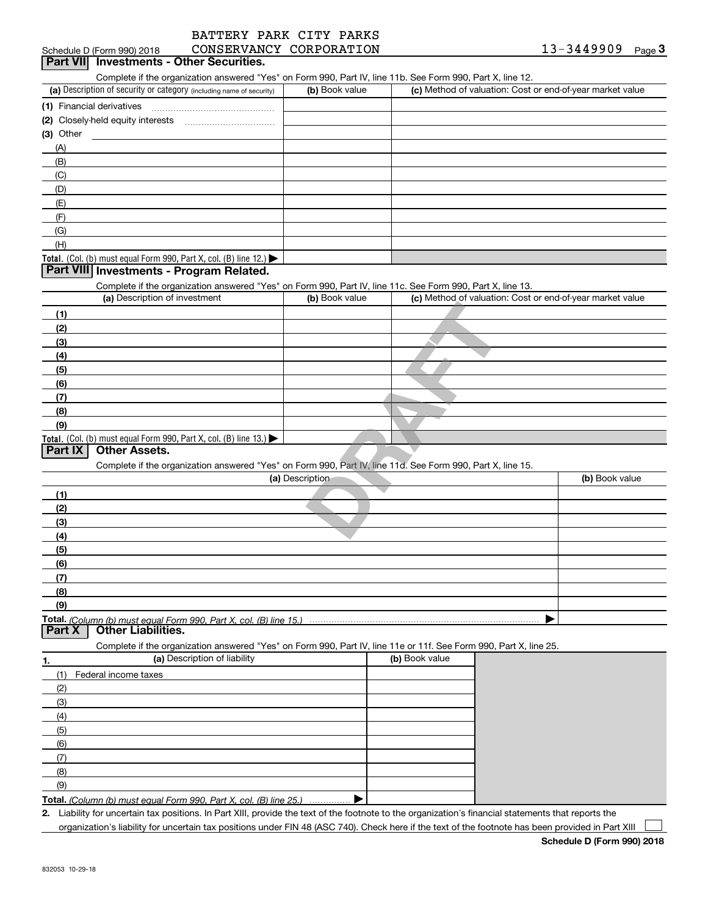| BATTERY PARK CITY PARKS  |  |  |
|--------------------------|--|--|
| CONCEDIZANCY CORROZEATON |  |  |

# Schedule D (Form 990) 2018 CONSERVANCY CORPORATION **13-3449909** Page 3<br>**Part VII Investments - Other Securities.**

Complete if the organization answered "Yes" on Form 990, Part IV, line 11b. See Form 990, Part X, line 12.

| (a) Description of security or category (including name of security)                   | (b) Book value | (c) Method of valuation: Cost or end-of-year market value |  |  |  |  |
|----------------------------------------------------------------------------------------|----------------|-----------------------------------------------------------|--|--|--|--|
| (1) Financial derivatives                                                              |                |                                                           |  |  |  |  |
| (2) Closely-held equity interests<br>                                                  |                |                                                           |  |  |  |  |
| $(3)$ Other                                                                            |                |                                                           |  |  |  |  |
| (A)                                                                                    |                |                                                           |  |  |  |  |
| (B)                                                                                    |                |                                                           |  |  |  |  |
| (C)                                                                                    |                |                                                           |  |  |  |  |
| (D)                                                                                    |                |                                                           |  |  |  |  |
| (E)                                                                                    |                |                                                           |  |  |  |  |
| (F)                                                                                    |                |                                                           |  |  |  |  |
| (G)                                                                                    |                |                                                           |  |  |  |  |
| (H)                                                                                    |                |                                                           |  |  |  |  |
| Total. (Col. (b) must equal Form 990, Part X, col. (B) line 12.) $\blacktriangleright$ |                |                                                           |  |  |  |  |

### **Part VIII Investments - Program Related.**

Complete if the organization answered "Yes" on Form 990, Part IV, line 11c. See Form 990, Part X, line 13.

| (a) Description of investment                                                                              | (b) Book value  | (c) Method of valuation: Cost or end-of-year market value |                |
|------------------------------------------------------------------------------------------------------------|-----------------|-----------------------------------------------------------|----------------|
| (1)                                                                                                        |                 |                                                           |                |
| (2)                                                                                                        |                 |                                                           |                |
| (3)                                                                                                        |                 |                                                           |                |
| (4)                                                                                                        |                 |                                                           |                |
| (5)                                                                                                        |                 |                                                           |                |
| (6)                                                                                                        |                 |                                                           |                |
| (7)                                                                                                        |                 |                                                           |                |
| (8)                                                                                                        |                 |                                                           |                |
| (9)                                                                                                        |                 |                                                           |                |
| Total. (Col. (b) must equal Form 990, Part X, col. (B) line 13.)                                           |                 |                                                           |                |
| Part IX<br><b>Other Assets.</b>                                                                            |                 |                                                           |                |
| Complete if the organization answered "Yes" on Form 990, Part IV, line 11d. See Form 990, Part X, line 15. |                 |                                                           |                |
|                                                                                                            | (a) Description |                                                           | (b) Book value |
| (1)                                                                                                        |                 |                                                           |                |
| (2)                                                                                                        |                 |                                                           |                |
| (3)                                                                                                        |                 |                                                           |                |
| (4)                                                                                                        |                 |                                                           |                |

### **Part IX Other Assets.**

| (a) Description | (b) Book value |
|-----------------|----------------|
| (1)             |                |
| (2)             |                |
| (3)             |                |
| (4)             |                |
| $\qquad$ (5)    |                |
| (6)             |                |
| (7)             |                |
| (8)             |                |
| (9)             |                |
|                 |                |

**Part X Other Liabilities.**

Complete if the organization answered "Yes" on Form 990, Part IV, line 11e or 11f. See Form 990, Part X, line 25.

| 1.  | (a) Description of liability                                       | (b) Book value |
|-----|--------------------------------------------------------------------|----------------|
|     | (1) Federal income taxes                                           |                |
| (2) |                                                                    |                |
| (3) |                                                                    |                |
| (4) |                                                                    |                |
| (5) |                                                                    |                |
| (6) |                                                                    |                |
| (7) |                                                                    |                |
| (8) |                                                                    |                |
| (9) |                                                                    |                |
|     | Total. (Column (b) must equal Form 990, Part X, col. (B) line 25.) |                |

**2.** Liability for uncertain tax positions. In Part XIII, provide the text of the footnote to the organization's financial statements that reports the

organization's liability for uncertain tax positions under FIN 48 (ASC 740). Check here if the text of the footnote has been provided in Part XIII

 $\mathcal{L}^{\text{max}}$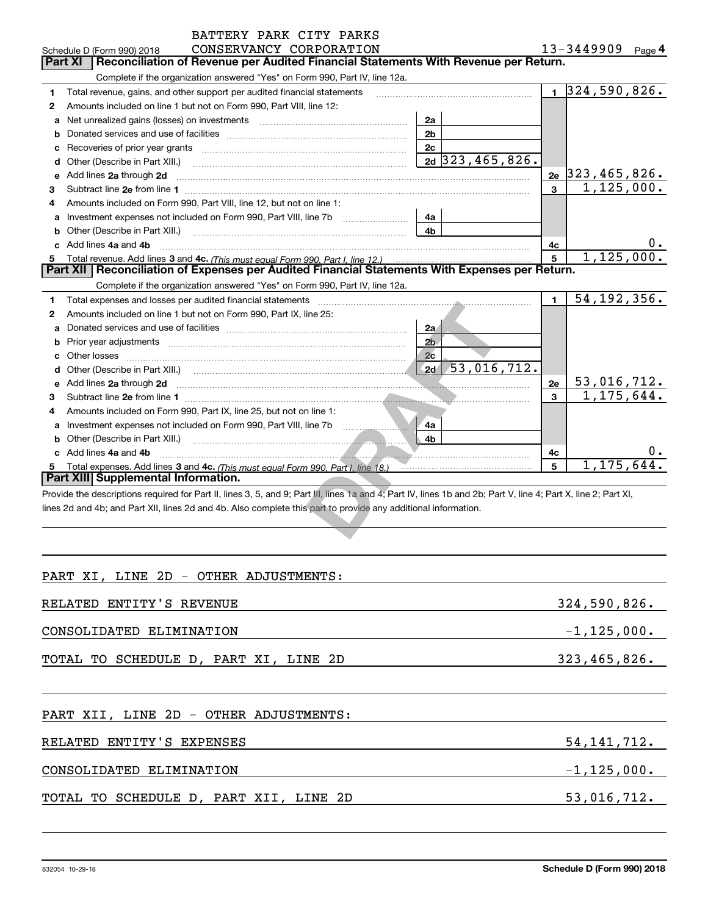|                                                                               | BATTERY PARK CITY PARKS                                                                                                                                        |                     |              |                              |  |
|-------------------------------------------------------------------------------|----------------------------------------------------------------------------------------------------------------------------------------------------------------|---------------------|--------------|------------------------------|--|
| Schedule D (Form 990) 2018                                                    | CONSERVANCY CORPORATION                                                                                                                                        |                     |              | $13 - 3449909$ Page 4        |  |
| <b>Part XI</b>                                                                | Reconciliation of Revenue per Audited Financial Statements With Revenue per Return.                                                                            |                     |              |                              |  |
|                                                                               | Complete if the organization answered "Yes" on Form 990, Part IV, line 12a.                                                                                    |                     |              |                              |  |
| Total revenue, gains, and other support per audited financial statements<br>1 |                                                                                                                                                                |                     |              | $1 \overline{)324,590,826.}$ |  |
| Amounts included on line 1 but not on Form 990, Part VIII, line 12:<br>2      |                                                                                                                                                                |                     |              |                              |  |
| а                                                                             | 2a<br>Net unrealized gains (losses) on investments [11] matter contracts and the unrealized gains (losses) on investments                                      |                     |              |                              |  |
| b                                                                             | 2 <sub>b</sub>                                                                                                                                                 |                     |              |                              |  |
|                                                                               | 2c                                                                                                                                                             |                     |              |                              |  |
| Other (Describe in Part XIII.)<br>d                                           |                                                                                                                                                                | $2d$ 323, 465, 826. |              |                              |  |
| Add lines 2a through 2d<br>е                                                  |                                                                                                                                                                |                     |              | $2e$ 323, 465, 826.          |  |
| з                                                                             |                                                                                                                                                                |                     | $\mathbf{R}$ | 1,125,000.                   |  |
| Amounts included on Form 990, Part VIII, line 12, but not on line 1:          |                                                                                                                                                                |                     |              |                              |  |
| Investment expenses not included on Form 990, Part VIII, line 7b              | 4a                                                                                                                                                             |                     |              |                              |  |
| b                                                                             | 4b<br>Other (Describe in Part XIII.) [100] [100] [100] [100] [100] [100] [100] [100] [100] [100] [100] [100] [100] [                                           |                     |              |                              |  |
| c Add lines 4a and 4b                                                         |                                                                                                                                                                |                     | 4c           |                              |  |
| 5                                                                             |                                                                                                                                                                |                     | 5            | 1, 125, 000.                 |  |
|                                                                               | Part XII   Reconciliation of Expenses per Audited Financial Statements With Expenses per Return.                                                               |                     |              |                              |  |
|                                                                               | Complete if the organization answered "Yes" on Form 990, Part IV, line 12a.                                                                                    |                     |              |                              |  |
| Total expenses and losses per audited financial statements<br>1               |                                                                                                                                                                |                     | $\mathbf{1}$ | 54, 192, 356.                |  |
| Amounts included on line 1 but not on Form 990, Part IX, line 25:<br>2        |                                                                                                                                                                |                     |              |                              |  |
|                                                                               | 2a                                                                                                                                                             |                     |              |                              |  |
| b                                                                             | 2 <sub>b</sub>                                                                                                                                                 |                     |              |                              |  |
| Other losses                                                                  | 2c                                                                                                                                                             |                     |              |                              |  |
|                                                                               |                                                                                                                                                                | 53,016,712.         |              |                              |  |
| e Add lines 2a through 2d                                                     |                                                                                                                                                                |                     | 2e           | 53,016,712.                  |  |
| 3                                                                             |                                                                                                                                                                |                     | 3            | 1, 175, 644.                 |  |
| Amounts included on Form 990, Part IX, line 25, but not on line 1:            |                                                                                                                                                                |                     |              |                              |  |
|                                                                               | Investment expenses not included on Form 990, Part VIII, line 7b [11, 11, 11, 11, 11, 11, 11, 11, 11                                                           |                     |              |                              |  |
|                                                                               | 4a<br>4b                                                                                                                                                       |                     |              |                              |  |
| b                                                                             |                                                                                                                                                                |                     |              |                              |  |
| c Add lines 4a and 4b                                                         |                                                                                                                                                                |                     | 4c<br>5      | 1,175,644                    |  |
| Part XIII Supplemental Information.                                           |                                                                                                                                                                |                     |              |                              |  |
|                                                                               | Provide the descriptions required for Part II, lines 3, 5, and 9; Part III, lines 1a and 4; Part IV, lines 1b and 2b; Part V, line 4; Part X, line 2; Part XI, |                     |              |                              |  |
|                                                                               | lines 2d and 4b; and Part XII, lines 2d and 4b. Also complete this part to provide any additional information.                                                 |                     |              |                              |  |
|                                                                               |                                                                                                                                                                |                     |              |                              |  |
|                                                                               |                                                                                                                                                                |                     |              |                              |  |
|                                                                               |                                                                                                                                                                |                     |              |                              |  |
|                                                                               |                                                                                                                                                                |                     |              |                              |  |
| PART XI, LINE 2D - OTHER ADJUSTMENTS:                                         |                                                                                                                                                                |                     |              |                              |  |
|                                                                               |                                                                                                                                                                |                     |              |                              |  |
| RELATED ENTITY'S REVENUE                                                      |                                                                                                                                                                |                     |              | 324,590,826.                 |  |
|                                                                               |                                                                                                                                                                |                     |              |                              |  |
| CONSOLIDATED ELIMINATION                                                      |                                                                                                                                                                |                     |              | $-1, 125, 000.$              |  |
| TOTAL TO SCHEDULE D, PART XI, LINE 2D                                         |                                                                                                                                                                |                     |              | 323,465,826.                 |  |
|                                                                               |                                                                                                                                                                |                     |              |                              |  |

| PART XII, LINE 2D - OTHER ADJUSTMENTS: |                 |
|----------------------------------------|-----------------|
| RELATED ENTITY'S EXPENSES              | 54, 141, 712.   |
| CONSOLIDATED ELIMINATION               | $-1, 125, 000.$ |
| TOTAL TO SCHEDULE D, PART XII, LINE 2D | 53,016,712.     |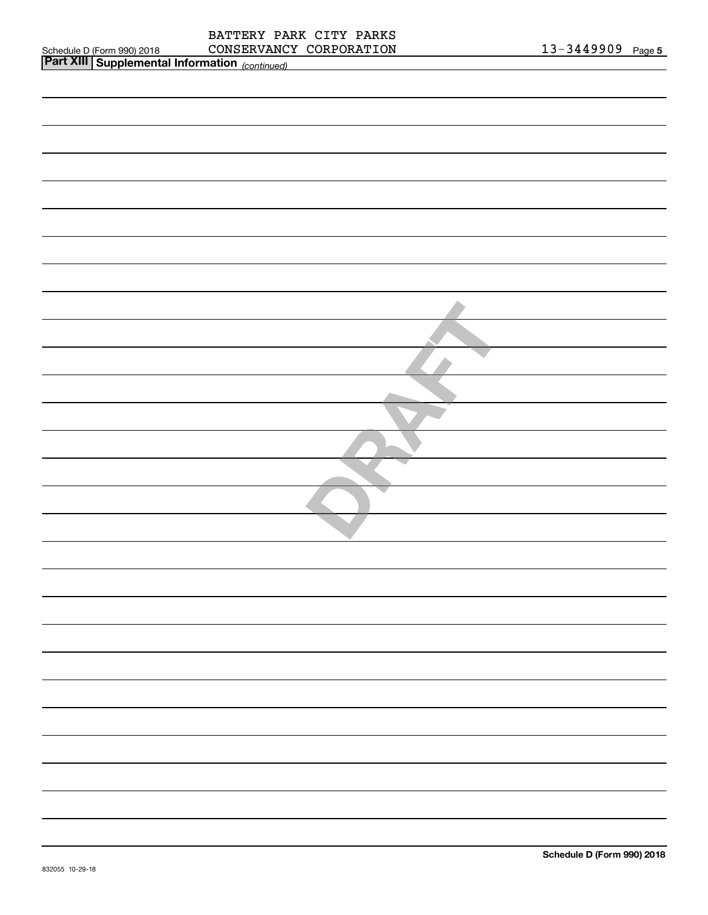|                                                                                          | BATTERY PARK CITY PARKS<br>CONSERVANCY CORPORATION | 13-3449909 Page |  |
|------------------------------------------------------------------------------------------|----------------------------------------------------|-----------------|--|
| Schedule D (Form 990) 2018 CONSERVANC!<br>Part XIII Supplemental Information (continued) |                                                    |                 |  |
|                                                                                          |                                                    |                 |  |
|                                                                                          |                                                    |                 |  |
|                                                                                          |                                                    |                 |  |
|                                                                                          |                                                    |                 |  |
|                                                                                          |                                                    |                 |  |
|                                                                                          |                                                    |                 |  |
|                                                                                          |                                                    |                 |  |
|                                                                                          |                                                    |                 |  |
|                                                                                          |                                                    |                 |  |
|                                                                                          |                                                    |                 |  |
|                                                                                          |                                                    |                 |  |
|                                                                                          |                                                    |                 |  |
|                                                                                          |                                                    |                 |  |
|                                                                                          |                                                    |                 |  |
|                                                                                          |                                                    |                 |  |
|                                                                                          |                                                    |                 |  |
|                                                                                          |                                                    |                 |  |
|                                                                                          |                                                    |                 |  |

| $-3449909$ | Page 5 |
|------------|--------|
|            |        |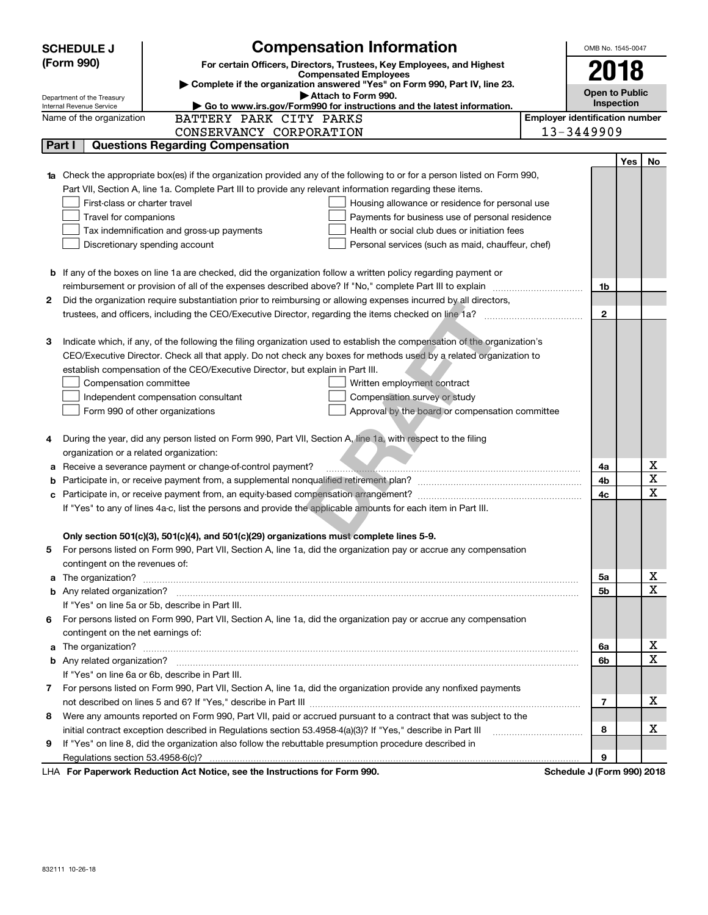|    | <b>SCHEDULE J</b>                       |                                                                                                                                                                                                                                      | OMB No. 1545-0047                     |                            |     |             |  |  |  |  |  |
|----|-----------------------------------------|--------------------------------------------------------------------------------------------------------------------------------------------------------------------------------------------------------------------------------------|---------------------------------------|----------------------------|-----|-------------|--|--|--|--|--|
|    | (Form 990)                              | <b>Compensation Information</b><br>For certain Officers, Directors, Trustees, Key Employees, and Highest                                                                                                                             |                                       | 2018                       |     |             |  |  |  |  |  |
|    |                                         | <b>Compensated Employees</b>                                                                                                                                                                                                         |                                       |                            |     |             |  |  |  |  |  |
|    | Department of the Treasury              | Complete if the organization answered "Yes" on Form 990, Part IV, line 23.<br>Attach to Form 990.                                                                                                                                    |                                       | <b>Open to Public</b>      |     |             |  |  |  |  |  |
|    | Internal Revenue Service                |                                                                                                                                                                                                                                      | Inspection                            |                            |     |             |  |  |  |  |  |
|    | Name of the organization                | BATTERY PARK CITY PARKS                                                                                                                                                                                                              | <b>Employer identification number</b> |                            |     |             |  |  |  |  |  |
|    | 13-3449909<br>CONSERVANCY CORPORATION   |                                                                                                                                                                                                                                      |                                       |                            |     |             |  |  |  |  |  |
|    | Part I                                  | <b>Questions Regarding Compensation</b>                                                                                                                                                                                              |                                       |                            |     |             |  |  |  |  |  |
|    |                                         |                                                                                                                                                                                                                                      |                                       |                            | Yes | No          |  |  |  |  |  |
| 1a |                                         | Check the appropriate box(es) if the organization provided any of the following to or for a person listed on Form 990,                                                                                                               |                                       |                            |     |             |  |  |  |  |  |
|    |                                         | Part VII, Section A, line 1a. Complete Part III to provide any relevant information regarding these items.                                                                                                                           |                                       |                            |     |             |  |  |  |  |  |
|    | First-class or charter travel           | Housing allowance or residence for personal use<br>Payments for business use of personal residence                                                                                                                                   |                                       |                            |     |             |  |  |  |  |  |
|    | Travel for companions                   |                                                                                                                                                                                                                                      |                                       |                            |     |             |  |  |  |  |  |
|    |                                         | Health or social club dues or initiation fees<br>Tax indemnification and gross-up payments                                                                                                                                           |                                       |                            |     |             |  |  |  |  |  |
|    |                                         | Discretionary spending account<br>Personal services (such as maid, chauffeur, chef)                                                                                                                                                  |                                       |                            |     |             |  |  |  |  |  |
|    |                                         |                                                                                                                                                                                                                                      |                                       |                            |     |             |  |  |  |  |  |
|    |                                         | <b>b</b> If any of the boxes on line 1a are checked, did the organization follow a written policy regarding payment or                                                                                                               |                                       |                            |     |             |  |  |  |  |  |
|    |                                         | reimbursement or provision of all of the expenses described above? If "No," complete Part III to explain                                                                                                                             |                                       | 1b                         |     |             |  |  |  |  |  |
| 2  |                                         | Did the organization require substantiation prior to reimbursing or allowing expenses incurred by all directors,                                                                                                                     |                                       |                            |     |             |  |  |  |  |  |
|    |                                         |                                                                                                                                                                                                                                      |                                       | $\mathbf{2}$               |     |             |  |  |  |  |  |
|    |                                         |                                                                                                                                                                                                                                      |                                       |                            |     |             |  |  |  |  |  |
| З  |                                         | Indicate which, if any, of the following the filing organization used to establish the compensation of the organization's                                                                                                            |                                       |                            |     |             |  |  |  |  |  |
|    |                                         | CEO/Executive Director. Check all that apply. Do not check any boxes for methods used by a related organization to                                                                                                                   |                                       |                            |     |             |  |  |  |  |  |
|    |                                         | establish compensation of the CEO/Executive Director, but explain in Part III.                                                                                                                                                       |                                       |                            |     |             |  |  |  |  |  |
|    | Compensation committee                  | Written employment contract                                                                                                                                                                                                          |                                       |                            |     |             |  |  |  |  |  |
|    |                                         | Compensation survey or study<br>Independent compensation consultant                                                                                                                                                                  |                                       |                            |     |             |  |  |  |  |  |
|    |                                         | Approval by the board or compensation committee<br>Form 990 of other organizations                                                                                                                                                   |                                       |                            |     |             |  |  |  |  |  |
|    |                                         |                                                                                                                                                                                                                                      |                                       |                            |     |             |  |  |  |  |  |
| 4  |                                         | During the year, did any person listed on Form 990, Part VII, Section A, line 1a, with respect to the filing                                                                                                                         |                                       |                            |     |             |  |  |  |  |  |
|    | organization or a related organization: |                                                                                                                                                                                                                                      |                                       |                            |     | х           |  |  |  |  |  |
| а  |                                         | Receive a severance payment or change-of-control payment?                                                                                                                                                                            |                                       | 4a<br>4b                   |     | X           |  |  |  |  |  |
| b  |                                         |                                                                                                                                                                                                                                      |                                       | 4с                         |     | X           |  |  |  |  |  |
|    |                                         | If "Yes" to any of lines 4a-c, list the persons and provide the applicable amounts for each item in Part III.                                                                                                                        |                                       |                            |     |             |  |  |  |  |  |
|    |                                         |                                                                                                                                                                                                                                      |                                       |                            |     |             |  |  |  |  |  |
|    |                                         | Only section 501(c)(3), 501(c)(4), and 501(c)(29) organizations must complete lines 5-9.                                                                                                                                             |                                       |                            |     |             |  |  |  |  |  |
|    |                                         | For persons listed on Form 990, Part VII, Section A, line 1a, did the organization pay or accrue any compensation                                                                                                                    |                                       |                            |     |             |  |  |  |  |  |
|    | contingent on the revenues of:          |                                                                                                                                                                                                                                      |                                       |                            |     |             |  |  |  |  |  |
| a  |                                         | The organization? <b>With the contract of the contract of the contract of the contract of the contract of the contract of the contract of the contract of the contract of the contract of the contract of the contract of the co</b> |                                       | 5а                         |     | х           |  |  |  |  |  |
|    |                                         |                                                                                                                                                                                                                                      |                                       | 5b                         |     | X           |  |  |  |  |  |
|    |                                         | If "Yes" on line 5a or 5b, describe in Part III.                                                                                                                                                                                     |                                       |                            |     |             |  |  |  |  |  |
| 6  |                                         | For persons listed on Form 990, Part VII, Section A, line 1a, did the organization pay or accrue any compensation                                                                                                                    |                                       |                            |     |             |  |  |  |  |  |
|    | contingent on the net earnings of:      |                                                                                                                                                                                                                                      |                                       |                            |     |             |  |  |  |  |  |
| a  |                                         | The organization? <b>With the organization</b> ? <b>With the organization with the organization? With the organization?</b>                                                                                                          |                                       | 6a                         |     | х           |  |  |  |  |  |
|    |                                         |                                                                                                                                                                                                                                      |                                       | 6b                         |     | $\mathbf X$ |  |  |  |  |  |
|    |                                         | If "Yes" on line 6a or 6b, describe in Part III.                                                                                                                                                                                     |                                       |                            |     |             |  |  |  |  |  |
| 7  |                                         | For persons listed on Form 990, Part VII, Section A, line 1a, did the organization provide any nonfixed payments                                                                                                                     |                                       |                            |     |             |  |  |  |  |  |
|    |                                         |                                                                                                                                                                                                                                      |                                       | $\overline{7}$             |     | х           |  |  |  |  |  |
| 8  |                                         | Were any amounts reported on Form 990, Part VII, paid or accrued pursuant to a contract that was subject to the                                                                                                                      |                                       |                            |     |             |  |  |  |  |  |
|    |                                         | initial contract exception described in Regulations section 53.4958-4(a)(3)? If "Yes," describe in Part III                                                                                                                          |                                       | 8                          |     | х           |  |  |  |  |  |
| 9  |                                         | If "Yes" on line 8, did the organization also follow the rebuttable presumption procedure described in                                                                                                                               |                                       |                            |     |             |  |  |  |  |  |
|    |                                         |                                                                                                                                                                                                                                      |                                       | 9                          |     |             |  |  |  |  |  |
|    |                                         | LHA For Paperwork Reduction Act Notice, see the Instructions for Form 990.                                                                                                                                                           |                                       | Schedule J (Form 990) 2018 |     |             |  |  |  |  |  |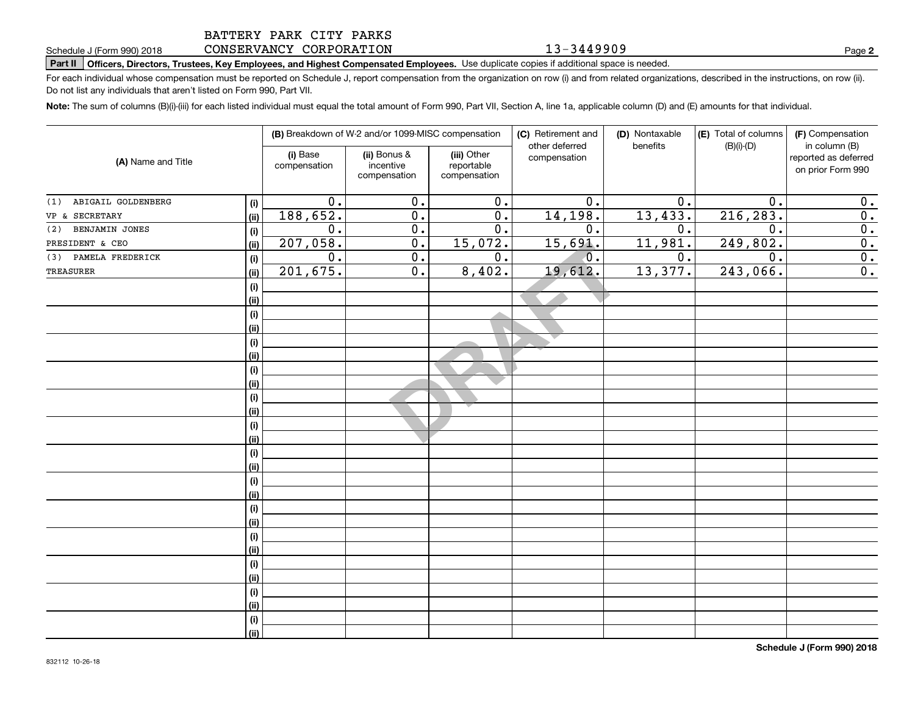### BATTERY PARK CITY PARKS CONSERVANCY CORPORATION

# **Part II Officers, Directors, Trustees, Key Employees, and Highest Compensated Employees.**  Schedule J (Form 990) 2018 Page Use duplicate copies if additional space is needed.

For each individual whose compensation must be reported on Schedule J, report compensation from the organization on row (i) and from related organizations, described in the instructions, on row (ii). Do not list any individuals that aren't listed on Form 990, Part VII.

**Note:**  The sum of columns (B)(i)-(iii) for each listed individual must equal the total amount of Form 990, Part VII, Section A, line 1a, applicable column (D) and (E) amounts for that individual.

| (A) Name and Title        |      | (B) Breakdown of W-2 and/or 1099-MISC compensation |                                           |                                           | (C) Retirement and<br>other deferred | (D) Nontaxable<br>benefits | (E) Total of columns<br>$(B)(i)-(D)$ | (F) Compensation<br>in column (B)         |  |  |
|---------------------------|------|----------------------------------------------------|-------------------------------------------|-------------------------------------------|--------------------------------------|----------------------------|--------------------------------------|-------------------------------------------|--|--|
|                           |      | (i) Base<br>compensation                           | (ii) Bonus &<br>incentive<br>compensation | (iii) Other<br>reportable<br>compensation | compensation                         |                            |                                      | reported as deferred<br>on prior Form 990 |  |  |
| ABIGAIL GOLDENBERG<br>(1) | (i)  | $0$ .                                              | 0.                                        | 0.                                        | 0.                                   | 0.                         | $\mathbf 0$ .                        | 0.                                        |  |  |
| VP & SECRETARY            | (ii) | 188,652.                                           | $\mathbf 0$ .                             | $\overline{0}$ .                          | 14,198.                              | 13,433.                    | 216, 283.                            | $\overline{0}$ .                          |  |  |
| BENJAMIN JONES<br>(2)     | (i)  | $0$ .                                              | $\overline{0}$ .                          | 0.                                        | 0.                                   | 0.                         | 0.                                   | $\overline{\mathbf{0}}$ .                 |  |  |
| PRESIDENT & CEO           | (ii) | 207,058.                                           | $\overline{0}$ .                          | 15,072.                                   | 15,691.                              | 11,981.                    | 249, 802.                            | $\overline{0}$ .                          |  |  |
| (3) PAMELA FREDERICK      | (i)  | $0$ .                                              | $\mathbf 0$ .                             | 0.                                        | $\overline{0}$ .                     | $0$ .                      | 0.                                   | $\overline{\mathbf{0}}$ .                 |  |  |
| TREASURER                 | (ii) | 201,675.                                           | $\overline{0}$ .                          | 8,402.                                    | 19,612.                              | 13,377.                    | $243,066$ .                          | $\overline{\mathbf{0}}$ .                 |  |  |
|                           | (i)  |                                                    |                                           |                                           |                                      |                            |                                      |                                           |  |  |
|                           | (ii) |                                                    |                                           |                                           |                                      |                            |                                      |                                           |  |  |
|                           | (i)  |                                                    |                                           |                                           |                                      |                            |                                      |                                           |  |  |
|                           | (ii) |                                                    |                                           |                                           |                                      |                            |                                      |                                           |  |  |
|                           | (i)  |                                                    |                                           |                                           |                                      |                            |                                      |                                           |  |  |
|                           | (ii) |                                                    |                                           |                                           |                                      |                            |                                      |                                           |  |  |
|                           | (i)  |                                                    |                                           |                                           |                                      |                            |                                      |                                           |  |  |
|                           | (ii) |                                                    |                                           |                                           |                                      |                            |                                      |                                           |  |  |
|                           | (i)  |                                                    |                                           |                                           |                                      |                            |                                      |                                           |  |  |
|                           | (ii) |                                                    |                                           |                                           |                                      |                            |                                      |                                           |  |  |
|                           | (i)  |                                                    |                                           |                                           |                                      |                            |                                      |                                           |  |  |
|                           | (ii) |                                                    |                                           |                                           |                                      |                            |                                      |                                           |  |  |
|                           | (i)  |                                                    |                                           |                                           |                                      |                            |                                      |                                           |  |  |
|                           | (ii) |                                                    |                                           |                                           |                                      |                            |                                      |                                           |  |  |
|                           | (i)  |                                                    |                                           |                                           |                                      |                            |                                      |                                           |  |  |
|                           | (ii) |                                                    |                                           |                                           |                                      |                            |                                      |                                           |  |  |
|                           | (i)  |                                                    |                                           |                                           |                                      |                            |                                      |                                           |  |  |
|                           | (ii) |                                                    |                                           |                                           |                                      |                            |                                      |                                           |  |  |
|                           | (i)  |                                                    |                                           |                                           |                                      |                            |                                      |                                           |  |  |
|                           | (ii) |                                                    |                                           |                                           |                                      |                            |                                      |                                           |  |  |
|                           | (i)  |                                                    |                                           |                                           |                                      |                            |                                      |                                           |  |  |
|                           | (ii) |                                                    |                                           |                                           |                                      |                            |                                      |                                           |  |  |
|                           | (i)  |                                                    |                                           |                                           |                                      |                            |                                      |                                           |  |  |
|                           | (ii) |                                                    |                                           |                                           |                                      |                            |                                      |                                           |  |  |
|                           | (i)  |                                                    |                                           |                                           |                                      |                            |                                      |                                           |  |  |
|                           | (ii) |                                                    |                                           |                                           |                                      |                            |                                      |                                           |  |  |

**2**

13-3449909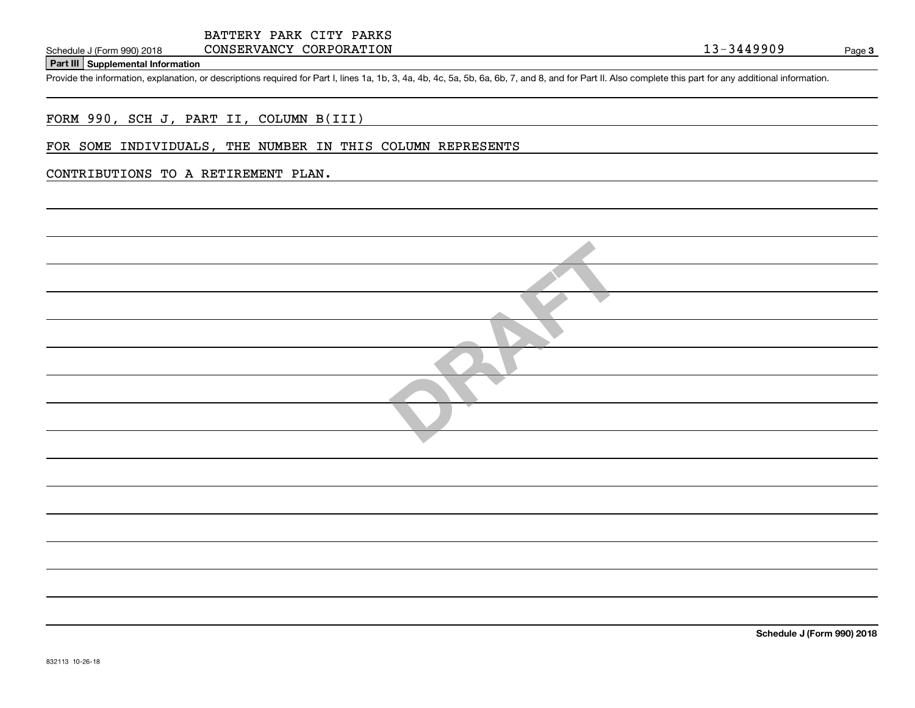**Part III Supplemental Information**

Schedule J (Form 990) 2018 CONSERVANCY CORPORATION 13-3449909<br>Part III Supplemental Information<br>Provide the information, explanation, or descriptions required for Part I, lines 1a, 1b, 3, 4a, 4b, 4c, 5a, 5b, 6a, 6b, 7, and

### FORM 990, SCH J, PART II, COLUMN B(III)

FOR SOME INDIVIDUALS, THE NUMBER IN THIS COLUMN REPRESENTS

### CONTRIBUTIONS TO A RETIREMENT PLAN.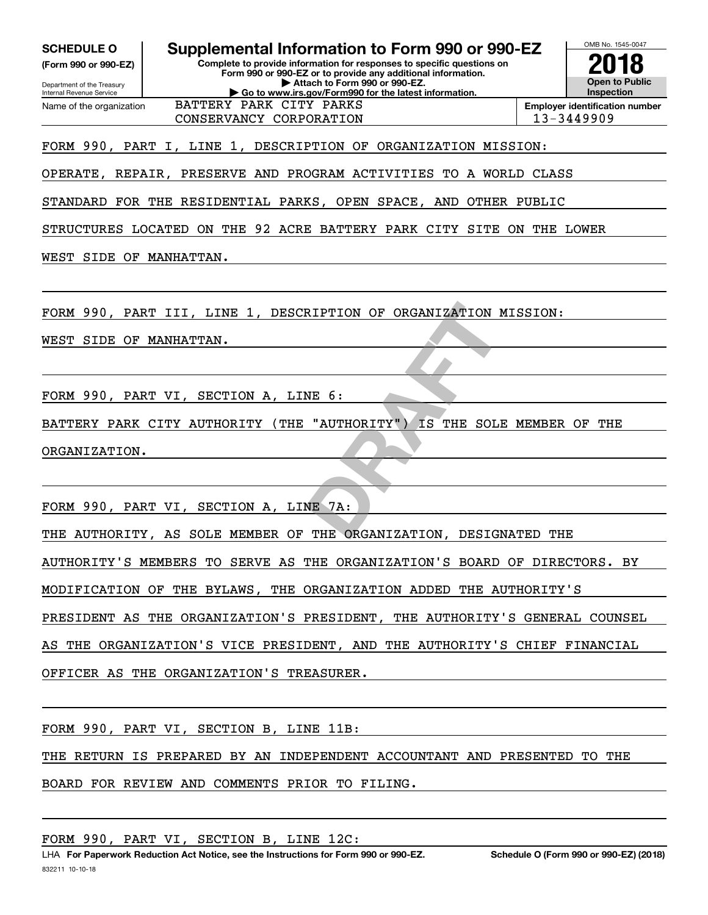**(Form 990 or 990-EZ)**

Department of the Treasury Internal Revenue Service Name of the organization

### **Complete to provide information for responses to specific questions on SCHEDULE O Supplemental Information to Form 990 or 990-EZ**

**Form 990 or 990-EZ or to provide any additional information. | Attach to Form 990 or 990-EZ. | Go to www.irs.gov/Form990 for the latest information.** BATTERY PARK CITY PARKS



CONSERVANCY CORPORATION 13-3449909

FORM 990, PART I, LINE 1, DESCRIPTION OF ORGANIZATION MISSION:

OPERATE, REPAIR, PRESERVE AND PROGRAM ACTIVITIES TO A WORLD CLASS

STANDARD FOR THE RESIDENTIAL PARKS, OPEN SPACE, AND OTHER PUBLIC

STRUCTURES LOCATED ON THE 92 ACRE BATTERY PARK CITY SITE ON THE LOWER

WEST SIDE OF MANHATTAN.

FORM 990, PART III, LINE 1, DESCRIPTION OF ORGANIZATION MISSION:

WEST SIDE OF MANHATTAN.

FORM 990, PART VI, SECTION A, LINE 6:

**RIPTION OF ORGANIZATION I<br>
WE 6:<br>
"AUTHORITY") IS THE SOLI<br>
NE 7A:<br>
THE ORGANIZATION, DESIGI** BATTERY PARK CITY AUTHORITY (THE "AUTHORITY") IS THE SOLE MEMBER OF THE

ORGANIZATION.

FORM 990, PART VI, SECTION A, LINE 7A:

THE AUTHORITY, AS SOLE MEMBER OF THE ORGANIZATION, DESIGNATED THE

AUTHORITY'S MEMBERS TO SERVE AS THE ORGANIZATION'S BOARD OF DIRECTORS. BY

MODIFICATION OF THE BYLAWS, THE ORGANIZATION ADDED THE AUTHORITY'S

PRESIDENT AS THE ORGANIZATION'S PRESIDENT, THE AUTHORITY'S GENERAL COUNSEL

AS THE ORGANIZATION'S VICE PRESIDENT, AND THE AUTHORITY'S CHIEF FINANCIAL

OFFICER AS THE ORGANIZATION'S TREASURER.

FORM 990, PART VI, SECTION B, LINE 11B:

THE RETURN IS PREPARED BY AN INDEPENDENT ACCOUNTANT AND PRESENTED TO THE

BOARD FOR REVIEW AND COMMENTS PRIOR TO FILING.

FORM 990, PART VI, SECTION B, LINE 12C: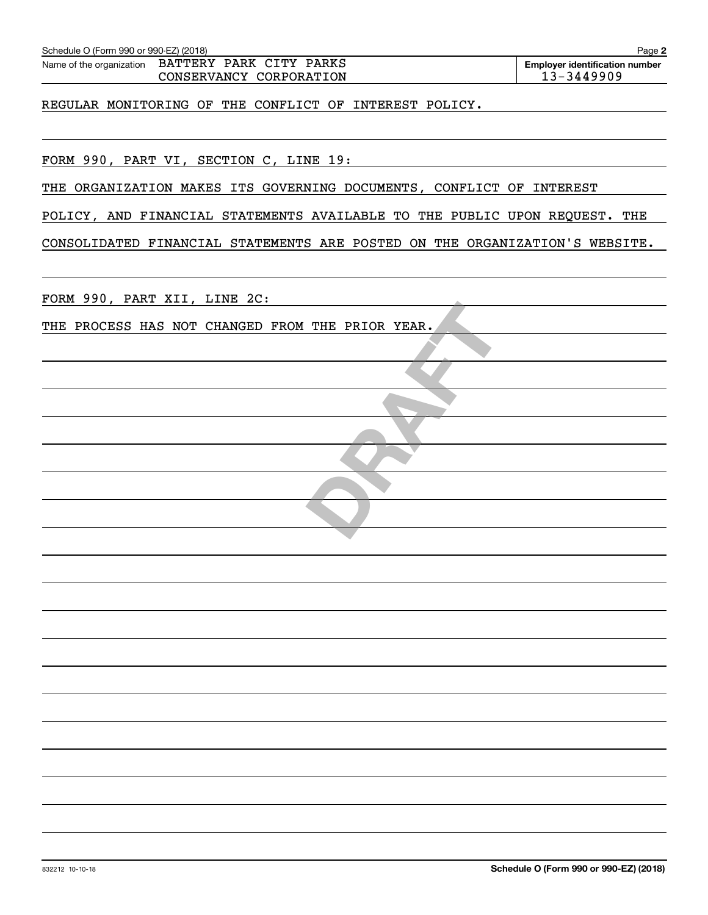| Schedule O (Form 990 or 990-EZ) (2018)                                      | Page 2                                              |
|-----------------------------------------------------------------------------|-----------------------------------------------------|
| Name of the organization BATTERY PARK CITY PARKS<br>CONSERVANCY CORPORATION | <b>Employer identification number</b><br>13-3449909 |
| REGULAR MONITORING OF THE CONFLICT OF INTEREST POLICY.                      |                                                     |
|                                                                             |                                                     |
| FORM 990, PART VI, SECTION C, LINE 19:                                      |                                                     |
| THE ORGANIZATION MAKES ITS GOVERNING DOCUMENTS, CONFLICT OF INTEREST        |                                                     |
| POLICY, AND FINANCIAL STATEMENTS AVAILABLE TO THE PUBLIC UPON REQUEST. THE  |                                                     |
| CONSOLIDATED FINANCIAL STATEMENTS ARE POSTED ON THE ORGANIZATION'S WEBSITE. |                                                     |
| FORM 990, PART XII, LINE 2C:                                                |                                                     |
| THE PROCESS HAS NOT CHANGED FROM THE PRIOR YEAR.                            |                                                     |
|                                                                             |                                                     |
|                                                                             |                                                     |
|                                                                             |                                                     |
|                                                                             |                                                     |
|                                                                             |                                                     |
|                                                                             |                                                     |
|                                                                             |                                                     |
|                                                                             |                                                     |
|                                                                             |                                                     |
|                                                                             |                                                     |
|                                                                             |                                                     |
|                                                                             |                                                     |
|                                                                             |                                                     |
|                                                                             |                                                     |
|                                                                             |                                                     |
|                                                                             |                                                     |
|                                                                             |                                                     |
|                                                                             |                                                     |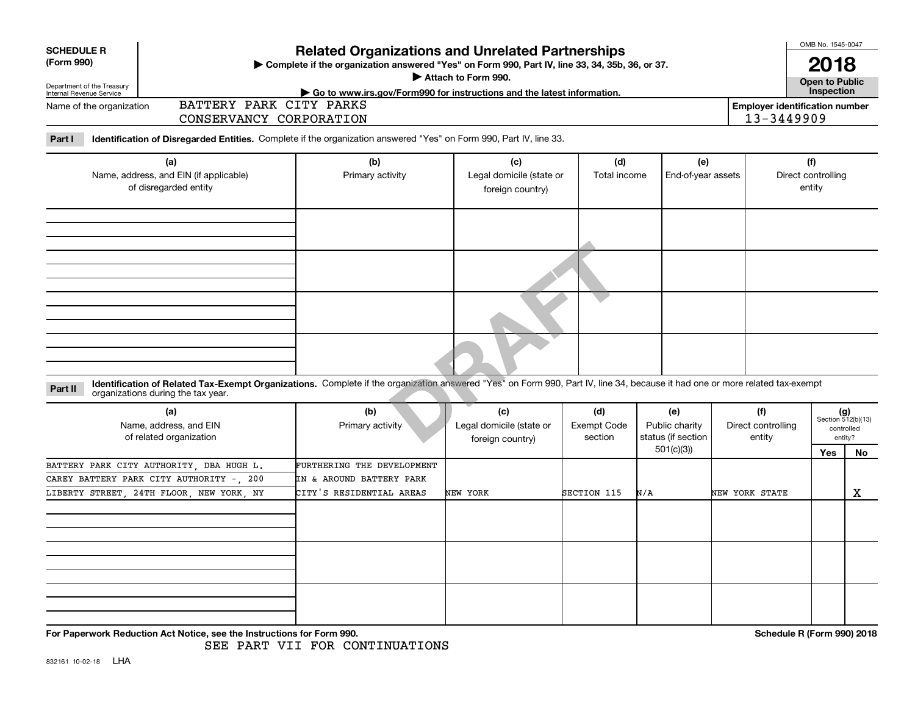| <b>SCHEDULE R</b><br>(Form 990)<br>Department of the Treasury<br>Internal Revenue Service | > Complete if the organization answered "Yes" on Form 990, Part IV, line 33, 34, 35b, 36, or 37.                                |                                                                                                                                                                              | OMB No. 1545-0047<br>2018<br><b>Open to Public</b><br>Inspection |                                      |                                                          |                                                     |                                                                          |             |
|-------------------------------------------------------------------------------------------|---------------------------------------------------------------------------------------------------------------------------------|------------------------------------------------------------------------------------------------------------------------------------------------------------------------------|------------------------------------------------------------------|--------------------------------------|----------------------------------------------------------|-----------------------------------------------------|--------------------------------------------------------------------------|-------------|
| Name of the organization                                                                  | BATTERY PARK CITY PARKS<br>CONSERVANCY CORPORATION                                                                              | Go to www.irs.gov/Form990 for instructions and the latest information.                                                                                                       |                                                                  |                                      |                                                          | <b>Employer identification number</b><br>13-3449909 |                                                                          |             |
| Part I                                                                                    |                                                                                                                                 | Identification of Disregarded Entities. Complete if the organization answered "Yes" on Form 990, Part IV, line 33.                                                           |                                                                  |                                      |                                                          |                                                     |                                                                          |             |
| (a)<br>Name, address, and EIN (if applicable)<br>of disregarded entity                    |                                                                                                                                 | (b)<br>Primary activity                                                                                                                                                      | (c)<br>Legal domicile (state or<br>foreign country)              | (d)<br>Total income                  | (e)<br>End-of-year assets                                |                                                     | (f)<br>Direct controlling<br>entity                                      |             |
|                                                                                           |                                                                                                                                 |                                                                                                                                                                              |                                                                  |                                      |                                                          |                                                     |                                                                          |             |
|                                                                                           |                                                                                                                                 |                                                                                                                                                                              |                                                                  |                                      |                                                          |                                                     |                                                                          |             |
|                                                                                           |                                                                                                                                 |                                                                                                                                                                              |                                                                  |                                      |                                                          |                                                     |                                                                          |             |
| Part II                                                                                   | organizations during the tax year.                                                                                              | Identification of Related Tax-Exempt Organizations. Complete if the organization answered "Yes" on Form 990, Part IV, line 34, because it had one or more related tax-exempt |                                                                  |                                      |                                                          |                                                     |                                                                          |             |
|                                                                                           | (a)<br>Name, address, and EIN<br>of related organization                                                                        | (b)<br>Primary activity                                                                                                                                                      | (c)<br>Legal domicile (state or<br>foreign country)              | (d)<br><b>Exempt Code</b><br>section | (e)<br>Public charity<br>status (if section<br>501(c)(3) | (f)<br>Direct controlling<br>entity                 | $(g)$<br>Section 512(b)(13)<br>controlled<br>entity?<br><b>Yes</b><br>No |             |
|                                                                                           | BATTERY PARK CITY AUTHORITY, DBA HUGH L.<br>CAREY BATTERY PARK CITY AUTHORITY - 200<br>LIBERTY STREET, 24TH FLOOR, NEW YORK, NY | FURTHERING THE DEVELOPMENT<br>IN & AROUND BATTERY PARK<br>CITY'S RESIDENTIAL AREAS                                                                                           | NEW YORK                                                         | SECTION 115                          | N/A                                                      | NEW YORK STATE                                      |                                                                          | $\mathbf X$ |
|                                                                                           |                                                                                                                                 |                                                                                                                                                                              |                                                                  |                                      |                                                          |                                                     |                                                                          |             |
|                                                                                           |                                                                                                                                 |                                                                                                                                                                              |                                                                  |                                      |                                                          |                                                     |                                                                          |             |
|                                                                                           | For Paperwork Reduction Act Notice, see the Instructions for Form 990.                                                          |                                                                                                                                                                              |                                                                  |                                      |                                                          |                                                     | Schedule R (Form 990) 2018                                               |             |

SEE PART VII FOR CONTINUATIONS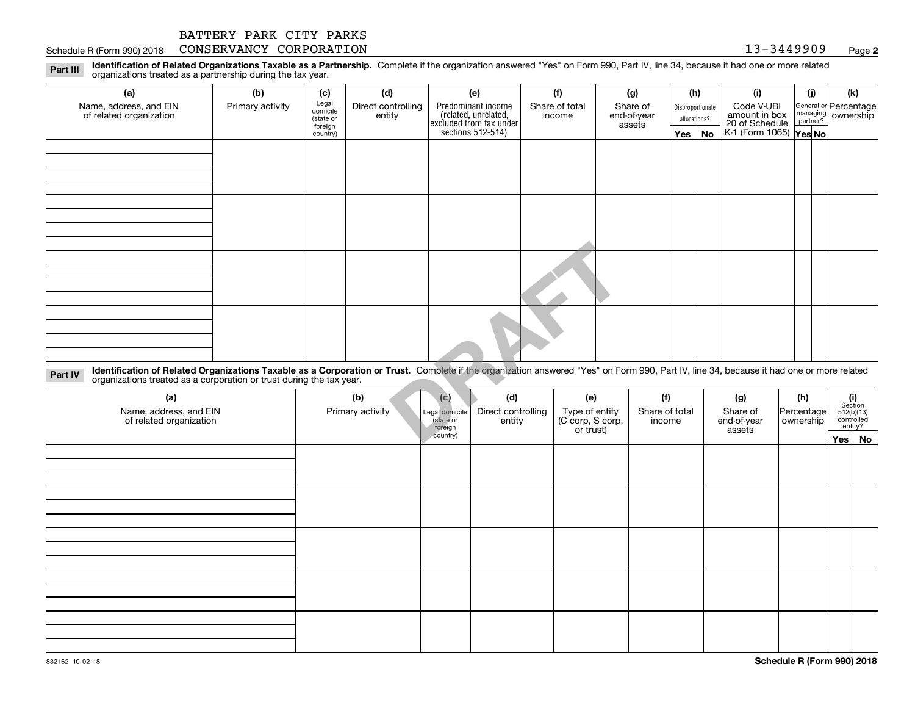### Schedule R (Form 990) 2018 CONSERVANCY CORPORATION 1 3-3449909 <sub>Page</sub>

**2**

**Identification of Related Organizations Taxable as a Partnership.** Complete if the organization answered "Yes" on Form 990, Part IV, line 34, because it had one or more related **Part III** organizations treated as a partnership during the tax year.

| (a)                                                                                                                                                                                                 | (b)              | (c)                  | (d)                          | (e)                                        | (f)                      | (g)                     |                | (h)              | (i)                         | (i)                  | (k)                                |
|-----------------------------------------------------------------------------------------------------------------------------------------------------------------------------------------------------|------------------|----------------------|------------------------------|--------------------------------------------|--------------------------|-------------------------|----------------|------------------|-----------------------------|----------------------|------------------------------------|
| Name, address, and EIN<br>of related organization                                                                                                                                                   | Primary activity | Legal<br>domicile    | Direct controlling<br>entity | Predominant income<br>(related, unrelated, | Share of total<br>income | Share of<br>end-of-year |                | Disproportionate | Code V-UBI<br>amount in box |                      | General or Percentage<br>ownership |
|                                                                                                                                                                                                     |                  | (state or<br>foreign |                              | excluded from tax under                    |                          | assets                  |                | allocations?     | 20 of Schedule              | managing<br>partner? |                                    |
|                                                                                                                                                                                                     |                  | country)             |                              | sections 512-514)                          |                          |                         | Yes            | <b>No</b>        | K-1 (Form 1065) Yes No      |                      |                                    |
|                                                                                                                                                                                                     |                  |                      |                              |                                            |                          |                         |                |                  |                             |                      |                                    |
|                                                                                                                                                                                                     |                  |                      |                              |                                            |                          |                         |                |                  |                             |                      |                                    |
|                                                                                                                                                                                                     |                  |                      |                              |                                            |                          |                         |                |                  |                             |                      |                                    |
|                                                                                                                                                                                                     |                  |                      |                              |                                            |                          |                         |                |                  |                             |                      |                                    |
|                                                                                                                                                                                                     |                  |                      |                              |                                            |                          |                         |                |                  |                             |                      |                                    |
|                                                                                                                                                                                                     |                  |                      |                              |                                            |                          |                         |                |                  |                             |                      |                                    |
|                                                                                                                                                                                                     |                  |                      |                              |                                            |                          |                         |                |                  |                             |                      |                                    |
|                                                                                                                                                                                                     |                  |                      |                              |                                            |                          |                         |                |                  |                             |                      |                                    |
|                                                                                                                                                                                                     |                  |                      |                              |                                            |                          |                         |                |                  |                             |                      |                                    |
|                                                                                                                                                                                                     |                  |                      |                              |                                            |                          |                         |                |                  |                             |                      |                                    |
|                                                                                                                                                                                                     |                  |                      |                              |                                            |                          |                         |                |                  |                             |                      |                                    |
|                                                                                                                                                                                                     |                  |                      |                              |                                            |                          |                         |                |                  |                             |                      |                                    |
|                                                                                                                                                                                                     |                  |                      |                              |                                            |                          |                         |                |                  |                             |                      |                                    |
|                                                                                                                                                                                                     |                  |                      |                              |                                            |                          |                         |                |                  |                             |                      |                                    |
|                                                                                                                                                                                                     |                  |                      |                              |                                            |                          |                         |                |                  |                             |                      |                                    |
|                                                                                                                                                                                                     |                  |                      |                              |                                            |                          |                         |                |                  |                             |                      |                                    |
| Identification of Related Organizations Taxable as a Corporation or Trust. Complete if the organization answered "Yes" on Form 990, Part IV, line 34, because it had one or more related<br>Part IV |                  |                      |                              |                                            |                          |                         |                |                  |                             |                      |                                    |
| organizations treated as a corporation or trust during the tax year.                                                                                                                                |                  |                      |                              |                                            |                          |                         |                |                  |                             |                      |                                    |
| (a)                                                                                                                                                                                                 |                  |                      | (b)                          | (d)<br>(c)                                 |                          | (e)                     | (f)            |                  | (g)                         | (h)                  | (i)<br>Section                     |
| Name, address, and EIN                                                                                                                                                                              |                  |                      | Primary activity             | Direct controlling<br>Legal domicile       |                          | Type of entity          | Share of total |                  | Share of                    | Percentage           | 512(b)(13)                         |
| of related organization                                                                                                                                                                             |                  |                      |                              | (state or<br>entity<br>foreign             |                          | (C corp, S corp,        | income         |                  | end-of-year                 | ownership            | controlled<br>entity?              |
|                                                                                                                                                                                                     |                  |                      |                              | country)                                   |                          | or trust)               |                |                  | assets                      |                      | Yes   No                           |

| (a)<br>Name, address, and EIN<br>of related organization | (b)<br>Primary activity | (c)<br>Legal domicile<br>(state or<br>foreign | (d)<br>Direct controlling<br>entity | (e)<br>Type of entity<br>(C corp, S corp,<br>or trust) | (f)<br>Share of total<br>income | (g)<br>Share of<br>end-of-year<br>assets | (h)<br>Percentage<br>ownership | $\begin{array}{c} \textbf{(i)}\\ \text{Section}\\ 512 \text{(b)} \text{(13)}\\ \text{controlled}\\ \text{entity?} \end{array}$ |
|----------------------------------------------------------|-------------------------|-----------------------------------------------|-------------------------------------|--------------------------------------------------------|---------------------------------|------------------------------------------|--------------------------------|--------------------------------------------------------------------------------------------------------------------------------|
|                                                          |                         | country)                                      |                                     |                                                        |                                 |                                          |                                | Yes No                                                                                                                         |
|                                                          |                         |                                               |                                     |                                                        |                                 |                                          |                                |                                                                                                                                |
|                                                          |                         |                                               |                                     |                                                        |                                 |                                          |                                |                                                                                                                                |
|                                                          |                         |                                               |                                     |                                                        |                                 |                                          |                                |                                                                                                                                |
|                                                          |                         |                                               |                                     |                                                        |                                 |                                          |                                |                                                                                                                                |
|                                                          |                         |                                               |                                     |                                                        |                                 |                                          |                                |                                                                                                                                |
|                                                          |                         |                                               |                                     |                                                        |                                 |                                          |                                |                                                                                                                                |
|                                                          |                         |                                               |                                     |                                                        |                                 |                                          |                                |                                                                                                                                |
|                                                          |                         |                                               |                                     |                                                        |                                 |                                          |                                |                                                                                                                                |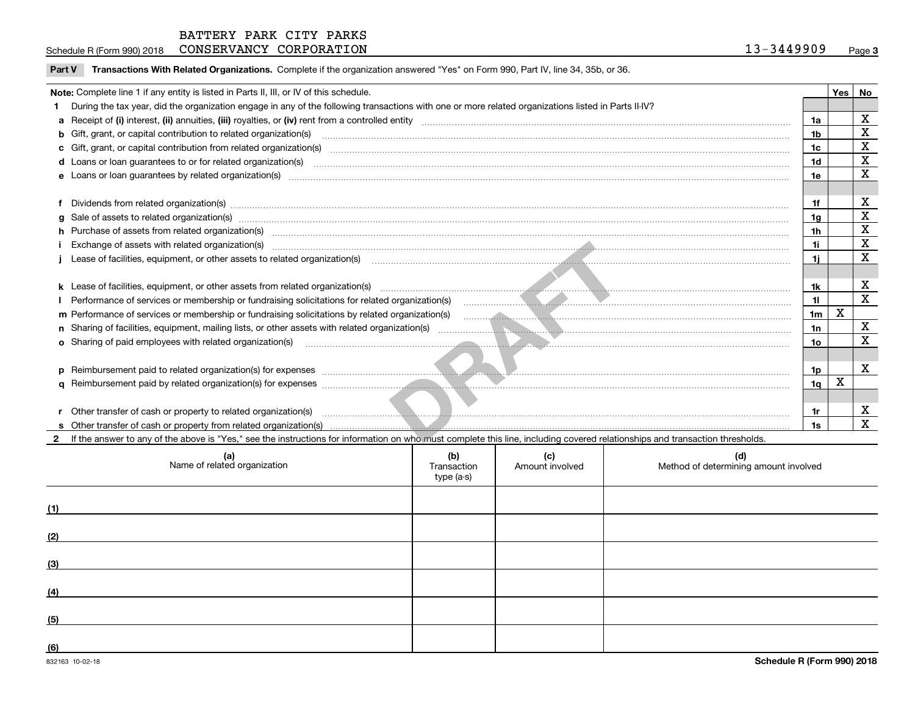Schedule R (Form 990) 2018 CONSERVANCY CORPORATION 1 3-3449909 <sub>Page</sub>

**Part V** T**ransactions With Related Organizations.** Complete if the organization answered "Yes" on Form 990, Part IV, line 34, 35b, or 36.

|     | Note: Complete line 1 if any entity is listed in Parts II, III, or IV of this schedule.                                                                                                                                              |                                   |                        |                                              |                 | Yes         | No                      |
|-----|--------------------------------------------------------------------------------------------------------------------------------------------------------------------------------------------------------------------------------------|-----------------------------------|------------------------|----------------------------------------------|-----------------|-------------|-------------------------|
|     | During the tax year, did the organization engage in any of the following transactions with one or more related organizations listed in Parts II-IV?                                                                                  |                                   |                        |                                              |                 |             |                         |
|     |                                                                                                                                                                                                                                      |                                   |                        |                                              | 1a              |             | $\mathbf X$             |
|     | <b>b</b> Gift, grant, or capital contribution to related organization(s)                                                                                                                                                             |                                   |                        |                                              | 1b              |             | $\overline{\mathbf{x}}$ |
|     |                                                                                                                                                                                                                                      |                                   |                        |                                              | 1c              |             | $\overline{\mathbf{x}}$ |
|     | d Loans or loan guarantees to or for related organization(s)                                                                                                                                                                         |                                   |                        |                                              | 1 <sub>d</sub>  |             | $\overline{\mathbf{x}}$ |
|     |                                                                                                                                                                                                                                      |                                   |                        |                                              | 1e              |             | $\mathbf{x}$            |
|     |                                                                                                                                                                                                                                      |                                   |                        |                                              |                 |             |                         |
|     | f Dividends from related organization(s) www.assession.com/www.assession.com/www.assession.com/www.assession.com/www.assession.com/www.assession.com/www.assession.com/www.assession.com/www.assession.com/www.assession.com/w       |                                   |                        |                                              | 1f              |             | X                       |
|     | Sale of assets to related organization(s) material content and content and content and content and content and content and content and content and content and content and content and content and content and content and con       |                                   |                        |                                              | 1a              |             | $\mathbf X$             |
|     |                                                                                                                                                                                                                                      |                                   |                        |                                              | 1h              |             | $\overline{\mathbf{X}}$ |
|     | Exchange of assets with related organization(s) manufactured and content to the content of the content of the content of the content of the content of the content of the content of the content of the content of the content       |                                   |                        |                                              | 1i -            |             | $\overline{\mathbf{x}}$ |
|     |                                                                                                                                                                                                                                      |                                   |                        |                                              | 11              |             | $\overline{\mathbf{x}}$ |
|     |                                                                                                                                                                                                                                      |                                   |                        |                                              |                 |             |                         |
|     |                                                                                                                                                                                                                                      |                                   |                        |                                              | 1k              |             | X                       |
|     | Performance of services or membership or fundraising solicitations for related organization(s) manufactured and the content of the content of the content of the content of the content of the content of the content of the c       |                                   |                        |                                              | 11              |             | $\overline{\mathbf{x}}$ |
|     |                                                                                                                                                                                                                                      |                                   |                        |                                              | 1 <sub>m</sub>  | $\mathbf x$ |                         |
|     |                                                                                                                                                                                                                                      |                                   |                        |                                              | 1n              |             | $\mathbf X$             |
|     | <b>o</b> Sharing of paid employees with related organization(s)                                                                                                                                                                      |                                   |                        |                                              | 10 <sub>o</sub> |             | $\mathbf X$             |
|     |                                                                                                                                                                                                                                      |                                   |                        |                                              |                 |             |                         |
|     | p Reimbursement paid to related organization(s) for expenses <i>manufactured content of the content of the content of the content of the content of the content of the content of the content of the content of the content of t</i> |                                   |                        |                                              | 1p              |             | X                       |
|     |                                                                                                                                                                                                                                      |                                   |                        |                                              | 1q              | $\mathbf x$ |                         |
|     |                                                                                                                                                                                                                                      |                                   |                        |                                              |                 |             |                         |
|     | r Other transfer of cash or property to related organization(s)                                                                                                                                                                      |                                   |                        |                                              | 1r              |             | X                       |
|     |                                                                                                                                                                                                                                      |                                   |                        |                                              | 1s              |             | $\overline{\mathbf{x}}$ |
|     | If the answer to any of the above is "Yes," see the instructions for information on who must complete this line, including covered relationships and transaction thresholds.                                                         |                                   |                        |                                              |                 |             |                         |
|     | (a)<br>Name of related organization                                                                                                                                                                                                  | (b)<br>Transaction<br>$type(a-s)$ | (c)<br>Amount involved | (d)<br>Method of determining amount involved |                 |             |                         |
| (1) |                                                                                                                                                                                                                                      |                                   |                        |                                              |                 |             |                         |
| (2) |                                                                                                                                                                                                                                      |                                   |                        |                                              |                 |             |                         |
|     |                                                                                                                                                                                                                                      |                                   |                        |                                              |                 |             |                         |
| (3) |                                                                                                                                                                                                                                      |                                   |                        |                                              |                 |             |                         |
|     |                                                                                                                                                                                                                                      |                                   |                        |                                              |                 |             |                         |

**(4)**

**(5)**

**(6)**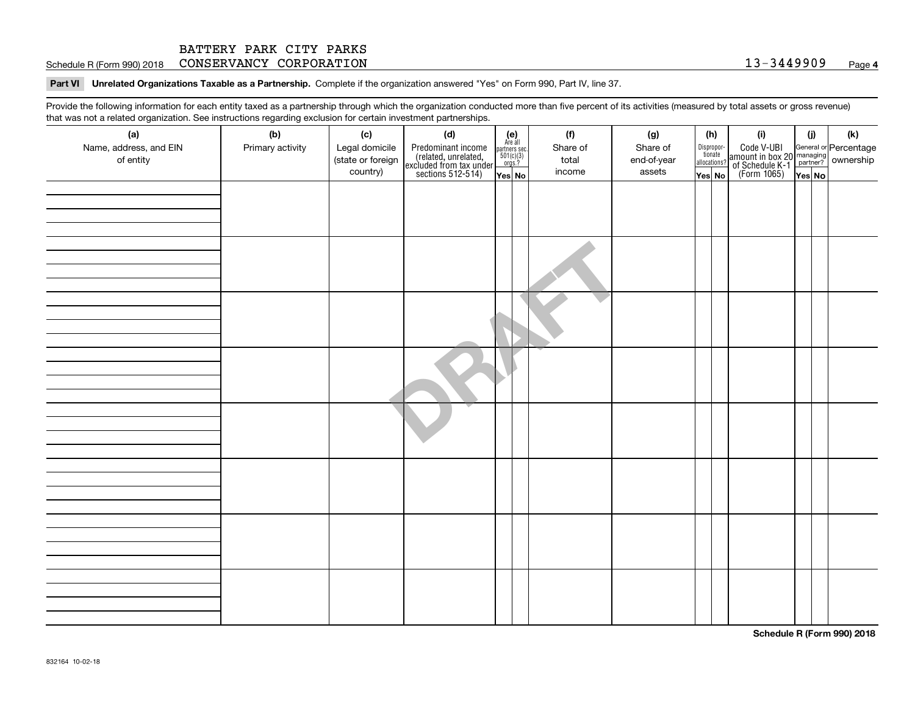**Part VI Unrelated Organizations Taxable as a Partnership. Complete if the organization answered "Yes" on Form 990, Part IV, line 37.** 

Provide the following information for each entity taxed as a partnership through which the organization conducted more than five percent of its activities (measured by total assets or gross revenue) that was not a related organization. See instructions regarding exclusion for certain investment partnerships.

| ັ<br>(a)               | ັ<br>ັ<br>(b)    |                       | (d)                                                                                        |                                                                                             | (f)      |                 | (h)                                   |                                                                                                                                       | (i)    | (k) |
|------------------------|------------------|-----------------------|--------------------------------------------------------------------------------------------|---------------------------------------------------------------------------------------------|----------|-----------------|---------------------------------------|---------------------------------------------------------------------------------------------------------------------------------------|--------|-----|
| Name, address, and EIN | Primary activity | (c)<br>Legal domicile |                                                                                            | (e)<br>Are all                                                                              | Share of | (g)<br>Share of |                                       | (i)                                                                                                                                   |        |     |
| of entity              |                  | (state or foreign     | Predominant income<br>(related, unrelated,<br>excluded from tax under<br>sections 512-514) | $\begin{array}{c}\n\text{partners} \text{ sec.} \\ 501(c)(3) \\ \text{orgs.?}\n\end{array}$ | total    | end-of-year     | Dispropor-<br>tionate<br>allocations? | Code V-UBI<br>  amount in box 20 managing<br>  of Schedule K-1 partner? ownership<br>  of Schedule K-1 partner? ownership<br>  Yes No |        |     |
|                        |                  | country)              |                                                                                            |                                                                                             | income   | assets          |                                       |                                                                                                                                       |        |     |
|                        |                  |                       |                                                                                            | Yes No                                                                                      |          |                 | Yes No                                |                                                                                                                                       | Yes No |     |
|                        |                  |                       |                                                                                            |                                                                                             |          |                 |                                       |                                                                                                                                       |        |     |
|                        |                  |                       |                                                                                            |                                                                                             |          |                 |                                       |                                                                                                                                       |        |     |
|                        |                  |                       |                                                                                            |                                                                                             |          |                 |                                       |                                                                                                                                       |        |     |
|                        |                  |                       |                                                                                            |                                                                                             |          |                 |                                       |                                                                                                                                       |        |     |
|                        |                  |                       |                                                                                            |                                                                                             |          |                 |                                       |                                                                                                                                       |        |     |
|                        |                  |                       |                                                                                            |                                                                                             |          |                 |                                       |                                                                                                                                       |        |     |
|                        |                  |                       |                                                                                            |                                                                                             |          |                 |                                       |                                                                                                                                       |        |     |
|                        |                  |                       |                                                                                            |                                                                                             |          |                 |                                       |                                                                                                                                       |        |     |
|                        |                  |                       |                                                                                            |                                                                                             |          |                 |                                       |                                                                                                                                       |        |     |
|                        |                  |                       |                                                                                            |                                                                                             |          |                 |                                       |                                                                                                                                       |        |     |
|                        |                  |                       |                                                                                            |                                                                                             |          |                 |                                       |                                                                                                                                       |        |     |
|                        |                  |                       |                                                                                            |                                                                                             |          |                 |                                       |                                                                                                                                       |        |     |
|                        |                  |                       |                                                                                            |                                                                                             |          |                 |                                       |                                                                                                                                       |        |     |
|                        |                  |                       |                                                                                            |                                                                                             |          |                 |                                       |                                                                                                                                       |        |     |
|                        |                  |                       |                                                                                            |                                                                                             |          |                 |                                       |                                                                                                                                       |        |     |
|                        |                  |                       |                                                                                            |                                                                                             |          |                 |                                       |                                                                                                                                       |        |     |
|                        |                  |                       |                                                                                            |                                                                                             |          |                 |                                       |                                                                                                                                       |        |     |
|                        |                  |                       |                                                                                            |                                                                                             |          |                 |                                       |                                                                                                                                       |        |     |
|                        |                  |                       |                                                                                            |                                                                                             |          |                 |                                       |                                                                                                                                       |        |     |
|                        |                  |                       |                                                                                            |                                                                                             |          |                 |                                       |                                                                                                                                       |        |     |
|                        |                  |                       |                                                                                            |                                                                                             |          |                 |                                       |                                                                                                                                       |        |     |
|                        |                  |                       |                                                                                            |                                                                                             |          |                 |                                       |                                                                                                                                       |        |     |
|                        |                  |                       |                                                                                            |                                                                                             |          |                 |                                       |                                                                                                                                       |        |     |
|                        |                  |                       |                                                                                            |                                                                                             |          |                 |                                       |                                                                                                                                       |        |     |
|                        |                  |                       |                                                                                            |                                                                                             |          |                 |                                       |                                                                                                                                       |        |     |
|                        |                  |                       |                                                                                            |                                                                                             |          |                 |                                       |                                                                                                                                       |        |     |
|                        |                  |                       |                                                                                            |                                                                                             |          |                 |                                       |                                                                                                                                       |        |     |
|                        |                  |                       |                                                                                            |                                                                                             |          |                 |                                       |                                                                                                                                       |        |     |
|                        |                  |                       |                                                                                            |                                                                                             |          |                 |                                       |                                                                                                                                       |        |     |
|                        |                  |                       |                                                                                            |                                                                                             |          |                 |                                       |                                                                                                                                       |        |     |
|                        |                  |                       |                                                                                            |                                                                                             |          |                 |                                       |                                                                                                                                       |        |     |
|                        |                  |                       |                                                                                            |                                                                                             |          |                 |                                       |                                                                                                                                       |        |     |
|                        |                  |                       |                                                                                            |                                                                                             |          |                 |                                       |                                                                                                                                       |        |     |
|                        |                  |                       |                                                                                            |                                                                                             |          |                 |                                       |                                                                                                                                       |        |     |
|                        |                  |                       |                                                                                            |                                                                                             |          |                 |                                       |                                                                                                                                       |        |     |

**Schedule R (Form 990) 2018**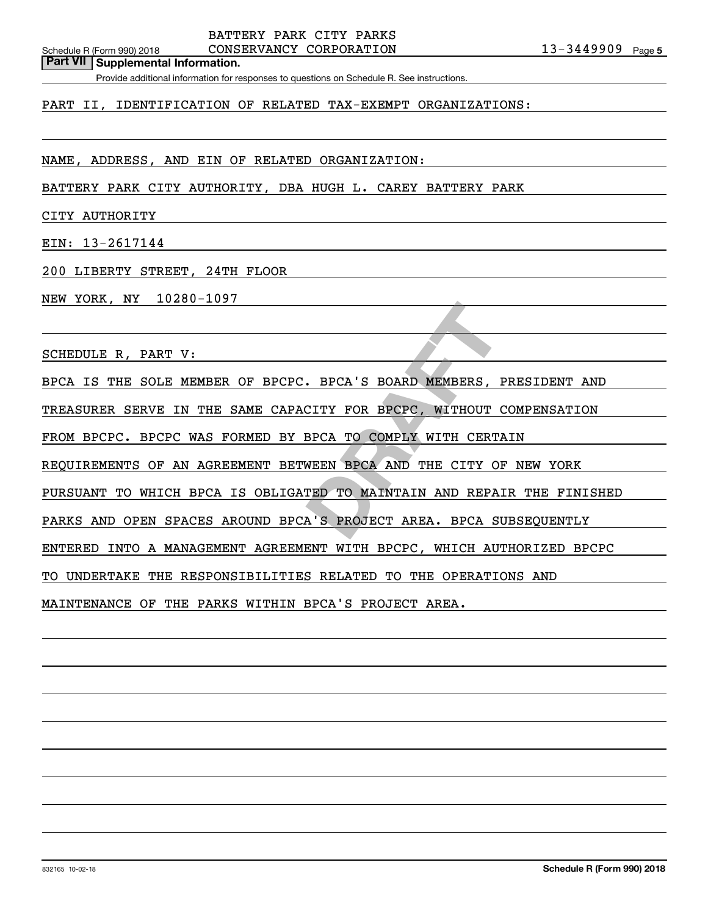### Schedule R (Form 990) 2018  ${\bf CONSERVANCY}$   ${\bf CORPORTION}$  1 $3$  –  $3\,4\,4\,9\,9\,0\,9$  Page BATTERY PARK CITY PARKS

**Part VII Supplemental Information.**

Provide additional information for responses to questions on Schedule R. See instructions.

### PART II, IDENTIFICATION OF RELATED TAX-EXEMPT ORGANIZATIONS:

NAME, ADDRESS, AND EIN OF RELATED ORGANIZATION:

BATTERY PARK CITY AUTHORITY, DBA HUGH L. CAREY BATTERY PARK

CITY AUTHORITY

EIN: 13-2617144

200 LIBERTY STREET, 24TH FLOOR

NEW YORK, NY 10280-1097

SCHEDULE R, PART V:

BPCA IS THE SOLE MEMBER OF BPCPC. BPCA'S BOARD MEMBERS, PRESIDENT AND

TREASURER SERVE IN THE SAME CAPACITY FOR BPCPC, WITHOUT COMPENSATION

FROM BPCPC. BPCPC WAS FORMED BY BPCA TO COMPLY WITH CERTAIN

**BECA'S BOARD MEMBERS, INCLUDED TO COMPLY WITH CERT BECA TO COMPLY WITH CERT BECA AND THE CITY OF THE PROJECT AREA. BPCA SUMPLY PROJECT AREA. BPCA SUMPLY** REQUIREMENTS OF AN AGREEMENT BETWEEN BPCA AND THE CITY OF NEW YORK

PURSUANT TO WHICH BPCA IS OBLIGATED TO MAINTAIN AND REPAIR THE FINISHED

PARKS AND OPEN SPACES AROUND BPCA'S PROJECT AREA. BPCA SUBSEQUENTLY

ENTERED INTO A MANAGEMENT AGREEMENT WITH BPCPC, WHICH AUTHORIZED BPCPC

TO UNDERTAKE THE RESPONSIBILITIES RELATED TO THE OPERATIONS AND

MAINTENANCE OF THE PARKS WITHIN BPCA'S PROJECT AREA.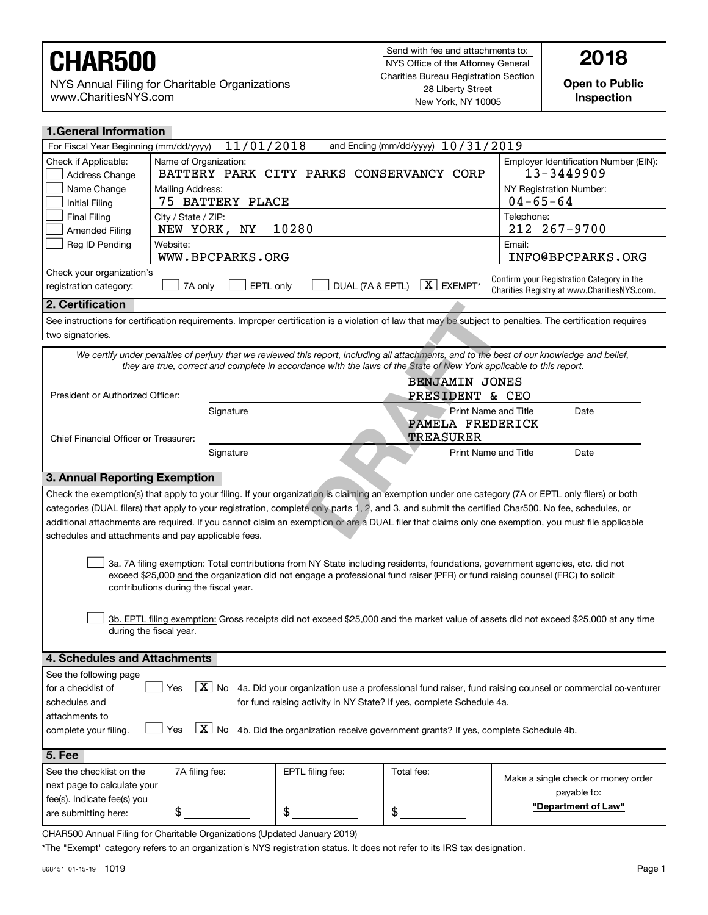NYS Annual Filing for Charitable Organizations www.CharitiesNYS.com

**Inspection**

| <b>1.General Information</b>                                                                                                                                                                                                                                                                             |                                                                   |                                                     |                                          |                                                                                                                                                            |  |  |
|----------------------------------------------------------------------------------------------------------------------------------------------------------------------------------------------------------------------------------------------------------------------------------------------------------|-------------------------------------------------------------------|-----------------------------------------------------|------------------------------------------|------------------------------------------------------------------------------------------------------------------------------------------------------------|--|--|
| 11/01/2018<br>and Ending (mm/dd/yyyy) $10/31/2019$<br>For Fiscal Year Beginning (mm/dd/yyyy)                                                                                                                                                                                                             |                                                                   |                                                     |                                          |                                                                                                                                                            |  |  |
| Check if Applicable:<br>Address Change                                                                                                                                                                                                                                                                   | Name of Organization:<br>BATTERY PARK CITY PARKS CONSERVANCY CORP | Employer Identification Number (EIN):<br>13-3449909 |                                          |                                                                                                                                                            |  |  |
| Name Change<br><b>Initial Filing</b>                                                                                                                                                                                                                                                                     | Mailing Address:<br>75 BATTERY PLACE                              | NY Registration Number:<br>$04 - 65 - 64$           |                                          |                                                                                                                                                            |  |  |
| <b>Final Filing</b><br><b>Amended Filing</b>                                                                                                                                                                                                                                                             | City / State / ZIP:<br>NEW YORK, NY                               | Telephone:<br>212 267-9700                          |                                          |                                                                                                                                                            |  |  |
| Reg ID Pending                                                                                                                                                                                                                                                                                           | 10280<br>Website:<br>WWW.BPCPARKS.ORG                             |                                                     |                                          |                                                                                                                                                            |  |  |
| Check your organization's                                                                                                                                                                                                                                                                                |                                                                   |                                                     |                                          |                                                                                                                                                            |  |  |
| registration category:                                                                                                                                                                                                                                                                                   | 7A only<br>EPTL only                                              | DUAL (7A & EPTL)                                    | $X$ EXEMPT*                              | Confirm your Registration Category in the<br>Charities Registry at www.CharitiesNYS.com.                                                                   |  |  |
| 2. Certification                                                                                                                                                                                                                                                                                         |                                                                   |                                                     |                                          |                                                                                                                                                            |  |  |
| two signatories.                                                                                                                                                                                                                                                                                         |                                                                   |                                                     |                                          | See instructions for certification requirements. Improper certification is a violation of law that may be subject to penalties. The certification requires |  |  |
| We certify under penalties of perjury that we reviewed this report, including all attachments, and to the best of our knowledge and belief,<br>they are true, correct and complete in accordance with the laws of the State of New York applicable to this report.                                       |                                                                   |                                                     |                                          |                                                                                                                                                            |  |  |
| President or Authorized Officer:                                                                                                                                                                                                                                                                         |                                                                   |                                                     | <b>BENJAMIN JONES</b><br>PRESIDENT & CEO |                                                                                                                                                            |  |  |
|                                                                                                                                                                                                                                                                                                          | Signature                                                         |                                                     | <b>Print Name and Title</b>              | Date                                                                                                                                                       |  |  |
| PAMELA FREDERICK<br><b>TREASURER</b><br>Chief Financial Officer or Treasurer:                                                                                                                                                                                                                            |                                                                   |                                                     |                                          |                                                                                                                                                            |  |  |
|                                                                                                                                                                                                                                                                                                          | Signature                                                         |                                                     | <b>Print Name and Title</b>              | Date                                                                                                                                                       |  |  |
| 3. Annual Reporting Exemption                                                                                                                                                                                                                                                                            |                                                                   |                                                     |                                          |                                                                                                                                                            |  |  |
|                                                                                                                                                                                                                                                                                                          |                                                                   |                                                     |                                          |                                                                                                                                                            |  |  |
| Check the exemption(s) that apply to your filing. If your organization is claiming an exemption under one category (7A or EPTL only filers) or both                                                                                                                                                      |                                                                   |                                                     |                                          |                                                                                                                                                            |  |  |
| categories (DUAL filers) that apply to your registration, complete only parts 1, 2, and 3, and submit the certified Char500. No fee, schedules, or<br>additional attachments are required. If you cannot claim an exemption or are a DUAL filer that claims only one exemption, you must file applicable |                                                                   |                                                     |                                          |                                                                                                                                                            |  |  |
| schedules and attachments and pay applicable fees.                                                                                                                                                                                                                                                       |                                                                   |                                                     |                                          |                                                                                                                                                            |  |  |
|                                                                                                                                                                                                                                                                                                          |                                                                   |                                                     |                                          |                                                                                                                                                            |  |  |
| 3a. 7A filing exemption: Total contributions from NY State including residents, foundations, government agencies, etc. did not                                                                                                                                                                           |                                                                   |                                                     |                                          |                                                                                                                                                            |  |  |
| exceed \$25,000 and the organization did not engage a professional fund raiser (PFR) or fund raising counsel (FRC) to solicit                                                                                                                                                                            |                                                                   |                                                     |                                          |                                                                                                                                                            |  |  |
| contributions during the fiscal year.                                                                                                                                                                                                                                                                    |                                                                   |                                                     |                                          |                                                                                                                                                            |  |  |
|                                                                                                                                                                                                                                                                                                          |                                                                   |                                                     |                                          |                                                                                                                                                            |  |  |
| 3b. EPTL filing exemption: Gross receipts did not exceed \$25,000 and the market value of assets did not exceed \$25,000 at any time                                                                                                                                                                     |                                                                   |                                                     |                                          |                                                                                                                                                            |  |  |
| during the fiscal year.                                                                                                                                                                                                                                                                                  |                                                                   |                                                     |                                          |                                                                                                                                                            |  |  |
| <b>4. Schedules and Attachments</b>                                                                                                                                                                                                                                                                      |                                                                   |                                                     |                                          |                                                                                                                                                            |  |  |
| See the following page                                                                                                                                                                                                                                                                                   |                                                                   |                                                     |                                          |                                                                                                                                                            |  |  |
| $\boxed{\textbf{X}}$ No 4a. Did your organization use a professional fund raiser, fund raising counsel or commercial co-venturer<br>for a checklist of<br>Yes                                                                                                                                            |                                                                   |                                                     |                                          |                                                                                                                                                            |  |  |
| for fund raising activity in NY State? If yes, complete Schedule 4a.<br>schedules and                                                                                                                                                                                                                    |                                                                   |                                                     |                                          |                                                                                                                                                            |  |  |
| attachments to                                                                                                                                                                                                                                                                                           |                                                                   |                                                     |                                          |                                                                                                                                                            |  |  |
| $\boxed{\textbf{X}}$ No 4b. Did the organization receive government grants? If yes, complete Schedule 4b.<br>Yes<br>complete your filing.                                                                                                                                                                |                                                                   |                                                     |                                          |                                                                                                                                                            |  |  |
| 5. Fee                                                                                                                                                                                                                                                                                                   |                                                                   |                                                     |                                          |                                                                                                                                                            |  |  |
| See the checklist on the                                                                                                                                                                                                                                                                                 | 7A filing fee:                                                    | EPTL filing fee:                                    | Total fee:                               |                                                                                                                                                            |  |  |
| next page to calculate your                                                                                                                                                                                                                                                                              |                                                                   |                                                     |                                          | Make a single check or money order                                                                                                                         |  |  |
| fee(s). Indicate fee(s) you                                                                                                                                                                                                                                                                              |                                                                   |                                                     |                                          | payable to:<br>"Department of Law"                                                                                                                         |  |  |
| are submitting here:                                                                                                                                                                                                                                                                                     | \$                                                                | \$                                                  | \$                                       |                                                                                                                                                            |  |  |

CHAR500 Annual Filing for Charitable Organizations (Updated January 2019)

\*The "Exempt" category refers to an organization's NYS registration status. It does not refer to its IRS tax designation.